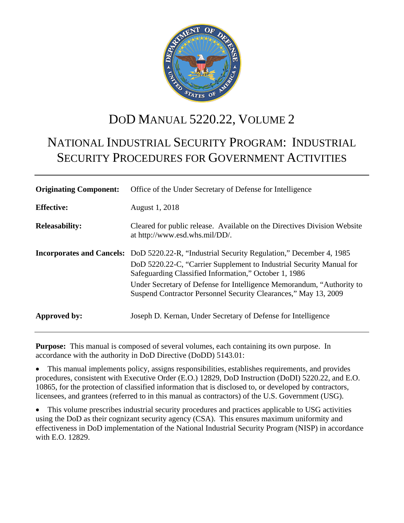

# DOD MANUAL 5220.22, VOLUME 2

# NATIONAL INDUSTRIAL SECURITY PROGRAM: INDUSTRIAL SECURITY PROCEDURES FOR GOVERNMENT ACTIVITIES

| <b>Originating Component:</b> | Office of the Under Secretary of Defense for Intelligence                                                                                                                                                                                                                                                                                                                       |
|-------------------------------|---------------------------------------------------------------------------------------------------------------------------------------------------------------------------------------------------------------------------------------------------------------------------------------------------------------------------------------------------------------------------------|
| <b>Effective:</b>             | August 1, 2018                                                                                                                                                                                                                                                                                                                                                                  |
| <b>Releasability:</b>         | Cleared for public release. Available on the Directives Division Website<br>at http://www.esd.whs.mil/DD/.                                                                                                                                                                                                                                                                      |
|                               | <b>Incorporates and Cancels:</b> DoD 5220.22-R, "Industrial Security Regulation," December 4, 1985<br>DoD 5220.22-C, "Carrier Supplement to Industrial Security Manual for<br>Safeguarding Classified Information," October 1, 1986<br>Under Secretary of Defense for Intelligence Memorandum, "Authority to<br>Suspend Contractor Personnel Security Clearances," May 13, 2009 |
| Approved by:                  | Joseph D. Kernan, Under Secretary of Defense for Intelligence                                                                                                                                                                                                                                                                                                                   |

**Purpose:** This manual is composed of several volumes, each containing its own purpose. In accordance with the authority in DoD Directive (DoDD) 5143.01:

• This manual implements policy, assigns responsibilities, establishes requirements, and provides procedures, consistent with Executive Order (E.O.) 12829, DoD Instruction (DoDI) 5220.22, and E.O. 10865, for the protection of classified information that is disclosed to, or developed by contractors, licensees, and grantees (referred to in this manual as contractors) of the U.S. Government (USG).

This volume prescribes industrial security procedures and practices applicable to USG activities using the DoD as their cognizant security agency (CSA). This ensures maximum uniformity and effectiveness in DoD implementation of the National Industrial Security Program (NISP) in accordance with E.O. 12829.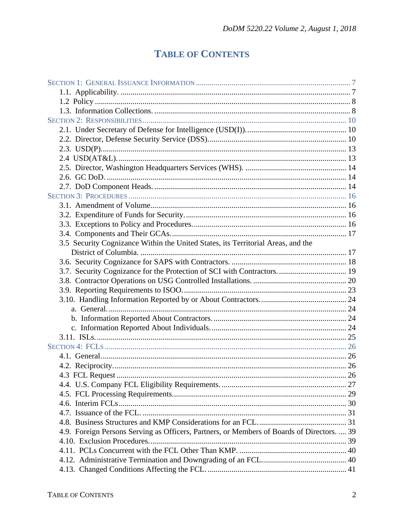## **TABLE OF CONTENTS**

| 3.5 Security Cognizance Within the United States, its Territorial Areas, and the           |  |
|--------------------------------------------------------------------------------------------|--|
|                                                                                            |  |
|                                                                                            |  |
| 3.7. Security Cognizance for the Protection of SCI with Contractors 19                     |  |
|                                                                                            |  |
|                                                                                            |  |
|                                                                                            |  |
|                                                                                            |  |
|                                                                                            |  |
|                                                                                            |  |
|                                                                                            |  |
|                                                                                            |  |
|                                                                                            |  |
|                                                                                            |  |
|                                                                                            |  |
|                                                                                            |  |
|                                                                                            |  |
|                                                                                            |  |
|                                                                                            |  |
|                                                                                            |  |
| 4.9. Foreign Persons Serving as Officers, Partners, or Members of Boards of Directors.  39 |  |
|                                                                                            |  |
|                                                                                            |  |
|                                                                                            |  |
|                                                                                            |  |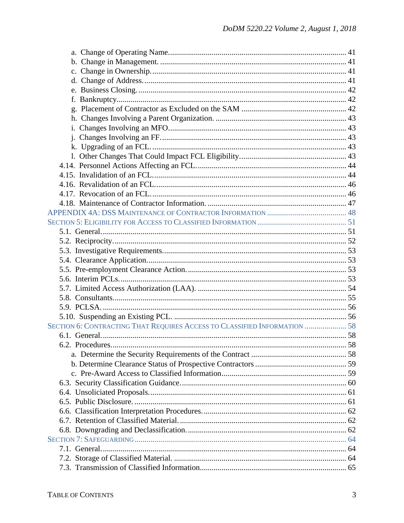| SECTION 6: CONTRACTING THAT REQUIRES ACCESS TO CLASSIFIED INFORMATION  58 |  |
|---------------------------------------------------------------------------|--|
|                                                                           |  |
|                                                                           |  |
|                                                                           |  |
|                                                                           |  |
|                                                                           |  |
|                                                                           |  |
|                                                                           |  |
|                                                                           |  |
|                                                                           |  |
|                                                                           |  |
|                                                                           |  |
|                                                                           |  |
|                                                                           |  |
|                                                                           |  |
|                                                                           |  |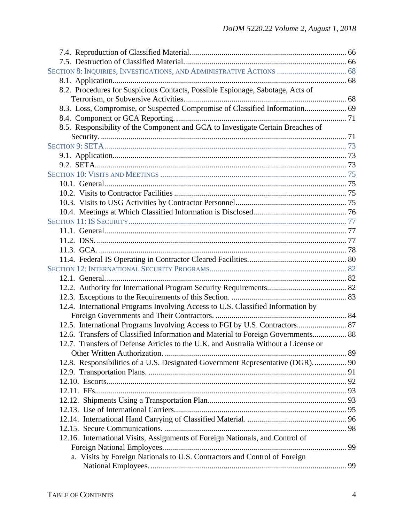| 8.2. Procedures for Suspicious Contacts, Possible Espionage, Sabotage, Acts of     |  |
|------------------------------------------------------------------------------------|--|
|                                                                                    |  |
| 8.3. Loss, Compromise, or Suspected Compromise of Classified Information 69        |  |
|                                                                                    |  |
| 8.5. Responsibility of the Component and GCA to Investigate Certain Breaches of    |  |
|                                                                                    |  |
|                                                                                    |  |
|                                                                                    |  |
|                                                                                    |  |
|                                                                                    |  |
|                                                                                    |  |
|                                                                                    |  |
|                                                                                    |  |
|                                                                                    |  |
|                                                                                    |  |
|                                                                                    |  |
|                                                                                    |  |
|                                                                                    |  |
|                                                                                    |  |
|                                                                                    |  |
|                                                                                    |  |
|                                                                                    |  |
|                                                                                    |  |
| 12.4. International Programs Involving Access to U.S. Classified Information by    |  |
|                                                                                    |  |
| 12.5. International Programs Involving Access to FGI by U.S. Contractors 87        |  |
| 12.6. Transfers of Classified Information and Material to Foreign Governments 88   |  |
| 12.7. Transfers of Defense Articles to the U.K. and Australia Without a License or |  |
|                                                                                    |  |
| 12.8. Responsibilities of a U.S. Designated Government Representative (DGR).  90   |  |
|                                                                                    |  |
|                                                                                    |  |
|                                                                                    |  |
|                                                                                    |  |
|                                                                                    |  |
|                                                                                    |  |
|                                                                                    |  |
| 12.16. International Visits, Assignments of Foreign Nationals, and Control of      |  |
|                                                                                    |  |
| a. Visits by Foreign Nationals to U.S. Contractors and Control of Foreign          |  |
|                                                                                    |  |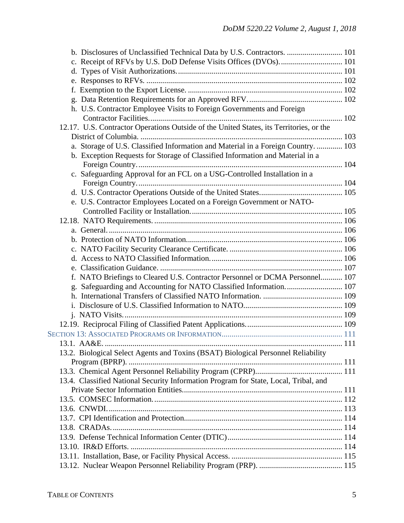| b. Disclosures of Unclassified Technical Data by U.S. Contractors.  101                 |  |
|-----------------------------------------------------------------------------------------|--|
|                                                                                         |  |
|                                                                                         |  |
|                                                                                         |  |
|                                                                                         |  |
|                                                                                         |  |
| h. U.S. Contractor Employee Visits to Foreign Governments and Foreign                   |  |
|                                                                                         |  |
| 12.17. U.S. Contractor Operations Outside of the United States, its Territories, or the |  |
|                                                                                         |  |
| a. Storage of U.S. Classified Information and Material in a Foreign Country.  103       |  |
| b. Exception Requests for Storage of Classified Information and Material in a           |  |
|                                                                                         |  |
| c. Safeguarding Approval for an FCL on a USG-Controlled Installation in a               |  |
|                                                                                         |  |
|                                                                                         |  |
| e. U.S. Contractor Employees Located on a Foreign Government or NATO-                   |  |
|                                                                                         |  |
|                                                                                         |  |
|                                                                                         |  |
|                                                                                         |  |
|                                                                                         |  |
|                                                                                         |  |
|                                                                                         |  |
| f. NATO Briefings to Cleared U.S. Contractor Personnel or DCMA Personnel 107            |  |
|                                                                                         |  |
|                                                                                         |  |
|                                                                                         |  |
|                                                                                         |  |
|                                                                                         |  |
| 13.1 $AABE$<br>. 111                                                                    |  |
|                                                                                         |  |
| 13.2. Biological Select Agents and Toxins (BSAT) Biological Personnel Reliability       |  |
|                                                                                         |  |
| 13.4. Classified National Security Information Program for State, Local, Tribal, and    |  |
|                                                                                         |  |
|                                                                                         |  |
|                                                                                         |  |
|                                                                                         |  |
|                                                                                         |  |
|                                                                                         |  |
|                                                                                         |  |
|                                                                                         |  |
|                                                                                         |  |
|                                                                                         |  |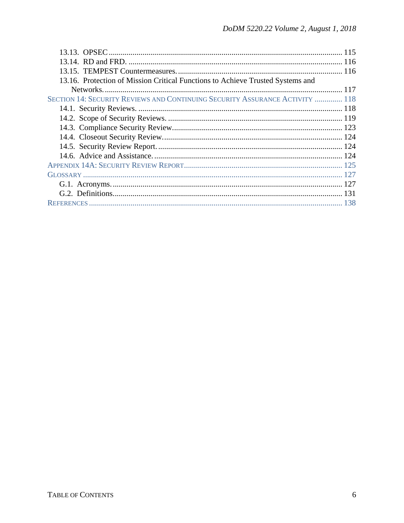| 13.16. Protection of Mission Critical Functions to Achieve Trusted Systems and |  |
|--------------------------------------------------------------------------------|--|
|                                                                                |  |
| SECTION 14: SECURITY REVIEWS AND CONTINUING SECURITY ASSURANCE ACTIVITY  118   |  |
|                                                                                |  |
|                                                                                |  |
|                                                                                |  |
|                                                                                |  |
|                                                                                |  |
|                                                                                |  |
|                                                                                |  |
|                                                                                |  |
|                                                                                |  |
|                                                                                |  |
|                                                                                |  |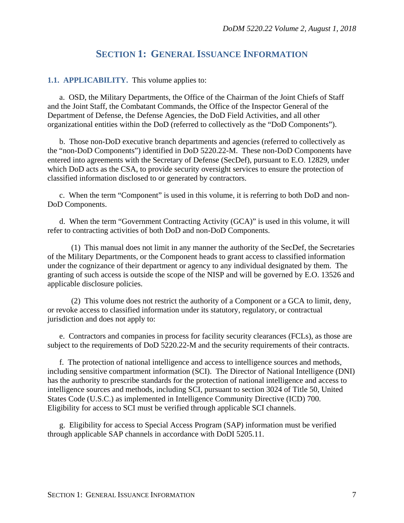## **SECTION 1: GENERAL ISSUANCE INFORMATION**

#### <span id="page-6-1"></span><span id="page-6-0"></span>**1.1. APPLICABILITY.** This volume applies to:

a. OSD, the Military Departments, the Office of the Chairman of the Joint Chiefs of Staff and the Joint Staff, the Combatant Commands, the Office of the Inspector General of the Department of Defense, the Defense Agencies, the DoD Field Activities, and all other organizational entities within the DoD (referred to collectively as the "DoD Components").

b. Those non-DoD executive branch departments and agencies (referred to collectively as the "non-DoD Components") identified in DoD 5220.22-M. These non-DoD Components have entered into agreements with the Secretary of Defense (SecDef), pursuant to E.O. 12829, under which DoD acts as the CSA, to provide security oversight services to ensure the protection of classified information disclosed to or generated by contractors.

c. When the term "Component" is used in this volume, it is referring to both DoD and non-DoD Components.

d. When the term "Government Contracting Activity (GCA)" is used in this volume, it will refer to contracting activities of both DoD and non-DoD Components.

(1) This manual does not limit in any manner the authority of the SecDef, the Secretaries of the Military Departments, or the Component heads to grant access to classified information under the cognizance of their department or agency to any individual designated by them. The granting of such access is outside the scope of the NISP and will be governed by E.O. 13526 and applicable disclosure policies.

(2) This volume does not restrict the authority of a Component or a GCA to limit, deny, or revoke access to classified information under its statutory, regulatory, or contractual jurisdiction and does not apply to:

e. Contractors and companies in process for facility security clearances (FCLs), as those are subject to the requirements of DoD 5220.22-M and the security requirements of their contracts.

f. The protection of national intelligence and access to intelligence sources and methods, including sensitive compartment information (SCI). The Director of National Intelligence (DNI) has the authority to prescribe standards for the protection of national intelligence and access to intelligence sources and methods, including SCI, pursuant to section 3024 of Title 50, United States Code (U.S.C.) as implemented in Intelligence Community Directive (ICD) 700. Eligibility for access to SCI must be verified through applicable SCI channels.

g. Eligibility for access to Special Access Program (SAP) information must be verified through applicable SAP channels in accordance with DoDI 5205.11.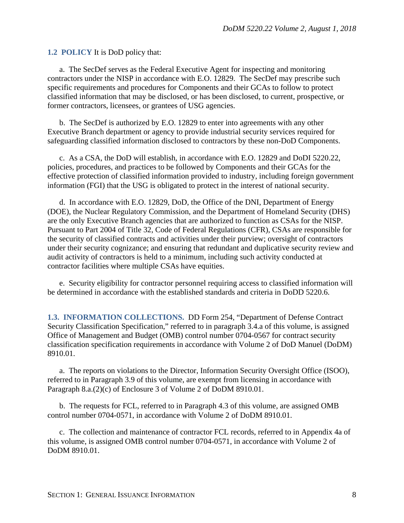<span id="page-7-0"></span>**1.2 POLICY** It is DoD policy that:

a. The SecDef serves as the Federal Executive Agent for inspecting and monitoring contractors under the NISP in accordance with E.O. 12829. The SecDef may prescribe such specific requirements and procedures for Components and their GCAs to follow to protect classified information that may be disclosed, or has been disclosed, to current, prospective, or former contractors, licensees, or grantees of USG agencies.

b. The SecDef is authorized by E.O. 12829 to enter into agreements with any other Executive Branch department or agency to provide industrial security services required for safeguarding classified information disclosed to contractors by these non-DoD Components.

c. As a CSA, the DoD will establish, in accordance with E.O. 12829 and DoDI 5220.22, policies, procedures, and practices to be followed by Components and their GCAs for the effective protection of classified information provided to industry, including foreign government information (FGI) that the USG is obligated to protect in the interest of national security.

d. In accordance with E.O. 12829, DoD, the Office of the DNI, Department of Energy (DOE), the Nuclear Regulatory Commission, and the Department of Homeland Security (DHS) are the only Executive Branch agencies that are authorized to function as CSAs for the NISP. Pursuant to Part 2004 of Title 32, Code of Federal Regulations (CFR), CSAs are responsible for the security of classified contracts and activities under their purview; oversight of contractors under their security cognizance; and ensuring that redundant and duplicative security review and audit activity of contractors is held to a minimum, including such activity conducted at contractor facilities where multiple CSAs have equities.

e. Security eligibility for contractor personnel requiring access to classified information will be determined in accordance with the established standards and criteria in DoDD 5220.6.

<span id="page-7-1"></span>**1.3. INFORMATION COLLECTIONS.** DD Form 254, "Department of Defense Contract Security Classification Specification," referred to in paragraph 3.4.a of this volume, is assigned Office of Management and Budget (OMB) control number 0704-0567 for contract security classification specification requirements in accordance with Volume 2 of DoD Manuel (DoDM) 8910.01.

a. The reports on violations to the Director, Information Security Oversight Office (ISOO), referred to in Paragraph 3.9 of this volume, are exempt from licensing in accordance with Paragraph 8.a.(2)(c) of Enclosure 3 of Volume 2 of DoDM 8910.01.

b. The requests for FCL, referred to in Paragraph 4.3 of this volume, are assigned OMB control number 0704-0571, in accordance with Volume 2 of DoDM 8910.01.

c. The collection and maintenance of contractor FCL records, referred to in Appendix 4a of this volume, is assigned OMB control number 0704-0571, in accordance with Volume 2 of DoDM 8910.01.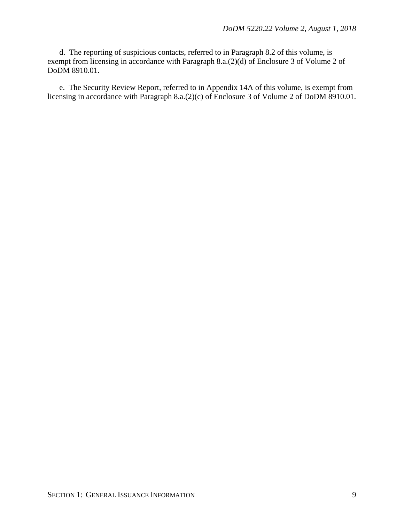d. The reporting of suspicious contacts, referred to in Paragraph 8.2 of this volume, is exempt from licensing in accordance with Paragraph 8.a.(2)(d) of Enclosure 3 of Volume 2 of DoDM 8910.01.

e. The Security Review Report, referred to in Appendix 14A of this volume, is exempt from licensing in accordance with Paragraph 8.a.(2)(c) of Enclosure 3 of Volume 2 of DoDM 8910.01.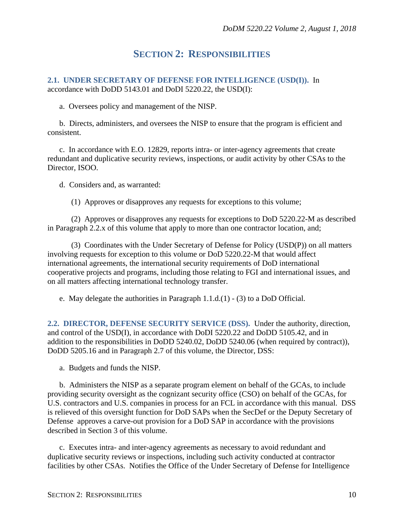## **SECTION 2: RESPONSIBILITIES**

<span id="page-9-1"></span><span id="page-9-0"></span>**2.1. UNDER SECRETARY OF DEFENSE FOR INTELLIGENCE (USD(I)).** In accordance with DoDD 5143.01 and DoDI 5220.22, the USD(I):

a. Oversees policy and management of the NISP.

b. Directs, administers, and oversees the NISP to ensure that the program is efficient and consistent.

c. In accordance with E.O. 12829, reports intra- or inter-agency agreements that create redundant and duplicative security reviews, inspections, or audit activity by other CSAs to the Director, ISOO.

d. Considers and, as warranted:

(1) Approves or disapproves any requests for exceptions to this volume;

(2) Approves or disapproves any requests for exceptions to DoD 5220.22-M as described in Paragraph 2.2.x of this volume that apply to more than one contractor location, and;

(3) Coordinates with the Under Secretary of Defense for Policy (USD(P)) on all matters involving requests for exception to this volume or DoD 5220.22-M that would affect international agreements, the international security requirements of DoD international cooperative projects and programs, including those relating to FGI and international issues, and on all matters affecting international technology transfer.

e. May delegate the authorities in Paragraph 1.1.d.(1) - (3) to a DoD Official.

<span id="page-9-2"></span>**2.2. DIRECTOR, DEFENSE SECURITY SERVICE (DSS).** Under the authority, direction, and control of the USD(I), in accordance with DoDI 5220.22 and DoDD 5105.42, and in addition to the responsibilities in DoDD 5240.02, DoDD 5240.06 (when required by contract)), DoDD 5205.16 and in Paragraph 2.7 of this volume, the Director, DSS:

a. Budgets and funds the NISP.

b. Administers the NISP as a separate program element on behalf of the GCAs, to include providing security oversight as the cognizant security office (CSO) on behalf of the GCAs, for U.S. contractors and U.S. companies in process for an FCL in accordance with this manual. DSS is relieved of this oversight function for DoD SAPs when the SecDef or the Deputy Secretary of Defense approves a carve-out provision for a DoD SAP in accordance with the provisions described in Section 3 of this volume.

c. Executes intra- and inter-agency agreements as necessary to avoid redundant and duplicative security reviews or inspections, including such activity conducted at contractor facilities by other CSAs. Notifies the Office of the Under Secretary of Defense for Intelligence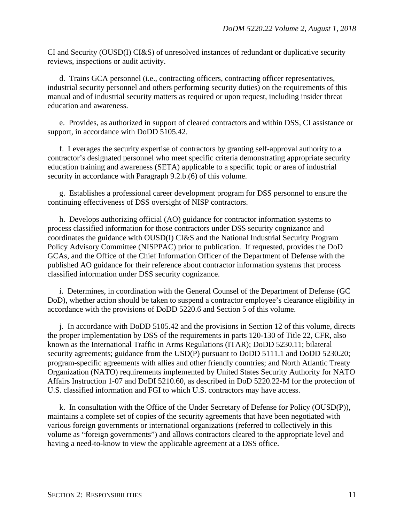CI and Security (OUSD(I) CI&S) of unresolved instances of redundant or duplicative security reviews, inspections or audit activity.

d. Trains GCA personnel (i.e., contracting officers, contracting officer representatives, industrial security personnel and others performing security duties) on the requirements of this manual and of industrial security matters as required or upon request, including insider threat education and awareness.

e. Provides, as authorized in support of cleared contractors and within DSS, CI assistance or support, in accordance with DoDD 5105.42.

f. Leverages the security expertise of contractors by granting self-approval authority to a contractor's designated personnel who meet specific criteria demonstrating appropriate security education training and awareness (SETA) applicable to a specific topic or area of industrial security in accordance with Paragraph 9.2.b.(6) of this volume.

g. Establishes a professional career development program for DSS personnel to ensure the continuing effectiveness of DSS oversight of NISP contractors.

h. Develops authorizing official (AO) guidance for contractor information systems to process classified information for those contractors under DSS security cognizance and coordinates the guidance with OUSD(I) CI&S and the National Industrial Security Program Policy Advisory Committee (NISPPAC) prior to publication. If requested, provides the DoD GCAs, and the Office of the Chief Information Officer of the Department of Defense with the published AO guidance for their reference about contractor information systems that process classified information under DSS security cognizance.

i. Determines, in coordination with the General Counsel of the Department of Defense (GC DoD), whether action should be taken to suspend a contractor employee's clearance eligibility in accordance with the provisions of DoDD 5220.6 and Section 5 of this volume.

j. In accordance with DoDD 5105.42 and the provisions in Section 12 of this volume, directs the proper implementation by DSS of the requirements in parts 120-130 of Title 22, CFR, also known as the International Traffic in Arms Regulations (ITAR); DoDD 5230.11; bilateral security agreements; guidance from the USD(P) pursuant to DoDD 5111.1 and DoDD 5230.20; program-specific agreements with allies and other friendly countries; and North Atlantic Treaty Organization (NATO) requirements implemented by United States Security Authority for NATO Affairs Instruction 1-07 and DoDI 5210.60, as described in DoD 5220.22-M for the protection of U.S. classified information and FGI to which U.S. contractors may have access.

k. In consultation with the Office of the Under Secretary of Defense for Policy (OUSD(P)), maintains a complete set of copies of the security agreements that have been negotiated with various foreign governments or international organizations (referred to collectively in this volume as "foreign governments") and allows contractors cleared to the appropriate level and having a need-to-know to view the applicable agreement at a DSS office.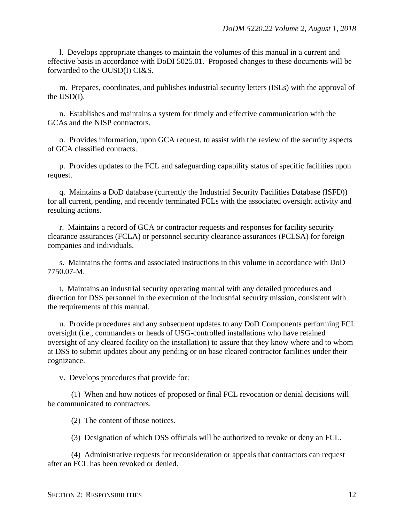l. Develops appropriate changes to maintain the volumes of this manual in a current and effective basis in accordance with DoDI 5025.01. Proposed changes to these documents will be forwarded to the OUSD(I) CI&S.

m. Prepares, coordinates, and publishes industrial security letters (ISLs) with the approval of the USD(I).

n. Establishes and maintains a system for timely and effective communication with the GCAs and the NISP contractors.

o. Provides information, upon GCA request, to assist with the review of the security aspects of GCA classified contracts.

p. Provides updates to the FCL and safeguarding capability status of specific facilities upon request.

q. Maintains a DoD database (currently the Industrial Security Facilities Database (ISFD)) for all current, pending, and recently terminated FCLs with the associated oversight activity and resulting actions.

r. Maintains a record of GCA or contractor requests and responses for facility security clearance assurances (FCLA) or personnel security clearance assurances (PCLSA) for foreign companies and individuals.

s. Maintains the forms and associated instructions in this volume in accordance with DoD 7750.07-M.

t. Maintains an industrial security operating manual with any detailed procedures and direction for DSS personnel in the execution of the industrial security mission, consistent with the requirements of this manual.

u. Provide procedures and any subsequent updates to any DoD Components performing FCL oversight (i.e., commanders or heads of USG-controlled installations who have retained oversight of any cleared facility on the installation) to assure that they know where and to whom at DSS to submit updates about any pending or on base cleared contractor facilities under their cognizance.

v. Develops procedures that provide for:

(1) When and how notices of proposed or final FCL revocation or denial decisions will be communicated to contractors.

(2) The content of those notices.

(3) Designation of which DSS officials will be authorized to revoke or deny an FCL.

(4) Administrative requests for reconsideration or appeals that contractors can request after an FCL has been revoked or denied.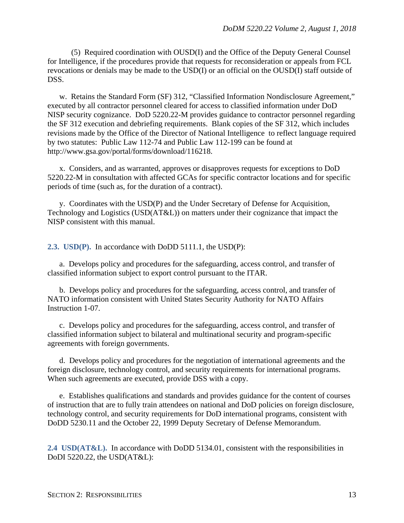(5) Required coordination with OUSD(I) and the Office of the Deputy General Counsel for Intelligence, if the procedures provide that requests for reconsideration or appeals from FCL revocations or denials may be made to the USD(I) or an official on the OUSD(I) staff outside of DSS.

w. Retains the Standard Form (SF) 312, "Classified Information Nondisclosure Agreement," executed by all contractor personnel cleared for access to classified information under DoD NISP security cognizance. DoD 5220.22-M provides guidance to contractor personnel regarding the SF 312 execution and debriefing requirements. Blank copies of the SF 312, which includes revisions made by the Office of the Director of National Intelligence to reflect language required by two statutes: Public Law 112-74 and Public Law 112-199 can be found at http://www.gsa.gov/portal/forms/download/116218.

x. Considers, and as warranted, approves or disapproves requests for exceptions to DoD 5220.22-M in consultation with affected GCAs for specific contractor locations and for specific periods of time (such as, for the duration of a contract).

y. Coordinates with the USD(P) and the Under Secretary of Defense for Acquisition, Technology and Logistics (USD(AT&L)) on matters under their cognizance that impact the NISP consistent with this manual.

<span id="page-12-0"></span>**2.3. USD(P).** In accordance with DoDD 5111.1, the USD(P):

a. Develops policy and procedures for the safeguarding, access control, and transfer of classified information subject to export control pursuant to the ITAR.

b. Develops policy and procedures for the safeguarding, access control, and transfer of NATO information consistent with United States Security Authority for NATO Affairs Instruction 1-07.

c. Develops policy and procedures for the safeguarding, access control, and transfer of classified information subject to bilateral and multinational security and program-specific agreements with foreign governments.

d. Develops policy and procedures for the negotiation of international agreements and the foreign disclosure, technology control, and security requirements for international programs. When such agreements are executed, provide DSS with a copy.

e. Establishes qualifications and standards and provides guidance for the content of courses of instruction that are to fully train attendees on national and DoD policies on foreign disclosure, technology control, and security requirements for DoD international programs, consistent with DoDD 5230.11 and the October 22, 1999 Deputy Secretary of Defense Memorandum.

<span id="page-12-1"></span>**2.4 USD(AT&L).** In accordance with DoDD 5134.01, consistent with the responsibilities in DoDI 5220.22, the USD(AT&L):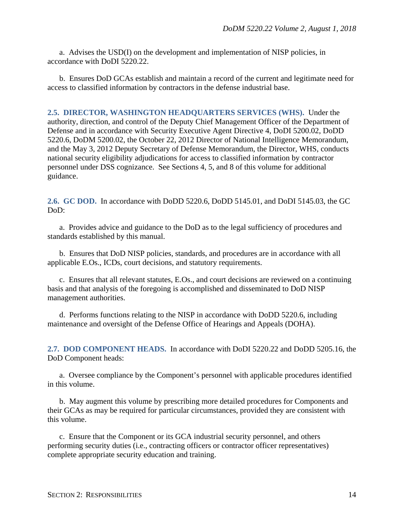a. Advises the USD(I) on the development and implementation of NISP policies, in accordance with DoDI 5220.22.

b. Ensures DoD GCAs establish and maintain a record of the current and legitimate need for access to classified information by contractors in the defense industrial base.

<span id="page-13-0"></span>**2.5. DIRECTOR, WASHINGTON HEADQUARTERS SERVICES (WHS).** Under the authority, direction, and control of the Deputy Chief Management Officer of the Department of Defense and in accordance with Security Executive Agent Directive 4, DoDI 5200.02, DoDD 5220.6, DoDM 5200.02, the October 22, 2012 Director of National Intelligence Memorandum, and the May 3, 2012 Deputy Secretary of Defense Memorandum, the Director, WHS, conducts national security eligibility adjudications for access to classified information by contractor personnel under DSS cognizance. See Sections 4, 5, and 8 of this volume for additional guidance.

<span id="page-13-1"></span>**2.6. GC DOD.** In accordance with DoDD 5220.6, DoDD 5145.01, and DoDI 5145.03, the GC DoD:

a. Provides advice and guidance to the DoD as to the legal sufficiency of procedures and standards established by this manual.

b. Ensures that DoD NISP policies, standards, and procedures are in accordance with all applicable E.Os., ICDs, court decisions, and statutory requirements.

c. Ensures that all relevant statutes, E.Os., and court decisions are reviewed on a continuing basis and that analysis of the foregoing is accomplished and disseminated to DoD NISP management authorities.

d. Performs functions relating to the NISP in accordance with DoDD 5220.6, including maintenance and oversight of the Defense Office of Hearings and Appeals (DOHA).

<span id="page-13-2"></span>**2.7. DOD COMPONENT HEADS.** In accordance with DoDI 5220.22 and DoDD 5205.16, the DoD Component heads:

a. Oversee compliance by the Component's personnel with applicable procedures identified in this volume.

b. May augment this volume by prescribing more detailed procedures for Components and their GCAs as may be required for particular circumstances, provided they are consistent with this volume.

c. Ensure that the Component or its GCA industrial security personnel, and others performing security duties (i.e., contracting officers or contractor officer representatives) complete appropriate security education and training.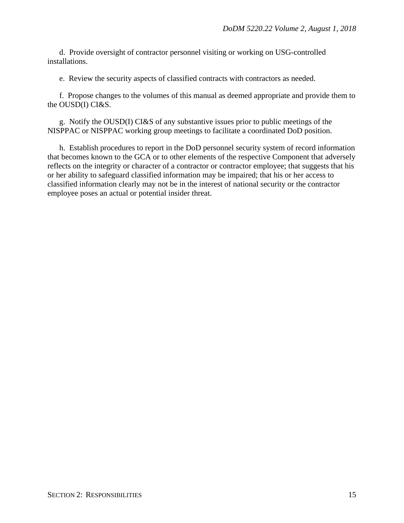d. Provide oversight of contractor personnel visiting or working on USG-controlled installations.

e. Review the security aspects of classified contracts with contractors as needed.

f. Propose changes to the volumes of this manual as deemed appropriate and provide them to the OUSD(I) CI&S.

g. Notify the OUSD(I) CI&S of any substantive issues prior to public meetings of the NISPPAC or NISPPAC working group meetings to facilitate a coordinated DoD position.

h. Establish procedures to report in the DoD personnel security system of record information that becomes known to the GCA or to other elements of the respective Component that adversely reflects on the integrity or character of a contractor or contractor employee; that suggests that his or her ability to safeguard classified information may be impaired; that his or her access to classified information clearly may not be in the interest of national security or the contractor employee poses an actual or potential insider threat.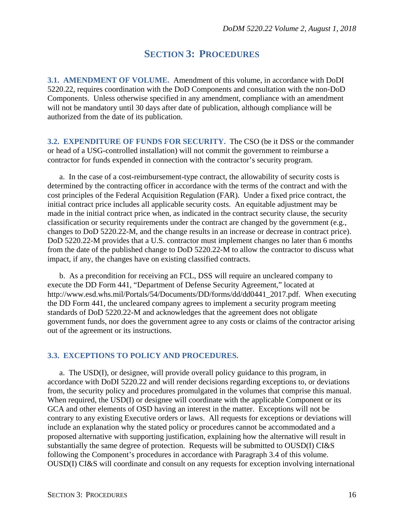## **SECTION 3: PROCEDURES**

<span id="page-15-1"></span><span id="page-15-0"></span>**3.1. AMENDMENT OF VOLUME.** Amendment of this volume, in accordance with DoDI 5220.22, requires coordination with the DoD Components and consultation with the non-DoD Components. Unless otherwise specified in any amendment, compliance with an amendment will not be mandatory until 30 days after date of publication, although compliance will be authorized from the date of its publication.

<span id="page-15-2"></span>**3.2. EXPENDITURE OF FUNDS FOR SECURITY.** The CSO (be it DSS or the commander or head of a USG-controlled installation) will not commit the government to reimburse a contractor for funds expended in connection with the contractor's security program.

a. In the case of a cost-reimbursement-type contract, the allowability of security costs is determined by the contracting officer in accordance with the terms of the contract and with the cost principles of the Federal Acquisition Regulation (FAR). Under a fixed price contract, the initial contract price includes all applicable security costs. An equitable adjustment may be made in the initial contract price when, as indicated in the contract security clause, the security classification or security requirements under the contract are changed by the government (e.g., changes to DoD 5220.22-M, and the change results in an increase or decrease in contract price). DoD 5220.22-M provides that a U.S. contractor must implement changes no later than 6 months from the date of the published change to DoD 5220.22-M to allow the contractor to discuss what impact, if any, the changes have on existing classified contracts.

b. As a precondition for receiving an FCL, DSS will require an uncleared company to execute the DD Form 441, "Department of Defense Security Agreement," located at http://www.esd.whs.mil/Portals/54/Documents/DD/forms/dd/dd0441\_2017.pdf. When executing the DD Form 441, the uncleared company agrees to implement a security program meeting standards of DoD 5220.22-M and acknowledges that the agreement does not obligate government funds, nor does the government agree to any costs or claims of the contractor arising out of the agreement or its instructions.

#### <span id="page-15-3"></span>**3.3. EXCEPTIONS TO POLICY AND PROCEDURES.**

a. The USD(I), or designee, will provide overall policy guidance to this program, in accordance with DoDI 5220.22 and will render decisions regarding exceptions to, or deviations from, the security policy and procedures promulgated in the volumes that comprise this manual. When required, the USD(I) or designee will coordinate with the applicable Component or its GCA and other elements of OSD having an interest in the matter. Exceptions will not be contrary to any existing Executive orders or laws. All requests for exceptions or deviations will include an explanation why the stated policy or procedures cannot be accommodated and a proposed alternative with supporting justification, explaining how the alternative will result in substantially the same degree of protection. Requests will be submitted to OUSD(I) CI&S following the Component's procedures in accordance with Paragraph 3.4 of this volume. OUSD(I) CI&S will coordinate and consult on any requests for exception involving international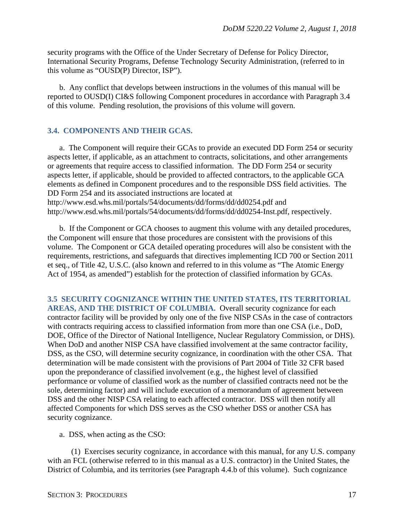security programs with the Office of the Under Secretary of Defense for Policy Director, International Security Programs, Defense Technology Security Administration, (referred to in this volume as "OUSD(P) Director, ISP").

b. Any conflict that develops between instructions in the volumes of this manual will be reported to OUSD(I) CI&S following Component procedures in accordance with Paragraph 3.4 of this volume. Pending resolution, the provisions of this volume will govern.

#### <span id="page-16-0"></span>**3.4. COMPONENTS AND THEIR GCAS.**

a. The Component will require their GCAs to provide an executed DD Form 254 or security aspects letter, if applicable, as an attachment to contracts, solicitations, and other arrangements or agreements that require access to classified information. The DD Form 254 or security aspects letter, if applicable, should be provided to affected contractors, to the applicable GCA elements as defined in Component procedures and to the responsible DSS field activities. The DD Form 254 and its associated instructions are located at http://www.esd.whs.mil/portals/54/documents/dd/forms/dd/dd0254.pdf and http://www.esd.whs.mil/portals/54/documents/dd/forms/dd/dd0254-Inst.pdf, respectively.

b. If the Component or GCA chooses to augment this volume with any detailed procedures, the Component will ensure that those procedures are consistent with the provisions of this volume. The Component or GCA detailed operating procedures will also be consistent with the requirements, restrictions, and safeguards that directives implementing ICD 700 or Section 2011 et seq., of Title 42, U.S.C. (also known and referred to in this volume as "The Atomic Energy Act of 1954, as amended") establish for the protection of classified information by GCAs.

<span id="page-16-1"></span>**3.5 SECURITY COGNIZANCE WITHIN THE UNITED STATES, ITS TERRITORIAL AREAS, AND THE DISTRICT OF COLUMBIA.** Overall security cognizance for each contractor facility will be provided by only one of the five NISP CSAs in the case of contractors with contracts requiring access to classified information from more than one CSA (i.e., DoD, DOE, Office of the Director of National Intelligence, Nuclear Regulatory Commission, or DHS). When DoD and another NISP CSA have classified involvement at the same contractor facility, DSS, as the CSO, will determine security cognizance, in coordination with the other CSA. That determination will be made consistent with the provisions of Part 2004 of Title 32 CFR based upon the preponderance of classified involvement (e.g., the highest level of classified performance or volume of classified work as the number of classified contracts need not be the sole, determining factor) and will include execution of a memorandum of agreement between DSS and the other NISP CSA relating to each affected contractor. DSS will then notify all affected Components for which DSS serves as the CSO whether DSS or another CSA has security cognizance.

a. DSS, when acting as the CSO:

(1) Exercises security cognizance, in accordance with this manual, for any U.S. company with an FCL (otherwise referred to in this manual as a U.S. contractor) in the United States, the District of Columbia, and its territories (see Paragraph 4.4.b of this volume). Such cognizance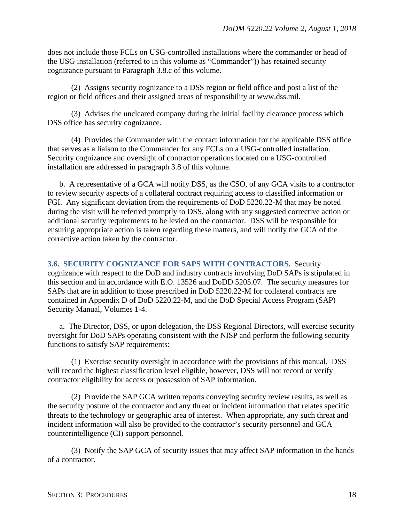does not include those FCLs on USG-controlled installations where the commander or head of the USG installation (referred to in this volume as "Commander")) has retained security cognizance pursuant to Paragraph 3.8.c of this volume.

(2) Assigns security cognizance to a DSS region or field office and post a list of the region or field offices and their assigned areas of responsibility at www.dss.mil.

(3) Advises the uncleared company during the initial facility clearance process which DSS office has security cognizance.

(4) Provides the Commander with the contact information for the applicable DSS office that serves as a liaison to the Commander for any FCLs on a USG-controlled installation. Security cognizance and oversight of contractor operations located on a USG-controlled installation are addressed in paragraph 3.8 of this volume.

b. A representative of a GCA will notify DSS, as the CSO, of any GCA visits to a contractor to review security aspects of a collateral contract requiring access to classified information or FGI. Any significant deviation from the requirements of DoD 5220.22-M that may be noted during the visit will be referred promptly to DSS, along with any suggested corrective action or additional security requirements to be levied on the contractor. DSS will be responsible for ensuring appropriate action is taken regarding these matters, and will notify the GCA of the corrective action taken by the contractor.

<span id="page-17-0"></span>**3.6. SECURITY COGNIZANCE FOR SAPS WITH CONTRACTORS.** Security cognizance with respect to the DoD and industry contracts involving DoD SAPs is stipulated in this section and in accordance with E.O. 13526 and DoDD 5205.07. The security measures for SAPs that are in addition to those prescribed in DoD 5220.22-M for collateral contracts are contained in Appendix D of DoD 5220.22-M, and the DoD Special Access Program (SAP) Security Manual, Volumes 1-4.

a. The Director, DSS, or upon delegation, the DSS Regional Directors, will exercise security oversight for DoD SAPs operating consistent with the NISP and perform the following security functions to satisfy SAP requirements:

(1) Exercise security oversight in accordance with the provisions of this manual. DSS will record the highest classification level eligible, however, DSS will not record or verify contractor eligibility for access or possession of SAP information.

(2) Provide the SAP GCA written reports conveying security review results, as well as the security posture of the contractor and any threat or incident information that relates specific threats to the technology or geographic area of interest. When appropriate, any such threat and incident information will also be provided to the contractor's security personnel and GCA counterintelligence (CI) support personnel.

(3) Notify the SAP GCA of security issues that may affect SAP information in the hands of a contractor.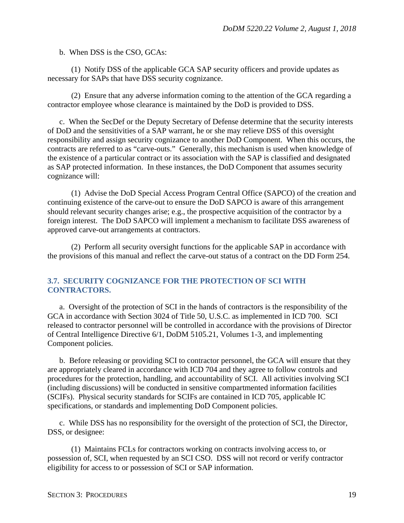b. When DSS is the CSO, GCAs:

(1) Notify DSS of the applicable GCA SAP security officers and provide updates as necessary for SAPs that have DSS security cognizance.

(2) Ensure that any adverse information coming to the attention of the GCA regarding a contractor employee whose clearance is maintained by the DoD is provided to DSS.

c. When the SecDef or the Deputy Secretary of Defense determine that the security interests of DoD and the sensitivities of a SAP warrant, he or she may relieve DSS of this oversight responsibility and assign security cognizance to another DoD Component. When this occurs, the contracts are referred to as "carve-outs." Generally, this mechanism is used when knowledge of the existence of a particular contract or its association with the SAP is classified and designated as SAP protected information. In these instances, the DoD Component that assumes security cognizance will:

(1) Advise the DoD Special Access Program Central Office (SAPCO) of the creation and continuing existence of the carve-out to ensure the DoD SAPCO is aware of this arrangement should relevant security changes arise; e.g., the prospective acquisition of the contractor by a foreign interest. The DoD SAPCO will implement a mechanism to facilitate DSS awareness of approved carve-out arrangements at contractors.

(2) Perform all security oversight functions for the applicable SAP in accordance with the provisions of this manual and reflect the carve-out status of a contract on the DD Form 254.

#### <span id="page-18-0"></span>**3.7. SECURITY COGNIZANCE FOR THE PROTECTION OF SCI WITH CONTRACTORS.**

a. Oversight of the protection of SCI in the hands of contractors is the responsibility of the GCA in accordance with Section 3024 of Title 50, U.S.C. as implemented in ICD 700. SCI released to contractor personnel will be controlled in accordance with the provisions of Director of Central Intelligence Directive 6/1, DoDM 5105.21, Volumes 1-3, and implementing Component policies.

b. Before releasing or providing SCI to contractor personnel, the GCA will ensure that they are appropriately cleared in accordance with ICD 704 and they agree to follow controls and procedures for the protection, handling, and accountability of SCI. All activities involving SCI (including discussions) will be conducted in sensitive compartmented information facilities (SCIFs). Physical security standards for SCIFs are contained in ICD 705, applicable IC specifications, or standards and implementing DoD Component policies.

c. While DSS has no responsibility for the oversight of the protection of SCI, the Director, DSS, or designee:

(1) Maintains FCLs for contractors working on contracts involving access to, or possession of, SCI, when requested by an SCI CSO. DSS will not record or verify contractor eligibility for access to or possession of SCI or SAP information.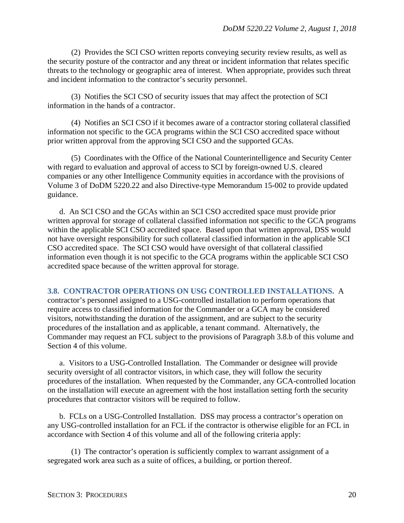(2) Provides the SCI CSO written reports conveying security review results, as well as the security posture of the contractor and any threat or incident information that relates specific threats to the technology or geographic area of interest. When appropriate, provides such threat and incident information to the contractor's security personnel.

(3) Notifies the SCI CSO of security issues that may affect the protection of SCI information in the hands of a contractor.

(4) Notifies an SCI CSO if it becomes aware of a contractor storing collateral classified information not specific to the GCA programs within the SCI CSO accredited space without prior written approval from the approving SCI CSO and the supported GCAs.

(5) Coordinates with the Office of the National Counterintelligence and Security Center with regard to evaluation and approval of access to SCI by foreign-owned U.S. cleared companies or any other Intelligence Community equities in accordance with the provisions of Volume 3 of DoDM 5220.22 and also Directive-type Memorandum 15-002 to provide updated guidance.

d. An SCI CSO and the GCAs within an SCI CSO accredited space must provide prior written approval for storage of collateral classified information not specific to the GCA programs within the applicable SCI CSO accredited space. Based upon that written approval, DSS would not have oversight responsibility for such collateral classified information in the applicable SCI CSO accredited space. The SCI CSO would have oversight of that collateral classified information even though it is not specific to the GCA programs within the applicable SCI CSO accredited space because of the written approval for storage.

#### <span id="page-19-0"></span>**3.8. CONTRACTOR OPERATIONS ON USG CONTROLLED INSTALLATIONS.** A

contractor's personnel assigned to a USG-controlled installation to perform operations that require access to classified information for the Commander or a GCA may be considered visitors, notwithstanding the duration of the assignment, and are subject to the security procedures of the installation and as applicable, a tenant command. Alternatively, the Commander may request an FCL subject to the provisions of Paragraph 3.8.b of this volume and Section 4 of this volume.

a. Visitors to a USG-Controlled Installation. The Commander or designee will provide security oversight of all contractor visitors, in which case, they will follow the security procedures of the installation. When requested by the Commander, any GCA-controlled location on the installation will execute an agreement with the host installation setting forth the security procedures that contractor visitors will be required to follow.

b. FCLs on a USG-Controlled Installation. DSS may process a contractor's operation on any USG-controlled installation for an FCL if the contractor is otherwise eligible for an FCL in accordance with Section 4 of this volume and all of the following criteria apply:

(1) The contractor's operation is sufficiently complex to warrant assignment of a segregated work area such as a suite of offices, a building, or portion thereof.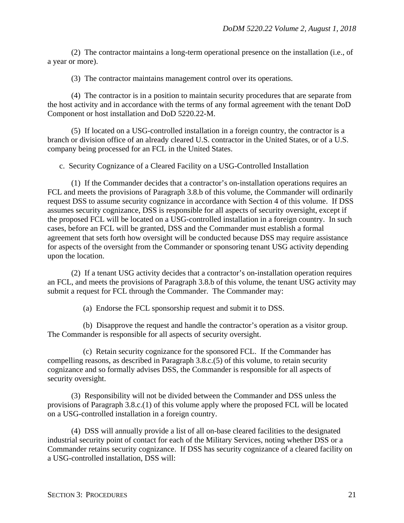(2) The contractor maintains a long-term operational presence on the installation (i.e., of a year or more).

(3) The contractor maintains management control over its operations.

(4) The contractor is in a position to maintain security procedures that are separate from the host activity and in accordance with the terms of any formal agreement with the tenant DoD Component or host installation and DoD 5220.22-M.

(5) If located on a USG-controlled installation in a foreign country, the contractor is a branch or division office of an already cleared U.S. contractor in the United States, or of a U.S. company being processed for an FCL in the United States.

c. Security Cognizance of a Cleared Facility on a USG-Controlled Installation

(1) If the Commander decides that a contractor's on-installation operations requires an FCL and meets the provisions of Paragraph 3.8.b of this volume, the Commander will ordinarily request DSS to assume security cognizance in accordance with Section 4 of this volume. If DSS assumes security cognizance, DSS is responsible for all aspects of security oversight, except if the proposed FCL will be located on a USG-controlled installation in a foreign country. In such cases, before an FCL will be granted, DSS and the Commander must establish a formal agreement that sets forth how oversight will be conducted because DSS may require assistance for aspects of the oversight from the Commander or sponsoring tenant USG activity depending upon the location.

(2) If a tenant USG activity decides that a contractor's on-installation operation requires an FCL, and meets the provisions of Paragraph 3.8.b of this volume, the tenant USG activity may submit a request for FCL through the Commander. The Commander may:

(a) Endorse the FCL sponsorship request and submit it to DSS.

(b) Disapprove the request and handle the contractor's operation as a visitor group. The Commander is responsible for all aspects of security oversight.

(c) Retain security cognizance for the sponsored FCL. If the Commander has compelling reasons, as described in Paragraph 3.8.c.(5) of this volume, to retain security cognizance and so formally advises DSS, the Commander is responsible for all aspects of security oversight.

(3) Responsibility will not be divided between the Commander and DSS unless the provisions of Paragraph 3.8.c.(1) of this volume apply where the proposed FCL will be located on a USG-controlled installation in a foreign country.

(4) DSS will annually provide a list of all on-base cleared facilities to the designated industrial security point of contact for each of the Military Services, noting whether DSS or a Commander retains security cognizance. If DSS has security cognizance of a cleared facility on a USG-controlled installation, DSS will: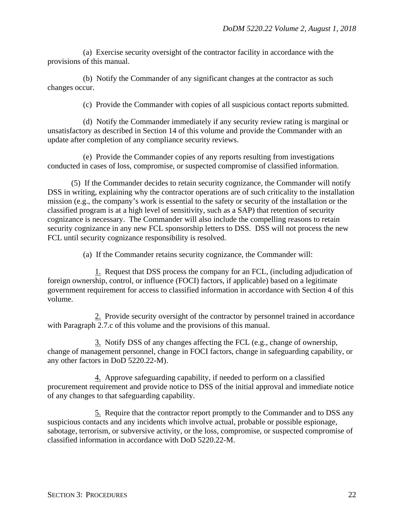(a) Exercise security oversight of the contractor facility in accordance with the provisions of this manual.

(b) Notify the Commander of any significant changes at the contractor as such changes occur.

(c) Provide the Commander with copies of all suspicious contact reports submitted.

(d) Notify the Commander immediately if any security review rating is marginal or unsatisfactory as described in Section 14 of this volume and provide the Commander with an update after completion of any compliance security reviews.

(e) Provide the Commander copies of any reports resulting from investigations conducted in cases of loss, compromise, or suspected compromise of classified information.

(5) If the Commander decides to retain security cognizance, the Commander will notify DSS in writing, explaining why the contractor operations are of such criticality to the installation mission (e.g., the company's work is essential to the safety or security of the installation or the classified program is at a high level of sensitivity, such as a SAP) that retention of security cognizance is necessary. The Commander will also include the compelling reasons to retain security cognizance in any new FCL sponsorship letters to DSS. DSS will not process the new FCL until security cognizance responsibility is resolved.

(a) If the Commander retains security cognizance, the Commander will:

1. Request that DSS process the company for an FCL, (including adjudication of foreign ownership, control, or influence (FOCI) factors, if applicable) based on a legitimate government requirement for access to classified information in accordance with Section 4 of this volume.

2. Provide security oversight of the contractor by personnel trained in accordance with Paragraph 2.7.c of this volume and the provisions of this manual.

3. Notify DSS of any changes affecting the FCL (e.g., change of ownership, change of management personnel, change in FOCI factors, change in safeguarding capability, or any other factors in DoD 5220.22-M).

4. Approve safeguarding capability, if needed to perform on a classified procurement requirement and provide notice to DSS of the initial approval and immediate notice of any changes to that safeguarding capability.

5. Require that the contractor report promptly to the Commander and to DSS any suspicious contacts and any incidents which involve actual, probable or possible espionage, sabotage, terrorism, or subversive activity, or the loss, compromise, or suspected compromise of classified information in accordance with DoD 5220.22-M.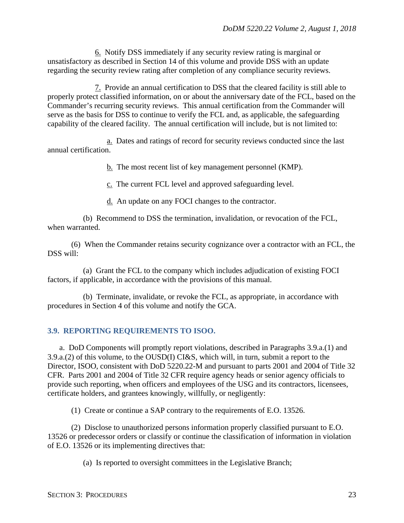6. Notify DSS immediately if any security review rating is marginal or unsatisfactory as described in Section 14 of this volume and provide DSS with an update regarding the security review rating after completion of any compliance security reviews.

7. Provide an annual certification to DSS that the cleared facility is still able to properly protect classified information, on or about the anniversary date of the FCL, based on the Commander's recurring security reviews. This annual certification from the Commander will serve as the basis for DSS to continue to verify the FCL and, as applicable, the safeguarding capability of the cleared facility. The annual certification will include, but is not limited to:

a. Dates and ratings of record for security reviews conducted since the last annual certification.

b. The most recent list of key management personnel (KMP).

c. The current FCL level and approved safeguarding level.

d. An update on any FOCI changes to the contractor.

(b) Recommend to DSS the termination, invalidation, or revocation of the FCL, when warranted.

(6) When the Commander retains security cognizance over a contractor with an FCL, the DSS will:

(a) Grant the FCL to the company which includes adjudication of existing FOCI factors, if applicable, in accordance with the provisions of this manual.

(b) Terminate, invalidate, or revoke the FCL, as appropriate, in accordance with procedures in Section 4 of this volume and notify the GCA.

#### <span id="page-22-0"></span>**3.9. REPORTING REQUIREMENTS TO ISOO.**

a. DoD Components will promptly report violations, described in Paragraphs 3.9.a.(1) and 3.9.a.(2) of this volume, to the OUSD(I) CI&S, which will, in turn, submit a report to the Director, ISOO, consistent with DoD 5220.22-M and pursuant to parts 2001 and 2004 of Title 32 CFR. Parts 2001 and 2004 of Title 32 CFR require agency heads or senior agency officials to provide such reporting, when officers and employees of the USG and its contractors, licensees, certificate holders, and grantees knowingly, willfully, or negligently:

(1) Create or continue a SAP contrary to the requirements of E.O. 13526.

(2) Disclose to unauthorized persons information properly classified pursuant to E.O. 13526 or predecessor orders or classify or continue the classification of information in violation of E.O. 13526 or its implementing directives that:

(a) Is reported to oversight committees in the Legislative Branch;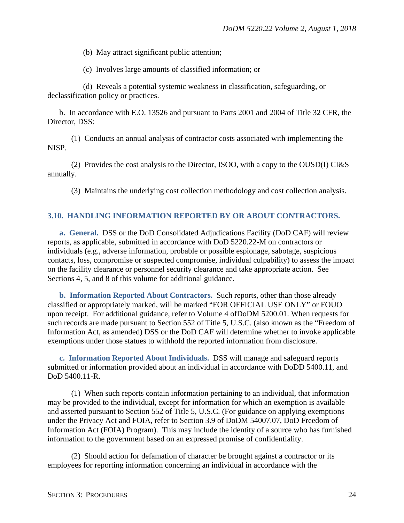(b) May attract significant public attention;

(c) Involves large amounts of classified information; or

(d) Reveals a potential systemic weakness in classification, safeguarding, or declassification policy or practices.

b. In accordance with E.O. 13526 and pursuant to Parts 2001 and 2004 of Title 32 CFR, the Director, DSS:

(1) Conducts an annual analysis of contractor costs associated with implementing the NISP.

(2) Provides the cost analysis to the Director, ISOO, with a copy to the OUSD(I) CI&S annually.

(3) Maintains the underlying cost collection methodology and cost collection analysis.

#### <span id="page-23-0"></span>**3.10. HANDLING INFORMATION REPORTED BY OR ABOUT CONTRACTORS.**

<span id="page-23-1"></span>**a. General.** DSS or the DoD Consolidated Adjudications Facility (DoD CAF) will review reports, as applicable, submitted in accordance with DoD 5220.22-M on contractors or individuals (e.g., adverse information, probable or possible espionage, sabotage, suspicious contacts, loss, compromise or suspected compromise, individual culpability) to assess the impact on the facility clearance or personnel security clearance and take appropriate action. See Sections 4, 5, and 8 of this volume for additional guidance.

<span id="page-23-2"></span>**b. Information Reported About Contractors.** Such reports, other than those already classified or appropriately marked, will be marked "FOR OFFICIAL USE ONLY" or FOUO upon receipt. For additional guidance, refer to Volume 4 ofDoDM 5200.01. When requests for such records are made pursuant to Section 552 of Title 5, U.S.C. (also known as the "Freedom of Information Act, as amended) DSS or the DoD CAF will determine whether to invoke applicable exemptions under those statues to withhold the reported information from disclosure.

<span id="page-23-3"></span>**c. Information Reported About Individuals.** DSS will manage and safeguard reports submitted or information provided about an individual in accordance with DoDD 5400.11, and DoD 5400.11-R.

(1) When such reports contain information pertaining to an individual, that information may be provided to the individual, except for information for which an exemption is available and asserted pursuant to Section 552 of Title 5, U.S.C. (For guidance on applying exemptions under the Privacy Act and FOIA, refer to Section 3.9 of DoDM 54007.07, DoD Freedom of Information Act (FOIA) Program). This may include the identity of a source who has furnished information to the government based on an expressed promise of confidentiality.

(2) Should action for defamation of character be brought against a contractor or its employees for reporting information concerning an individual in accordance with the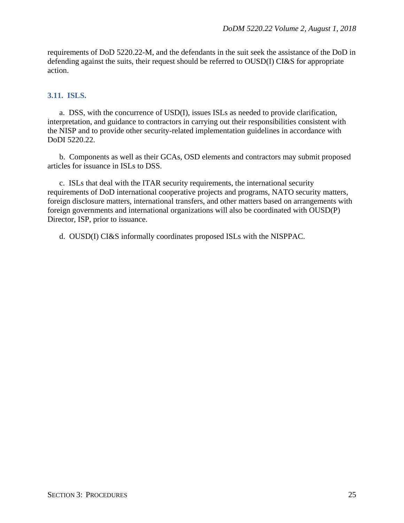requirements of DoD 5220.22-M, and the defendants in the suit seek the assistance of the DoD in defending against the suits, their request should be referred to OUSD(I) CI&S for appropriate action.

#### <span id="page-24-0"></span>**3.11. ISLS.**

a. DSS, with the concurrence of USD(I), issues ISLs as needed to provide clarification, interpretation, and guidance to contractors in carrying out their responsibilities consistent with the NISP and to provide other security-related implementation guidelines in accordance with DoDI 5220.22.

b. Components as well as their GCAs, OSD elements and contractors may submit proposed articles for issuance in ISLs to DSS.

c. ISLs that deal with the ITAR security requirements, the international security requirements of DoD international cooperative projects and programs, NATO security matters, foreign disclosure matters, international transfers, and other matters based on arrangements with foreign governments and international organizations will also be coordinated with OUSD(P) Director, ISP, prior to issuance.

d. OUSD(I) CI&S informally coordinates proposed ISLs with the NISPPAC.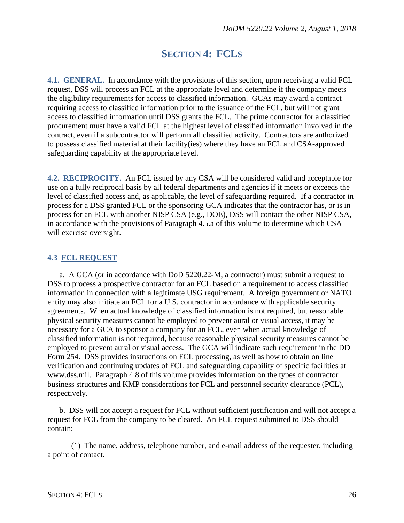## **SECTION 4: FCLS**

<span id="page-25-1"></span><span id="page-25-0"></span>**4.1. GENERAL.** In accordance with the provisions of this section, upon receiving a valid FCL request, DSS will process an FCL at the appropriate level and determine if the company meets the eligibility requirements for access to classified information. GCAs may award a contract requiring access to classified information prior to the issuance of the FCL, but will not grant access to classified information until DSS grants the FCL. The prime contractor for a classified procurement must have a valid FCL at the highest level of classified information involved in the contract, even if a subcontractor will perform all classified activity. Contractors are authorized to possess classified material at their facility(ies) where they have an FCL and CSA-approved safeguarding capability at the appropriate level.

<span id="page-25-2"></span>**4.2. RECIPROCITY.** An FCL issued by any CSA will be considered valid and acceptable for use on a fully reciprocal basis by all federal departments and agencies if it meets or exceeds the level of classified access and, as applicable, the level of safeguarding required. If a contractor in process for a DSS granted FCL or the sponsoring GCA indicates that the contractor has, or is in process for an FCL with another NISP CSA (e.g., DOE), DSS will contact the other NISP CSA, in accordance with the provisions of Paragraph 4.5.a of this volume to determine which CSA will exercise oversight.

#### <span id="page-25-3"></span>**4.3 FCL REQUEST**

a. A GCA (or in accordance with DoD 5220.22-M, a contractor) must submit a request to DSS to process a prospective contractor for an FCL based on a requirement to access classified information in connection with a legitimate USG requirement. A foreign government or NATO entity may also initiate an FCL for a U.S. contractor in accordance with applicable security agreements. When actual knowledge of classified information is not required, but reasonable physical security measures cannot be employed to prevent aural or visual access, it may be necessary for a GCA to sponsor a company for an FCL, even when actual knowledge of classified information is not required, because reasonable physical security measures cannot be employed to prevent aural or visual access. The GCA will indicate such requirement in the DD Form 254. DSS provides instructions on FCL processing, as well as how to obtain on line verification and continuing updates of FCL and safeguarding capability of specific facilities at www.dss.mil. Paragraph 4.8 of this volume provides information on the types of contractor business structures and KMP considerations for FCL and personnel security clearance (PCL), respectively.

b. DSS will not accept a request for FCL without sufficient justification and will not accept a request for FCL from the company to be cleared. An FCL request submitted to DSS should contain:

(1) The name, address, telephone number, and e-mail address of the requester, including a point of contact.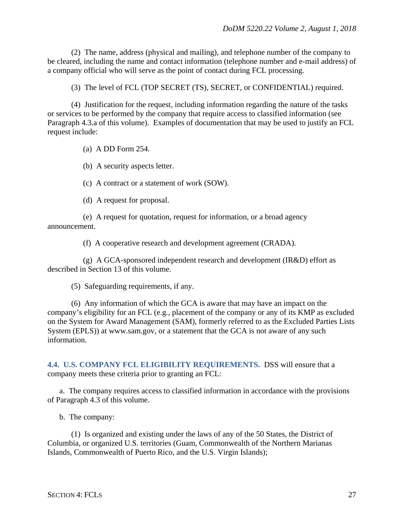(2) The name, address (physical and mailing), and telephone number of the company to be cleared, including the name and contact information (telephone number and e-mail address) of a company official who will serve as the point of contact during FCL processing.

(3) The level of FCL (TOP SECRET (TS), SECRET, or CONFIDENTIAL) required.

(4) Justification for the request, including information regarding the nature of the tasks or services to be performed by the company that require access to classified information (see Paragraph 4.3.a of this volume). Examples of documentation that may be used to justify an FCL request include:

(a) A DD Form 254.

(b) A security aspects letter.

(c) A contract or a statement of work (SOW).

(d) A request for proposal.

(e) A request for quotation, request for information, or a broad agency announcement.

(f) A cooperative research and development agreement (CRADA).

(g) A GCA-sponsored independent research and development (IR&D) effort as described in Section 13 of this volume.

(5) Safeguarding requirements, if any.

(6) Any information of which the GCA is aware that may have an impact on the company's eligibility for an FCL (e.g., placement of the company or any of its KMP as excluded on the System for Award Management (SAM), formerly referred to as the Excluded Parties Lists System (EPLS)) at www.sam.gov, or a statement that the GCA is not aware of any such information.

<span id="page-26-0"></span>**4.4. U.S. COMPANY FCL ELIGIBILITY REQUIREMENTS.** DSS will ensure that a company meets these criteria prior to granting an FCL:

a. The company requires access to classified information in accordance with the provisions of Paragraph 4.3 of this volume.

b. The company:

(1) Is organized and existing under the laws of any of the 50 States, the District of Columbia, or organized U.S. territories (Guam, Commonwealth of the Northern Marianas Islands, Commonwealth of Puerto Rico, and the U.S. Virgin Islands);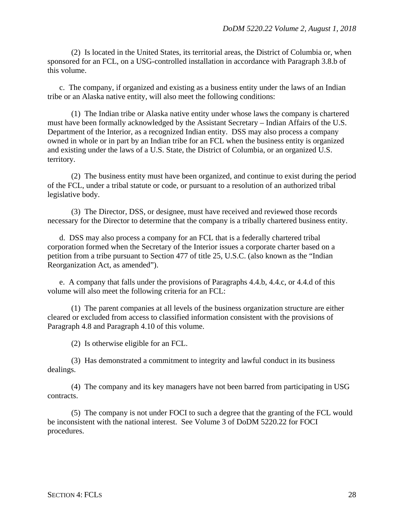(2) Is located in the United States, its territorial areas, the District of Columbia or, when sponsored for an FCL, on a USG-controlled installation in accordance with Paragraph 3.8.b of this volume.

c. The company, if organized and existing as a business entity under the laws of an Indian tribe or an Alaska native entity, will also meet the following conditions:

(1) The Indian tribe or Alaska native entity under whose laws the company is chartered must have been formally acknowledged by the Assistant Secretary – Indian Affairs of the U.S. Department of the Interior, as a recognized Indian entity. DSS may also process a company owned in whole or in part by an Indian tribe for an FCL when the business entity is organized and existing under the laws of a U.S. State, the District of Columbia, or an organized U.S. territory.

(2) The business entity must have been organized, and continue to exist during the period of the FCL, under a tribal statute or code, or pursuant to a resolution of an authorized tribal legislative body.

(3) The Director, DSS, or designee, must have received and reviewed those records necessary for the Director to determine that the company is a tribally chartered business entity.

d. DSS may also process a company for an FCL that is a federally chartered tribal corporation formed when the Secretary of the Interior issues a corporate charter based on a petition from a tribe pursuant to Section 477 of title 25, U.S.C. (also known as the "Indian Reorganization Act, as amended").

e. A company that falls under the provisions of Paragraphs 4.4.b, 4.4.c, or 4.4.d of this volume will also meet the following criteria for an FCL:

(1) The parent companies at all levels of the business organization structure are either cleared or excluded from access to classified information consistent with the provisions of Paragraph 4.8 and Paragraph 4.10 of this volume.

(2) Is otherwise eligible for an FCL.

(3) Has demonstrated a commitment to integrity and lawful conduct in its business dealings.

(4) The company and its key managers have not been barred from participating in USG contracts.

(5) The company is not under FOCI to such a degree that the granting of the FCL would be inconsistent with the national interest. See Volume 3 of DoDM 5220.22 for FOCI procedures.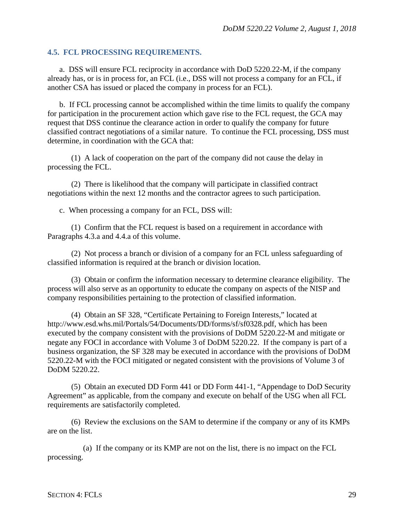#### <span id="page-28-0"></span>**4.5. FCL PROCESSING REQUIREMENTS.**

a. DSS will ensure FCL reciprocity in accordance with DoD 5220.22-M, if the company already has, or is in process for, an FCL (i.e., DSS will not process a company for an FCL, if another CSA has issued or placed the company in process for an FCL).

b. If FCL processing cannot be accomplished within the time limits to qualify the company for participation in the procurement action which gave rise to the FCL request, the GCA may request that DSS continue the clearance action in order to qualify the company for future classified contract negotiations of a similar nature. To continue the FCL processing, DSS must determine, in coordination with the GCA that:

(1) A lack of cooperation on the part of the company did not cause the delay in processing the FCL.

(2) There is likelihood that the company will participate in classified contract negotiations within the next 12 months and the contractor agrees to such participation.

c. When processing a company for an FCL, DSS will:

(1) Confirm that the FCL request is based on a requirement in accordance with Paragraphs 4.3.a and 4.4.a of this volume.

(2) Not process a branch or division of a company for an FCL unless safeguarding of classified information is required at the branch or division location.

(3) Obtain or confirm the information necessary to determine clearance eligibility. The process will also serve as an opportunity to educate the company on aspects of the NISP and company responsibilities pertaining to the protection of classified information.

(4) Obtain an SF 328, "Certificate Pertaining to Foreign Interests," located at http://www.esd.whs.mil/Portals/54/Documents/DD/forms/sf/sf0328.pdf, which has been executed by the company consistent with the provisions of DoDM 5220.22-M and mitigate or negate any FOCI in accordance with Volume 3 of DoDM 5220.22. If the company is part of a business organization, the SF 328 may be executed in accordance with the provisions of DoDM 5220.22-M with the FOCI mitigated or negated consistent with the provisions of Volume 3 of DoDM 5220.22.

(5) Obtain an executed DD Form 441 or DD Form 441-1, "Appendage to DoD Security Agreement" as applicable, from the company and execute on behalf of the USG when all FCL requirements are satisfactorily completed.

(6) Review the exclusions on the SAM to determine if the company or any of its KMPs are on the list.

(a) If the company or its KMP are not on the list, there is no impact on the FCL processing.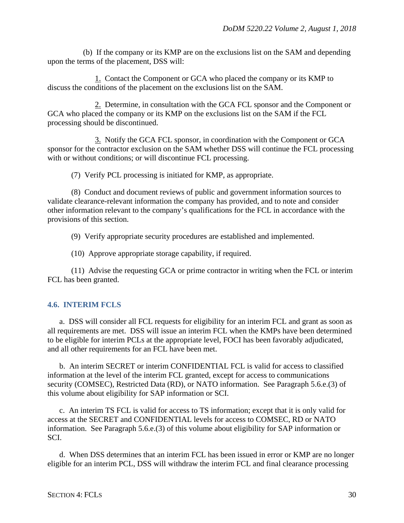(b) If the company or its KMP are on the exclusions list on the SAM and depending upon the terms of the placement, DSS will:

1. Contact the Component or GCA who placed the company or its KMP to discuss the conditions of the placement on the exclusions list on the SAM.

2. Determine, in consultation with the GCA FCL sponsor and the Component or GCA who placed the company or its KMP on the exclusions list on the SAM if the FCL processing should be discontinued.

3. Notify the GCA FCL sponsor, in coordination with the Component or GCA sponsor for the contractor exclusion on the SAM whether DSS will continue the FCL processing with or without conditions; or will discontinue FCL processing.

(7) Verify PCL processing is initiated for KMP, as appropriate.

(8) Conduct and document reviews of public and government information sources to validate clearance-relevant information the company has provided, and to note and consider other information relevant to the company's qualifications for the FCL in accordance with the provisions of this section.

(9) Verify appropriate security procedures are established and implemented.

(10) Approve appropriate storage capability, if required.

(11) Advise the requesting GCA or prime contractor in writing when the FCL or interim FCL has been granted.

#### <span id="page-29-0"></span>**4.6. INTERIM FCLS**

a. DSS will consider all FCL requests for eligibility for an interim FCL and grant as soon as all requirements are met. DSS will issue an interim FCL when the KMPs have been determined to be eligible for interim PCLs at the appropriate level, FOCI has been favorably adjudicated, and all other requirements for an FCL have been met.

b. An interim SECRET or interim CONFIDENTIAL FCL is valid for access to classified information at the level of the interim FCL granted, except for access to communications security (COMSEC), Restricted Data (RD), or NATO information. See Paragraph 5.6.e.(3) of this volume about eligibility for SAP information or SCI.

c. An interim TS FCL is valid for access to TS information; except that it is only valid for access at the SECRET and CONFIDENTIAL levels for access to COMSEC, RD or NATO information. See Paragraph 5.6.e.(3) of this volume about eligibility for SAP information or SCI.

d. When DSS determines that an interim FCL has been issued in error or KMP are no longer eligible for an interim PCL, DSS will withdraw the interim FCL and final clearance processing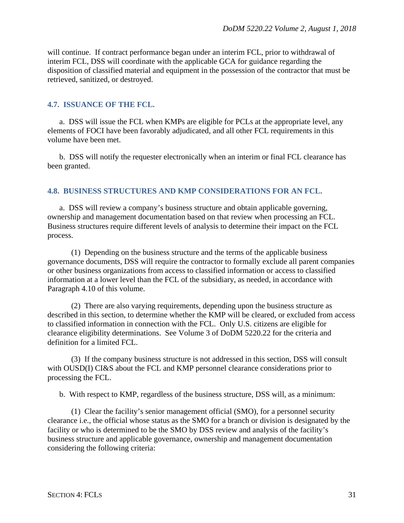will continue. If contract performance began under an interim FCL, prior to withdrawal of interim FCL, DSS will coordinate with the applicable GCA for guidance regarding the disposition of classified material and equipment in the possession of the contractor that must be retrieved, sanitized, or destroyed.

#### <span id="page-30-0"></span>**4.7. ISSUANCE OF THE FCL.**

a. DSS will issue the FCL when KMPs are eligible for PCLs at the appropriate level, any elements of FOCI have been favorably adjudicated, and all other FCL requirements in this volume have been met.

b. DSS will notify the requester electronically when an interim or final FCL clearance has been granted.

#### <span id="page-30-1"></span>**4.8. BUSINESS STRUCTURES AND KMP CONSIDERATIONS FOR AN FCL.**

a. DSS will review a company's business structure and obtain applicable governing, ownership and management documentation based on that review when processing an FCL. Business structures require different levels of analysis to determine their impact on the FCL process.

(1) Depending on the business structure and the terms of the applicable business governance documents, DSS will require the contractor to formally exclude all parent companies or other business organizations from access to classified information or access to classified information at a lower level than the FCL of the subsidiary, as needed, in accordance with Paragraph 4.10 of this volume.

(2) There are also varying requirements, depending upon the business structure as described in this section, to determine whether the KMP will be cleared, or excluded from access to classified information in connection with the FCL. Only U.S. citizens are eligible for clearance eligibility determinations. See Volume 3 of DoDM 5220.22 for the criteria and definition for a limited FCL.

(3) If the company business structure is not addressed in this section, DSS will consult with OUSD(I) CI&S about the FCL and KMP personnel clearance considerations prior to processing the FCL.

b. With respect to KMP, regardless of the business structure, DSS will, as a minimum:

(1) Clear the facility's senior management official (SMO), for a personnel security clearance i.e., the official whose status as the SMO for a branch or division is designated by the facility or who is determined to be the SMO by DSS review and analysis of the facility's business structure and applicable governance, ownership and management documentation considering the following criteria: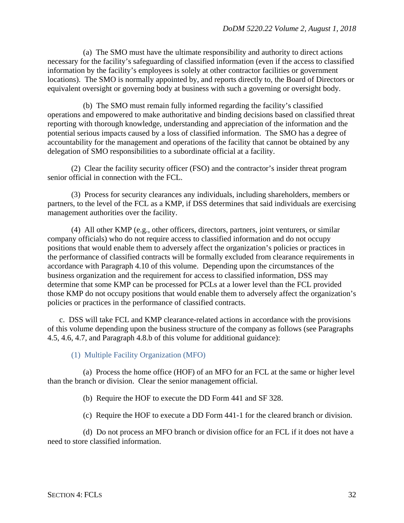(a) The SMO must have the ultimate responsibility and authority to direct actions necessary for the facility's safeguarding of classified information (even if the access to classified information by the facility's employees is solely at other contractor facilities or government locations). The SMO is normally appointed by, and reports directly to, the Board of Directors or equivalent oversight or governing body at business with such a governing or oversight body.

(b) The SMO must remain fully informed regarding the facility's classified operations and empowered to make authoritative and binding decisions based on classified threat reporting with thorough knowledge, understanding and appreciation of the information and the potential serious impacts caused by a loss of classified information. The SMO has a degree of accountability for the management and operations of the facility that cannot be obtained by any delegation of SMO responsibilities to a subordinate official at a facility.

(2) Clear the facility security officer (FSO) and the contractor's insider threat program senior official in connection with the FCL.

(3) Process for security clearances any individuals, including shareholders, members or partners, to the level of the FCL as a KMP, if DSS determines that said individuals are exercising management authorities over the facility.

(4) All other KMP (e.g., other officers, directors, partners, joint venturers, or similar company officials) who do not require access to classified information and do not occupy positions that would enable them to adversely affect the organization's policies or practices in the performance of classified contracts will be formally excluded from clearance requirements in accordance with Paragraph 4.10 of this volume. Depending upon the circumstances of the business organization and the requirement for access to classified information, DSS may determine that some KMP can be processed for PCLs at a lower level than the FCL provided those KMP do not occupy positions that would enable them to adversely affect the organization's policies or practices in the performance of classified contracts.

c. DSS will take FCL and KMP clearance-related actions in accordance with the provisions of this volume depending upon the business structure of the company as follows (see Paragraphs 4.5, 4.6, 4.7, and Paragraph 4.8.b of this volume for additional guidance):

(1) Multiple Facility Organization (MFO)

(a) Process the home office (HOF) of an MFO for an FCL at the same or higher level than the branch or division. Clear the senior management official.

(b) Require the HOF to execute the DD Form 441 and SF 328.

(c) Require the HOF to execute a DD Form 441-1 for the cleared branch or division.

(d) Do not process an MFO branch or division office for an FCL if it does not have a need to store classified information.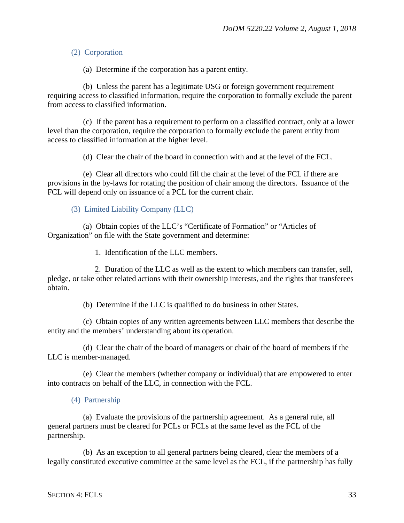#### (2) Corporation

(a) Determine if the corporation has a parent entity.

(b) Unless the parent has a legitimate USG or foreign government requirement requiring access to classified information, require the corporation to formally exclude the parent from access to classified information.

(c) If the parent has a requirement to perform on a classified contract, only at a lower level than the corporation, require the corporation to formally exclude the parent entity from access to classified information at the higher level.

(d) Clear the chair of the board in connection with and at the level of the FCL.

(e) Clear all directors who could fill the chair at the level of the FCL if there are provisions in the by-laws for rotating the position of chair among the directors. Issuance of the FCL will depend only on issuance of a PCL for the current chair.

(3) Limited Liability Company (LLC)

(a) Obtain copies of the LLC's "Certificate of Formation" or "Articles of Organization" on file with the State government and determine:

1. Identification of the LLC members.

2. Duration of the LLC as well as the extent to which members can transfer, sell, pledge, or take other related actions with their ownership interests, and the rights that transferees obtain.

(b) Determine if the LLC is qualified to do business in other States.

(c) Obtain copies of any written agreements between LLC members that describe the entity and the members' understanding about its operation.

(d) Clear the chair of the board of managers or chair of the board of members if the LLC is member-managed.

(e) Clear the members (whether company or individual) that are empowered to enter into contracts on behalf of the LLC, in connection with the FCL.

(a) Evaluate the provisions of the partnership agreement. As a general rule, all general partners must be cleared for PCLs or FCLs at the same level as the FCL of the partnership.

(b) As an exception to all general partners being cleared, clear the members of a legally constituted executive committee at the same level as the FCL, if the partnership has fully

<sup>(4)</sup> Partnership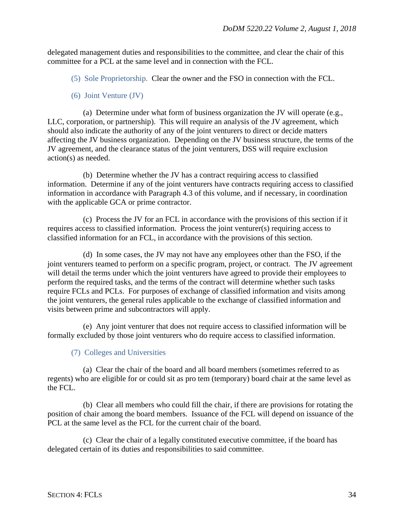delegated management duties and responsibilities to the committee, and clear the chair of this committee for a PCL at the same level and in connection with the FCL.

(5) Sole Proprietorship. Clear the owner and the FSO in connection with the FCL.

(6) Joint Venture (JV)

(a) Determine under what form of business organization the JV will operate (e.g., LLC, corporation, or partnership). This will require an analysis of the JV agreement, which should also indicate the authority of any of the joint venturers to direct or decide matters affecting the JV business organization. Depending on the JV business structure, the terms of the JV agreement, and the clearance status of the joint venturers, DSS will require exclusion action(s) as needed.

(b) Determine whether the JV has a contract requiring access to classified information. Determine if any of the joint venturers have contracts requiring access to classified information in accordance with Paragraph 4.3 of this volume, and if necessary, in coordination with the applicable GCA or prime contractor.

(c) Process the JV for an FCL in accordance with the provisions of this section if it requires access to classified information. Process the joint venturer(s) requiring access to classified information for an FCL, in accordance with the provisions of this section.

(d) In some cases, the JV may not have any employees other than the FSO, if the joint venturers teamed to perform on a specific program, project, or contract. The JV agreement will detail the terms under which the joint venturers have agreed to provide their employees to perform the required tasks, and the terms of the contract will determine whether such tasks require FCLs and PCLs. For purposes of exchange of classified information and visits among the joint venturers, the general rules applicable to the exchange of classified information and visits between prime and subcontractors will apply.

(e) Any joint venturer that does not require access to classified information will be formally excluded by those joint venturers who do require access to classified information.

#### (7) Colleges and Universities

(a) Clear the chair of the board and all board members (sometimes referred to as regents) who are eligible for or could sit as pro tem (temporary) board chair at the same level as the FCL.

(b) Clear all members who could fill the chair, if there are provisions for rotating the position of chair among the board members. Issuance of the FCL will depend on issuance of the PCL at the same level as the FCL for the current chair of the board.

(c) Clear the chair of a legally constituted executive committee, if the board has delegated certain of its duties and responsibilities to said committee.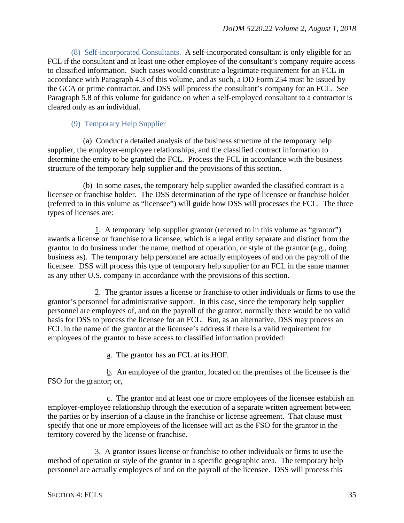(8) Self-incorporated Consultants. A self-incorporated consultant is only eligible for an FCL if the consultant and at least one other employee of the consultant's company require access to classified information. Such cases would constitute a legitimate requirement for an FCL in accordance with Paragraph 4.3 of this volume, and as such, a DD Form 254 must be issued by the GCA or prime contractor, and DSS will process the consultant's company for an FCL. See Paragraph 5.8 of this volume for guidance on when a self-employed consultant to a contractor is cleared only as an individual.

#### (9) Temporary Help Supplier

(a) Conduct a detailed analysis of the business structure of the temporary help supplier, the employer-employee relationships, and the classified contract information to determine the entity to be granted the FCL. Process the FCL in accordance with the business structure of the temporary help supplier and the provisions of this section.

(b) In some cases, the temporary help supplier awarded the classified contract is a licensee or franchise holder. The DSS determination of the type of licensee or franchise holder (referred to in this volume as "licensee") will guide how DSS will processes the FCL. The three types of licenses are:

1. A temporary help supplier grantor (referred to in this volume as "grantor") awards a license or franchise to a licensee, which is a legal entity separate and distinct from the grantor to do business under the name, method of operation, or style of the grantor (e.g., doing business as). The temporary help personnel are actually employees of and on the payroll of the licensee. DSS will process this type of temporary help supplier for an FCL in the same manner as any other U.S. company in accordance with the provisions of this section.

2. The grantor issues a license or franchise to other individuals or firms to use the grantor's personnel for administrative support. In this case, since the temporary help supplier personnel are employees of, and on the payroll of the grantor, normally there would be no valid basis for DSS to process the licensee for an FCL. But, as an alternative, DSS may process an FCL in the name of the grantor at the licensee's address if there is a valid requirement for employees of the grantor to have access to classified information provided:

a. The grantor has an FCL at its HOF.

b. An employee of the grantor, located on the premises of the licensee is the FSO for the grantor; or,

c. The grantor and at least one or more employees of the licensee establish an employer-employee relationship through the execution of a separate written agreement between the parties or by insertion of a clause in the franchise or license agreement. That clause must specify that one or more employees of the licensee will act as the FSO for the grantor in the territory covered by the license or franchise.

3. A grantor issues license or franchise to other individuals or firms to use the method of operation or style of the grantor in a specific geographic area. The temporary help personnel are actually employees of and on the payroll of the licensee. DSS will process this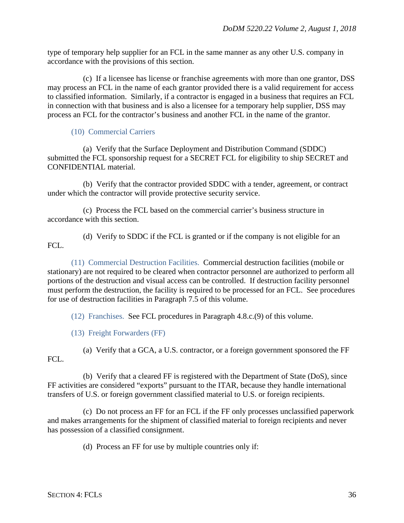type of temporary help supplier for an FCL in the same manner as any other U.S. company in accordance with the provisions of this section.

(c) If a licensee has license or franchise agreements with more than one grantor, DSS may process an FCL in the name of each grantor provided there is a valid requirement for access to classified information. Similarly, if a contractor is engaged in a business that requires an FCL in connection with that business and is also a licensee for a temporary help supplier, DSS may process an FCL for the contractor's business and another FCL in the name of the grantor.

#### (10) Commercial Carriers

(a) Verify that the Surface Deployment and Distribution Command (SDDC) submitted the FCL sponsorship request for a SECRET FCL for eligibility to ship SECRET and CONFIDENTIAL material.

(b) Verify that the contractor provided SDDC with a tender, agreement, or contract under which the contractor will provide protective security service.

(c) Process the FCL based on the commercial carrier's business structure in accordance with this section.

(d) Verify to SDDC if the FCL is granted or if the company is not eligible for an FCL.

(11) Commercial Destruction Facilities. Commercial destruction facilities (mobile or stationary) are not required to be cleared when contractor personnel are authorized to perform all portions of the destruction and visual access can be controlled. If destruction facility personnel must perform the destruction, the facility is required to be processed for an FCL. See procedures for use of destruction facilities in Paragraph 7.5 of this volume.

(12) Franchises. See FCL procedures in Paragraph 4.8.c.(9) of this volume.

(13) Freight Forwarders (FF)

FCL.

(a) Verify that a GCA, a U.S. contractor, or a foreign government sponsored the FF

(b) Verify that a cleared FF is registered with the Department of State (DoS), since FF activities are considered "exports" pursuant to the ITAR, because they handle international transfers of U.S. or foreign government classified material to U.S. or foreign recipients.

(c) Do not process an FF for an FCL if the FF only processes unclassified paperwork and makes arrangements for the shipment of classified material to foreign recipients and never has possession of a classified consignment.

(d) Process an FF for use by multiple countries only if: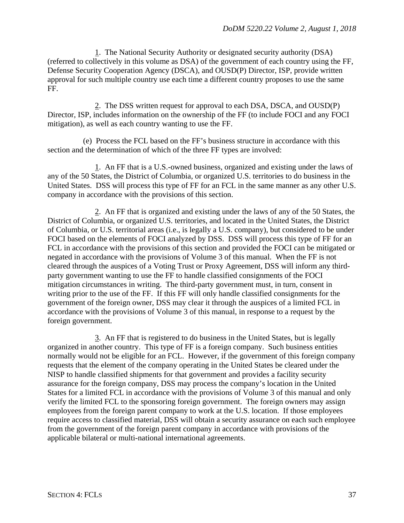1. The National Security Authority or designated security authority (DSA) (referred to collectively in this volume as DSA) of the government of each country using the FF, Defense Security Cooperation Agency (DSCA), and OUSD(P) Director, ISP, provide written approval for such multiple country use each time a different country proposes to use the same FF.

2. The DSS written request for approval to each DSA, DSCA, and OUSD(P) Director, ISP, includes information on the ownership of the FF (to include FOCI and any FOCI mitigation), as well as each country wanting to use the FF.

(e) Process the FCL based on the FF's business structure in accordance with this section and the determination of which of the three FF types are involved:

1. An FF that is a U.S.-owned business, organized and existing under the laws of any of the 50 States, the District of Columbia, or organized U.S. territories to do business in the United States. DSS will process this type of FF for an FCL in the same manner as any other U.S. company in accordance with the provisions of this section.

2. An FF that is organized and existing under the laws of any of the 50 States, the District of Columbia, or organized U.S. territories, and located in the United States, the District of Columbia, or U.S. territorial areas (i.e., is legally a U.S. company), but considered to be under FOCI based on the elements of FOCI analyzed by DSS. DSS will process this type of FF for an FCL in accordance with the provisions of this section and provided the FOCI can be mitigated or negated in accordance with the provisions of Volume 3 of this manual. When the FF is not cleared through the auspices of a Voting Trust or Proxy Agreement, DSS will inform any thirdparty government wanting to use the FF to handle classified consignments of the FOCI mitigation circumstances in writing. The third-party government must, in turn, consent in writing prior to the use of the FF. If this FF will only handle classified consignments for the government of the foreign owner, DSS may clear it through the auspices of a limited FCL in accordance with the provisions of Volume 3 of this manual, in response to a request by the foreign government.

3. An FF that is registered to do business in the United States, but is legally organized in another country. This type of FF is a foreign company. Such business entities normally would not be eligible for an FCL. However, if the government of this foreign company requests that the element of the company operating in the United States be cleared under the NISP to handle classified shipments for that government and provides a facility security assurance for the foreign company, DSS may process the company's location in the United States for a limited FCL in accordance with the provisions of Volume 3 of this manual and only verify the limited FCL to the sponsoring foreign government. The foreign owners may assign employees from the foreign parent company to work at the U.S. location. If those employees require access to classified material, DSS will obtain a security assurance on each such employee from the government of the foreign parent company in accordance with provisions of the applicable bilateral or multi-national international agreements.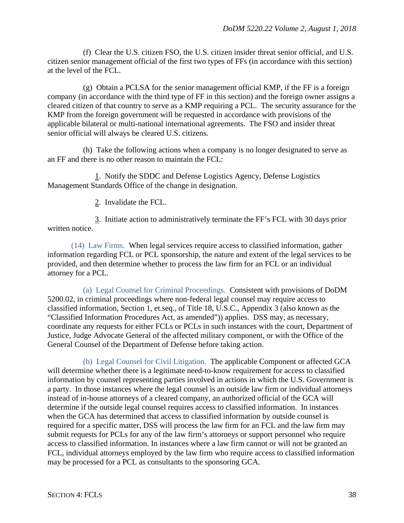(f) Clear the U.S. citizen FSO, the U.S. citizen insider threat senior official, and U.S. citizen senior management official of the first two types of FFs (in accordance with this section) at the level of the FCL.

 $(g)$  Obtain a PCLSA for the senior management official KMP, if the FF is a foreign company (in accordance with the third type of FF in this section) and the foreign owner assigns a cleared citizen of that country to serve as a KMP requiring a PCL. The security assurance for the KMP from the foreign government will be requested in accordance with provisions of the applicable bilateral or multi-national international agreements. The FSO and insider threat senior official will always be cleared U.S. citizens.

(h) Take the following actions when a company is no longer designated to serve as an FF and there is no other reason to maintain the FCL:

1. Notify the SDDC and Defense Logistics Agency, Defense Logistics Management Standards Office of the change in designation.

2. Invalidate the FCL.

3. Initiate action to administratively terminate the FF's FCL with 30 days prior written notice.

(14) Law Firms. When legal services require access to classified information, gather information regarding FCL or PCL sponsorship, the nature and extent of the legal services to be provided, and then determine whether to process the law firm for an FCL or an individual attorney for a PCL.

(a) Legal Counsel for Criminal Proceedings. Consistent with provisions of DoDM 5200.02, in criminal proceedings where non-federal legal counsel may require access to classified information, Section 1, et.seq., of Title 18, U.S.C., Appendix 3 (also known as the "Classified Information Procedures Act, as amended")) applies. DSS may, as necessary, coordinate any requests for either FCLs or PCLs in such instances with the court, Department of Justice, Judge Advocate General of the affected military component, or with the Office of the General Counsel of the Department of Defense before taking action.

(b) Legal Counsel for Civil Litigation. The applicable Component or affected GCA will determine whether there is a legitimate need-to-know requirement for access to classified information by counsel representing parties involved in actions in which the U.S. Government is a party. In those instances where the legal counsel is an outside law firm or individual attorneys instead of in-house attorneys of a cleared company, an authorized official of the GCA will determine if the outside legal counsel requires access to classified information. In instances when the GCA has determined that access to classified information by outside counsel is required for a specific matter, DSS will process the law firm for an FCL and the law firm may submit requests for PCLs for any of the law firm's attorneys or support personnel who require access to classified information. In instances where a law firm cannot or will not be granted an FCL, individual attorneys employed by the law firm who require access to classified information may be processed for a PCL as consultants to the sponsoring GCA.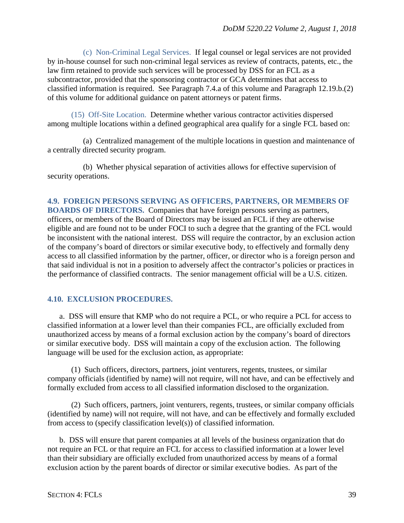(c) Non-Criminal Legal Services. If legal counsel or legal services are not provided by in-house counsel for such non-criminal legal services as review of contracts, patents, etc., the law firm retained to provide such services will be processed by DSS for an FCL as a subcontractor, provided that the sponsoring contractor or GCA determines that access to classified information is required. See Paragraph 7.4.a of this volume and Paragraph 12.19.b.(2) of this volume for additional guidance on patent attorneys or patent firms.

(15) Off-Site Location. Determine whether various contractor activities dispersed among multiple locations within a defined geographical area qualify for a single FCL based on:

(a) Centralized management of the multiple locations in question and maintenance of a centrally directed security program.

(b) Whether physical separation of activities allows for effective supervision of security operations.

## **4.9. FOREIGN PERSONS SERVING AS OFFICERS, PARTNERS, OR MEMBERS OF BOARDS OF DIRECTORS.** Companies that have foreign persons serving as partners, officers, or members of the Board of Directors may be issued an FCL if they are otherwise eligible and are found not to be under FOCI to such a degree that the granting of the FCL would be inconsistent with the national interest. DSS will require the contractor, by an exclusion action of the company's board of directors or similar executive body, to effectively and formally deny access to all classified information by the partner, officer, or director who is a foreign person and that said individual is not in a position to adversely affect the contractor's policies or practices in the performance of classified contracts. The senior management official will be a U.S. citizen.

### **4.10. EXCLUSION PROCEDURES.**

a. DSS will ensure that KMP who do not require a PCL, or who require a PCL for access to classified information at a lower level than their companies FCL, are officially excluded from unauthorized access by means of a formal exclusion action by the company's board of directors or similar executive body. DSS will maintain a copy of the exclusion action. The following language will be used for the exclusion action, as appropriate:

(1) Such officers, directors, partners, joint venturers, regents, trustees, or similar company officials (identified by name) will not require, will not have, and can be effectively and formally excluded from access to all classified information disclosed to the organization.

(2) Such officers, partners, joint venturers, regents, trustees, or similar company officials (identified by name) will not require, will not have, and can be effectively and formally excluded from access to (specify classification level(s)) of classified information.

b. DSS will ensure that parent companies at all levels of the business organization that do not require an FCL or that require an FCL for access to classified information at a lower level than their subsidiary are officially excluded from unauthorized access by means of a formal exclusion action by the parent boards of director or similar executive bodies. As part of the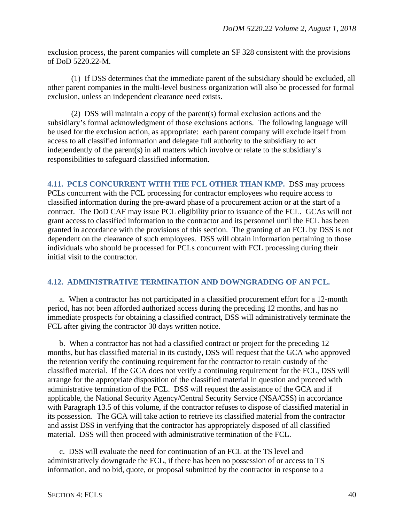exclusion process, the parent companies will complete an SF 328 consistent with the provisions of DoD 5220.22-M.

(1) If DSS determines that the immediate parent of the subsidiary should be excluded, all other parent companies in the multi-level business organization will also be processed for formal exclusion, unless an independent clearance need exists.

(2) DSS will maintain a copy of the parent(s) formal exclusion actions and the subsidiary's formal acknowledgment of those exclusions actions. The following language will be used for the exclusion action, as appropriate: each parent company will exclude itself from access to all classified information and delegate full authority to the subsidiary to act independently of the parent(s) in all matters which involve or relate to the subsidiary's responsibilities to safeguard classified information.

**4.11. PCLS CONCURRENT WITH THE FCL OTHER THAN KMP.** DSS may process PCLs concurrent with the FCL processing for contractor employees who require access to classified information during the pre-award phase of a procurement action or at the start of a contract. The DoD CAF may issue PCL eligibility prior to issuance of the FCL. GCAs will not grant access to classified information to the contractor and its personnel until the FCL has been granted in accordance with the provisions of this section. The granting of an FCL by DSS is not dependent on the clearance of such employees. DSS will obtain information pertaining to those individuals who should be processed for PCLs concurrent with FCL processing during their initial visit to the contractor.

## **4.12. ADMINISTRATIVE TERMINATION AND DOWNGRADING OF AN FCL.**

a. When a contractor has not participated in a classified procurement effort for a 12-month period, has not been afforded authorized access during the preceding 12 months, and has no immediate prospects for obtaining a classified contract, DSS will administratively terminate the FCL after giving the contractor 30 days written notice.

b. When a contractor has not had a classified contract or project for the preceding 12 months, but has classified material in its custody, DSS will request that the GCA who approved the retention verify the continuing requirement for the contractor to retain custody of the classified material. If the GCA does not verify a continuing requirement for the FCL, DSS will arrange for the appropriate disposition of the classified material in question and proceed with administrative termination of the FCL. DSS will request the assistance of the GCA and if applicable, the National Security Agency/Central Security Service (NSA/CSS) in accordance with Paragraph 13.5 of this volume, if the contractor refuses to dispose of classified material in its possession. The GCA will take action to retrieve its classified material from the contractor and assist DSS in verifying that the contractor has appropriately disposed of all classified material. DSS will then proceed with administrative termination of the FCL.

c. DSS will evaluate the need for continuation of an FCL at the TS level and administratively downgrade the FCL, if there has been no possession of or access to TS information, and no bid, quote, or proposal submitted by the contractor in response to a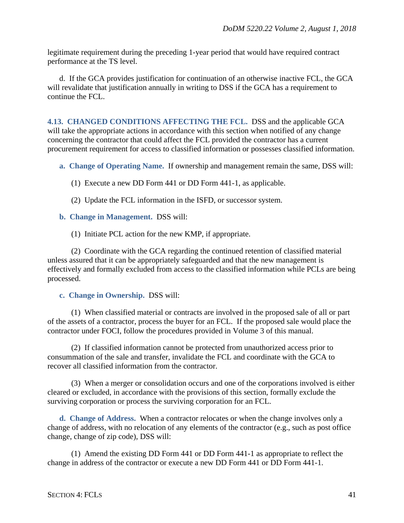legitimate requirement during the preceding 1-year period that would have required contract performance at the TS level.

d. If the GCA provides justification for continuation of an otherwise inactive FCL, the GCA will revalidate that justification annually in writing to DSS if the GCA has a requirement to continue the FCL.

**4.13. CHANGED CONDITIONS AFFECTING THE FCL.** DSS and the applicable GCA will take the appropriate actions in accordance with this section when notified of any change concerning the contractor that could affect the FCL provided the contractor has a current procurement requirement for access to classified information or possesses classified information.

**a. Change of Operating Name.** If ownership and management remain the same, DSS will:

- (1) Execute a new DD Form 441 or DD Form 441-1, as applicable.
- (2) Update the FCL information in the ISFD, or successor system.
- **b. Change in Management.** DSS will:

(1) Initiate PCL action for the new KMP, if appropriate.

(2) Coordinate with the GCA regarding the continued retention of classified material unless assured that it can be appropriately safeguarded and that the new management is effectively and formally excluded from access to the classified information while PCLs are being processed.

#### **c. Change in Ownership.** DSS will:

(1) When classified material or contracts are involved in the proposed sale of all or part of the assets of a contractor, process the buyer for an FCL. If the proposed sale would place the contractor under FOCI, follow the procedures provided in Volume 3 of this manual.

(2) If classified information cannot be protected from unauthorized access prior to consummation of the sale and transfer, invalidate the FCL and coordinate with the GCA to recover all classified information from the contractor.

(3) When a merger or consolidation occurs and one of the corporations involved is either cleared or excluded, in accordance with the provisions of this section, formally exclude the surviving corporation or process the surviving corporation for an FCL.

**d. Change of Address.** When a contractor relocates or when the change involves only a change of address, with no relocation of any elements of the contractor (e.g., such as post office change, change of zip code), DSS will:

(1) Amend the existing DD Form 441 or DD Form 441-1 as appropriate to reflect the change in address of the contractor or execute a new DD Form 441 or DD Form 441-1.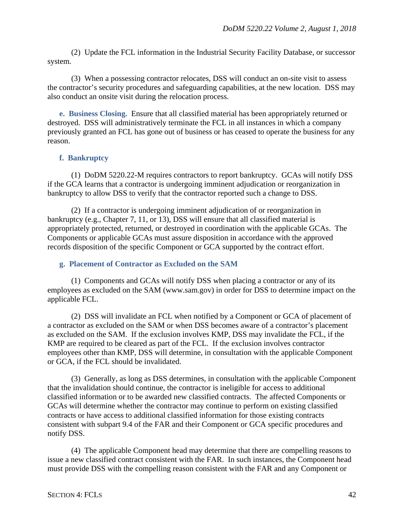(2) Update the FCL information in the Industrial Security Facility Database, or successor system.

(3) When a possessing contractor relocates, DSS will conduct an on-site visit to assess the contractor's security procedures and safeguarding capabilities, at the new location. DSS may also conduct an onsite visit during the relocation process.

**e. Business Closing.** Ensure that all classified material has been appropriately returned or destroyed. DSS will administratively terminate the FCL in all instances in which a company previously granted an FCL has gone out of business or has ceased to operate the business for any reason.

## **f. Bankruptcy**

(1) DoDM 5220.22-M requires contractors to report bankruptcy. GCAs will notify DSS if the GCA learns that a contractor is undergoing imminent adjudication or reorganization in bankruptcy to allow DSS to verify that the contractor reported such a change to DSS.

(2) If a contractor is undergoing imminent adjudication of or reorganization in bankruptcy (e.g., Chapter 7, 11, or 13), DSS will ensure that all classified material is appropriately protected, returned, or destroyed in coordination with the applicable GCAs. The Components or applicable GCAs must assure disposition in accordance with the approved records disposition of the specific Component or GCA supported by the contract effort.

### **g. Placement of Contractor as Excluded on the SAM**

(1) Components and GCAs will notify DSS when placing a contractor or any of its employees as excluded on the SAM (www.sam.gov) in order for DSS to determine impact on the applicable FCL.

(2) DSS will invalidate an FCL when notified by a Component or GCA of placement of a contractor as excluded on the SAM or when DSS becomes aware of a contractor's placement as excluded on the SAM. If the exclusion involves KMP, DSS may invalidate the FCL, if the KMP are required to be cleared as part of the FCL. If the exclusion involves contractor employees other than KMP, DSS will determine, in consultation with the applicable Component or GCA, if the FCL should be invalidated.

(3) Generally, as long as DSS determines, in consultation with the applicable Component that the invalidation should continue, the contractor is ineligible for access to additional classified information or to be awarded new classified contracts. The affected Components or GCAs will determine whether the contractor may continue to perform on existing classified contracts or have access to additional classified information for those existing contracts consistent with subpart 9.4 of the FAR and their Component or GCA specific procedures and notify DSS.

(4) The applicable Component head may determine that there are compelling reasons to issue a new classified contract consistent with the FAR. In such instances, the Component head must provide DSS with the compelling reason consistent with the FAR and any Component or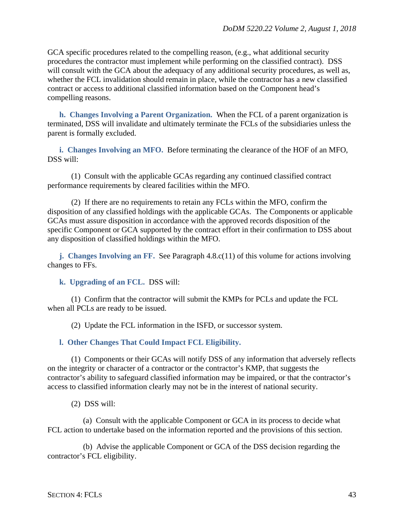GCA specific procedures related to the compelling reason, (e.g., what additional security procedures the contractor must implement while performing on the classified contract). DSS will consult with the GCA about the adequacy of any additional security procedures, as well as, whether the FCL invalidation should remain in place, while the contractor has a new classified contract or access to additional classified information based on the Component head's compelling reasons.

**h. Changes Involving a Parent Organization.** When the FCL of a parent organization is terminated, DSS will invalidate and ultimately terminate the FCLs of the subsidiaries unless the parent is formally excluded.

**i. Changes Involving an MFO.** Before terminating the clearance of the HOF of an MFO, DSS will:

(1) Consult with the applicable GCAs regarding any continued classified contract performance requirements by cleared facilities within the MFO.

(2) If there are no requirements to retain any FCLs within the MFO, confirm the disposition of any classified holdings with the applicable GCAs. The Components or applicable GCAs must assure disposition in accordance with the approved records disposition of the specific Component or GCA supported by the contract effort in their confirmation to DSS about any disposition of classified holdings within the MFO.

**j. Changes Involving an FF.** See Paragraph 4.8.c(11) of this volume for actions involving changes to FFs.

**k. Upgrading of an FCL.** DSS will:

(1) Confirm that the contractor will submit the KMPs for PCLs and update the FCL when all PCLs are ready to be issued.

(2) Update the FCL information in the ISFD, or successor system.

### **l. Other Changes That Could Impact FCL Eligibility.**

(1) Components or their GCAs will notify DSS of any information that adversely reflects on the integrity or character of a contractor or the contractor's KMP, that suggests the contractor's ability to safeguard classified information may be impaired, or that the contractor's access to classified information clearly may not be in the interest of national security.

(2) DSS will:

(a) Consult with the applicable Component or GCA in its process to decide what FCL action to undertake based on the information reported and the provisions of this section.

(b) Advise the applicable Component or GCA of the DSS decision regarding the contractor's FCL eligibility.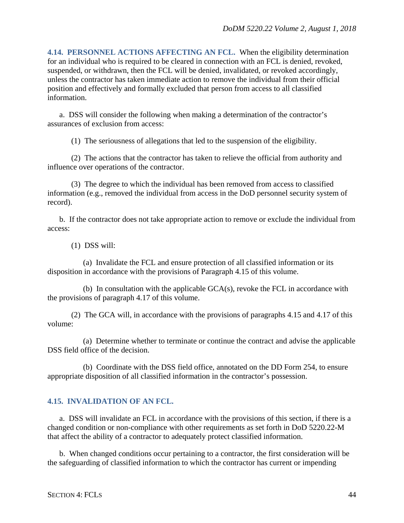**4.14. PERSONNEL ACTIONS AFFECTING AN FCL.** When the eligibility determination for an individual who is required to be cleared in connection with an FCL is denied, revoked, suspended, or withdrawn, then the FCL will be denied, invalidated, or revoked accordingly, unless the contractor has taken immediate action to remove the individual from their official position and effectively and formally excluded that person from access to all classified information.

a. DSS will consider the following when making a determination of the contractor's assurances of exclusion from access:

(1) The seriousness of allegations that led to the suspension of the eligibility.

(2) The actions that the contractor has taken to relieve the official from authority and influence over operations of the contractor.

(3) The degree to which the individual has been removed from access to classified information (e.g., removed the individual from access in the DoD personnel security system of record).

b. If the contractor does not take appropriate action to remove or exclude the individual from access:

(1) DSS will:

(a) Invalidate the FCL and ensure protection of all classified information or its disposition in accordance with the provisions of Paragraph 4.15 of this volume.

(b) In consultation with the applicable GCA(s), revoke the FCL in accordance with the provisions of paragraph 4.17 of this volume.

(2) The GCA will, in accordance with the provisions of paragraphs 4.15 and 4.17 of this volume:

(a) Determine whether to terminate or continue the contract and advise the applicable DSS field office of the decision.

(b) Coordinate with the DSS field office, annotated on the DD Form 254, to ensure appropriate disposition of all classified information in the contractor's possession.

## **4.15. INVALIDATION OF AN FCL.**

a. DSS will invalidate an FCL in accordance with the provisions of this section, if there is a changed condition or non-compliance with other requirements as set forth in DoD 5220.22-M that affect the ability of a contractor to adequately protect classified information.

b. When changed conditions occur pertaining to a contractor, the first consideration will be the safeguarding of classified information to which the contractor has current or impending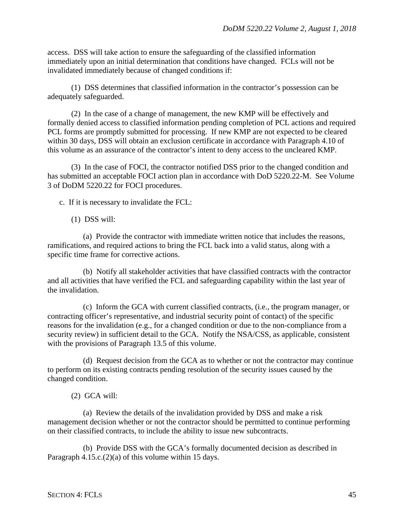access. DSS will take action to ensure the safeguarding of the classified information immediately upon an initial determination that conditions have changed. FCLs will not be invalidated immediately because of changed conditions if:

(1) DSS determines that classified information in the contractor's possession can be adequately safeguarded.

(2) In the case of a change of management, the new KMP will be effectively and formally denied access to classified information pending completion of PCL actions and required PCL forms are promptly submitted for processing. If new KMP are not expected to be cleared within 30 days, DSS will obtain an exclusion certificate in accordance with Paragraph 4.10 of this volume as an assurance of the contractor's intent to deny access to the uncleared KMP.

(3) In the case of FOCI, the contractor notified DSS prior to the changed condition and has submitted an acceptable FOCI action plan in accordance with DoD 5220.22-M. See Volume 3 of DoDM 5220.22 for FOCI procedures.

c. If it is necessary to invalidate the FCL:

(1) DSS will:

(a) Provide the contractor with immediate written notice that includes the reasons, ramifications, and required actions to bring the FCL back into a valid status, along with a specific time frame for corrective actions.

(b) Notify all stakeholder activities that have classified contracts with the contractor and all activities that have verified the FCL and safeguarding capability within the last year of the invalidation.

(c) Inform the GCA with current classified contracts, (i.e., the program manager, or contracting officer's representative, and industrial security point of contact) of the specific reasons for the invalidation (e.g., for a changed condition or due to the non-compliance from a security review) in sufficient detail to the GCA. Notify the NSA/CSS, as applicable, consistent with the provisions of Paragraph 13.5 of this volume.

(d) Request decision from the GCA as to whether or not the contractor may continue to perform on its existing contracts pending resolution of the security issues caused by the changed condition.

(2) GCA will:

(a) Review the details of the invalidation provided by DSS and make a risk management decision whether or not the contractor should be permitted to continue performing on their classified contracts, to include the ability to issue new subcontracts.

(b) Provide DSS with the GCA's formally documented decision as described in Paragraph 4.15.c.(2)(a) of this volume within 15 days.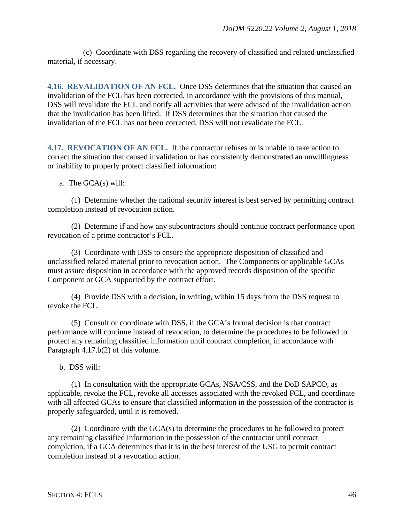(c) Coordinate with DSS regarding the recovery of classified and related unclassified material, if necessary.

**4.16. REVALIDATION OF AN FCL.** Once DSS determines that the situation that caused an invalidation of the FCL has been corrected, in accordance with the provisions of this manual, DSS will revalidate the FCL and notify all activities that were advised of the invalidation action that the invalidation has been lifted. If DSS determines that the situation that caused the invalidation of the FCL has not been corrected, DSS will not revalidate the FCL.

**4.17. REVOCATION OF AN FCL.** If the contractor refuses or is unable to take action to correct the situation that caused invalidation or has consistently demonstrated an unwillingness or inability to properly protect classified information:

a. The GCA(s) will:

(1) Determine whether the national security interest is best served by permitting contract completion instead of revocation action.

(2) Determine if and how any subcontractors should continue contract performance upon revocation of a prime contractor's FCL.

(3) Coordinate with DSS to ensure the appropriate disposition of classified and unclassified related material prior to revocation action. The Components or applicable GCAs must assure disposition in accordance with the approved records disposition of the specific Component or GCA supported by the contract effort.

(4) Provide DSS with a decision, in writing, within 15 days from the DSS request to revoke the FCL.

(5) Consult or coordinate with DSS, if the GCA's formal decision is that contract performance will continue instead of revocation, to determine the procedures to be followed to protect any remaining classified information until contract completion, in accordance with Paragraph 4.17.b(2) of this volume.

b. DSS will:

(1) In consultation with the appropriate GCAs, NSA/CSS, and the DoD SAPCO, as applicable, revoke the FCL, revoke all accesses associated with the revoked FCL, and coordinate with all affected GCAs to ensure that classified information in the possession of the contractor is properly safeguarded, until it is removed.

(2) Coordinate with the GCA(s) to determine the procedures to be followed to protect any remaining classified information in the possession of the contractor until contract completion, if a GCA determines that it is in the best interest of the USG to permit contract completion instead of a revocation action.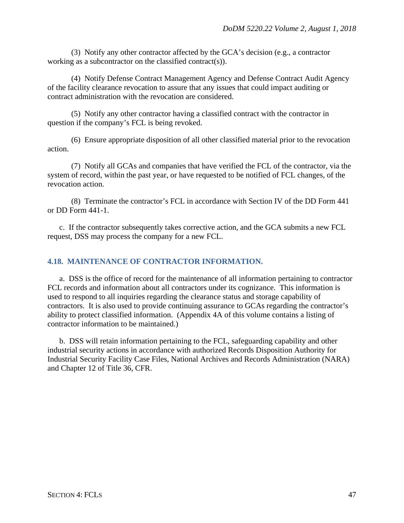(3) Notify any other contractor affected by the GCA's decision (e.g., a contractor working as a subcontractor on the classified contract(s)).

(4) Notify Defense Contract Management Agency and Defense Contract Audit Agency of the facility clearance revocation to assure that any issues that could impact auditing or contract administration with the revocation are considered.

(5) Notify any other contractor having a classified contract with the contractor in question if the company's FCL is being revoked.

(6) Ensure appropriate disposition of all other classified material prior to the revocation action.

(7) Notify all GCAs and companies that have verified the FCL of the contractor, via the system of record, within the past year, or have requested to be notified of FCL changes, of the revocation action.

(8) Terminate the contractor's FCL in accordance with Section IV of the DD Form 441 or DD Form 441-1.

c. If the contractor subsequently takes corrective action, and the GCA submits a new FCL request, DSS may process the company for a new FCL.

## **4.18. MAINTENANCE OF CONTRACTOR INFORMATION.**

a. DSS is the office of record for the maintenance of all information pertaining to contractor FCL records and information about all contractors under its cognizance. This information is used to respond to all inquiries regarding the clearance status and storage capability of contractors. It is also used to provide continuing assurance to GCAs regarding the contractor's ability to protect classified information. (Appendix 4A of this volume contains a listing of contractor information to be maintained.)

b. DSS will retain information pertaining to the FCL, safeguarding capability and other industrial security actions in accordance with authorized Records Disposition Authority for Industrial Security Facility Case Files, National Archives and Records Administration (NARA) and Chapter 12 of Title 36, CFR.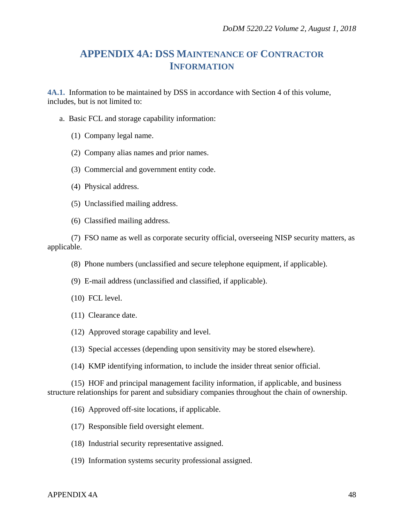# **APPENDIX 4A: DSS MAINTENANCE OF CONTRACTOR INFORMATION**

**4A.1.** Information to be maintained by DSS in accordance with Section 4 of this volume, includes, but is not limited to:

- a. Basic FCL and storage capability information:
	- (1) Company legal name.
	- (2) Company alias names and prior names.
	- (3) Commercial and government entity code.
	- (4) Physical address.
	- (5) Unclassified mailing address.
	- (6) Classified mailing address.

(7) FSO name as well as corporate security official, overseeing NISP security matters, as applicable.

- (8) Phone numbers (unclassified and secure telephone equipment, if applicable).
- (9) E-mail address (unclassified and classified, if applicable).
- (10) FCL level.
- (11) Clearance date.
- (12) Approved storage capability and level.
- (13) Special accesses (depending upon sensitivity may be stored elsewhere).
- (14) KMP identifying information, to include the insider threat senior official.

(15) HOF and principal management facility information, if applicable, and business structure relationships for parent and subsidiary companies throughout the chain of ownership.

- (16) Approved off-site locations, if applicable.
- (17) Responsible field oversight element.
- (18) Industrial security representative assigned.
- (19) Information systems security professional assigned.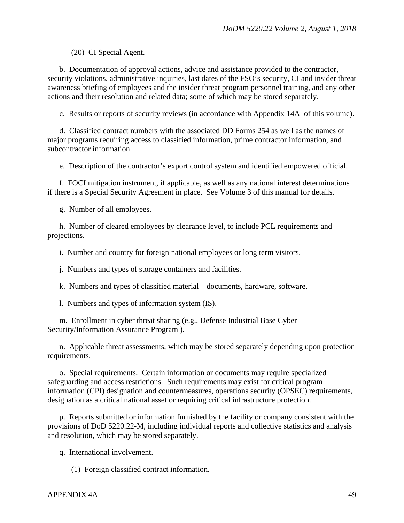(20) CI Special Agent.

b. Documentation of approval actions, advice and assistance provided to the contractor, security violations, administrative inquiries, last dates of the FSO's security, CI and insider threat awareness briefing of employees and the insider threat program personnel training, and any other actions and their resolution and related data; some of which may be stored separately.

c. Results or reports of security reviews (in accordance with Appendix 14A of this volume).

d. Classified contract numbers with the associated DD Forms 254 as well as the names of major programs requiring access to classified information, prime contractor information, and subcontractor information.

e. Description of the contractor's export control system and identified empowered official.

f. FOCI mitigation instrument, if applicable, as well as any national interest determinations if there is a Special Security Agreement in place. See Volume 3 of this manual for details.

g. Number of all employees.

h. Number of cleared employees by clearance level, to include PCL requirements and projections.

i. Number and country for foreign national employees or long term visitors.

j. Numbers and types of storage containers and facilities.

k. Numbers and types of classified material – documents, hardware, software.

l. Numbers and types of information system (IS).

m. Enrollment in cyber threat sharing (e.g., Defense Industrial Base Cyber Security/Information Assurance Program ).

n. Applicable threat assessments, which may be stored separately depending upon protection requirements.

o. Special requirements. Certain information or documents may require specialized safeguarding and access restrictions. Such requirements may exist for critical program information (CPI) designation and countermeasures, operations security (OPSEC) requirements, designation as a critical national asset or requiring critical infrastructure protection.

p. Reports submitted or information furnished by the facility or company consistent with the provisions of DoD 5220.22-M, including individual reports and collective statistics and analysis and resolution, which may be stored separately.

q. International involvement.

(1) Foreign classified contract information.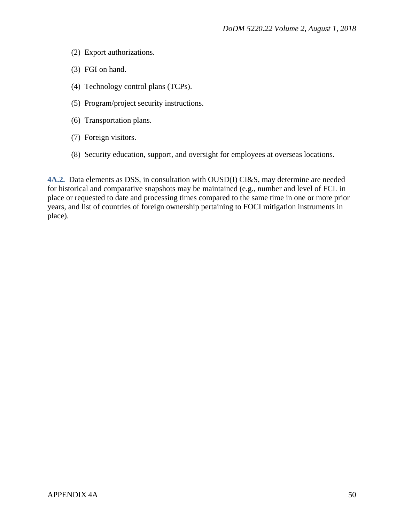- (2) Export authorizations.
- (3) FGI on hand.
- (4) Technology control plans (TCPs).
- (5) Program/project security instructions.
- (6) Transportation plans.
- (7) Foreign visitors.
- (8) Security education, support, and oversight for employees at overseas locations.

**4A.2.** Data elements as DSS, in consultation with OUSD(I) CI&S, may determine are needed for historical and comparative snapshots may be maintained (e.g., number and level of FCL in place or requested to date and processing times compared to the same time in one or more prior years, and list of countries of foreign ownership pertaining to FOCI mitigation instruments in place).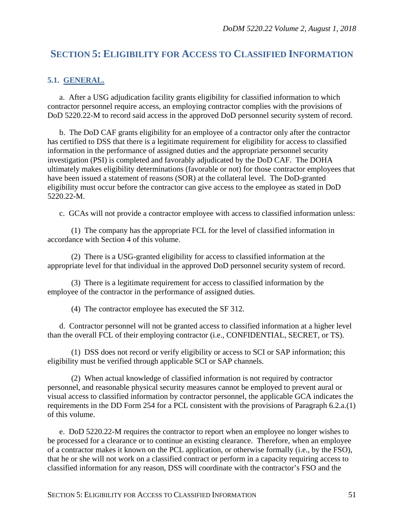# **SECTION 5: ELIGIBILITY FOR ACCESS TO CLASSIFIED INFORMATION**

## **5.1. GENERAL.**

a. After a USG adjudication facility grants eligibility for classified information to which contractor personnel require access, an employing contractor complies with the provisions of DoD 5220.22-M to record said access in the approved DoD personnel security system of record.

b. The DoD CAF grants eligibility for an employee of a contractor only after the contractor has certified to DSS that there is a legitimate requirement for eligibility for access to classified information in the performance of assigned duties and the appropriate personnel security investigation (PSI) is completed and favorably adjudicated by the DoD CAF. The DOHA ultimately makes eligibility determinations (favorable or not) for those contractor employees that have been issued a statement of reasons (SOR) at the collateral level. The DoD-granted eligibility must occur before the contractor can give access to the employee as stated in DoD 5220.22-M.

c. GCAs will not provide a contractor employee with access to classified information unless:

(1) The company has the appropriate FCL for the level of classified information in accordance with Section 4 of this volume.

(2) There is a USG-granted eligibility for access to classified information at the appropriate level for that individual in the approved DoD personnel security system of record.

(3) There is a legitimate requirement for access to classified information by the employee of the contractor in the performance of assigned duties.

(4) The contractor employee has executed the SF 312.

d. Contractor personnel will not be granted access to classified information at a higher level than the overall FCL of their employing contractor (i.e., CONFIDENTIAL, SECRET, or TS).

(1) DSS does not record or verify eligibility or access to SCI or SAP information; this eligibility must be verified through applicable SCI or SAP channels.

(2) When actual knowledge of classified information is not required by contractor personnel, and reasonable physical security measures cannot be employed to prevent aural or visual access to classified information by contractor personnel, the applicable GCA indicates the requirements in the DD Form 254 for a PCL consistent with the provisions of Paragraph 6.2.a.(1) of this volume.

e. DoD 5220.22-M requires the contractor to report when an employee no longer wishes to be processed for a clearance or to continue an existing clearance. Therefore, when an employee of a contractor makes it known on the PCL application, or otherwise formally (i.e., by the FSO), that he or she will not work on a classified contract or perform in a capacity requiring access to classified information for any reason, DSS will coordinate with the contractor's FSO and the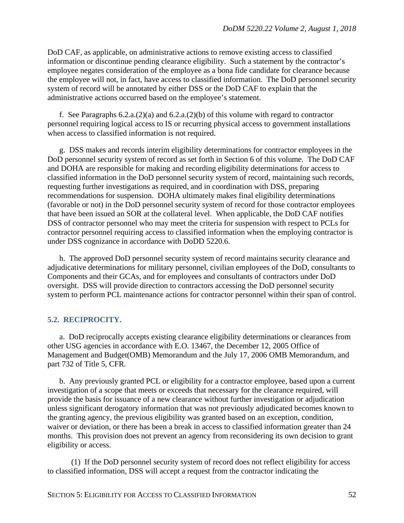DoD CAF, as applicable, on administrative actions to remove existing access to classified information or discontinue pending clearance eligibility. Such a statement by the contractor's employee negates consideration of the employee as a bona fide candidate for clearance because the employee will not, in fact, have access to classified information. The DoD personnel security system of record will be annotated by either DSS or the DoD CAF to explain that the administrative actions occurred based on the employee's statement.

f. See Paragraphs 6.2.a.(2)(a) and 6.2.a.(2)(b) of this volume with regard to contractor personnel requiring logical access to IS or recurring physical access to government installations when access to classified information is not required.

g. DSS makes and records interim eligibility determinations for contractor employees in the DoD personnel security system of record as set forth in Section 6 of this volume. The DoD CAF and DOHA are responsible for making and recording eligibility determinations for access to classified information in the DoD personnel security system of record, maintaining such records, requesting further investigations as required, and in coordination with DSS, preparing recommendations for suspension. DOHA ultimately makes final eligibility determinations (favorable or not) in the DoD personnel security system of record for those contractor employees that have been issued an SOR at the collateral level. When applicable, the DoD CAF notifies DSS of contractor personnel who may meet the criteria for suspension with respect to PCLs for contractor personnel requiring access to classified information when the employing contractor is under DSS cognizance in accordance with DoDD 5220.6.

h. The approved DoD personnel security system of record maintains security clearance and adjudicative determinations for military personnel, civilian employees of the DoD, consultants to Components and their GCAs, and for employees and consultants of contractors under DoD oversight. DSS will provide direction to contractors accessing the DoD personnel security system to perform PCL maintenance actions for contractor personnel within their span of control.

# **5.2. RECIPROCITY.**

a. DoD reciprocally accepts existing clearance eligibility determinations or clearances from other USG agencies in accordance with E.O. 13467, the December 12, 2005 Office of Management and Budget(OMB) Memorandum and the July 17, 2006 OMB Memorandum, and part 732 of Title 5, CFR.

b. Any previously granted PCL or eligibility for a contractor employee, based upon a current investigation of a scope that meets or exceeds that necessary for the clearance required, will provide the basis for issuance of a new clearance without further investigation or adjudication unless significant derogatory information that was not previously adjudicated becomes known to the granting agency, the previous eligibility was granted based on an exception, condition, waiver or deviation, or there has been a break in access to classified information greater than 24 months. This provision does not prevent an agency from reconsidering its own decision to grant eligibility or access.

(1) If the DoD personnel security system of record does not reflect eligibility for access to classified information, DSS will accept a request from the contractor indicating the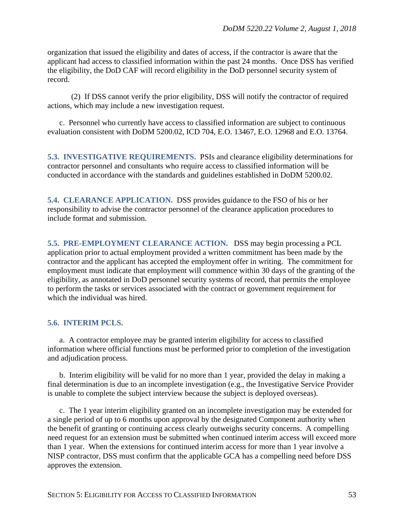organization that issued the eligibility and dates of access, if the contractor is aware that the applicant had access to classified information within the past 24 months. Once DSS has verified the eligibility, the DoD CAF will record eligibility in the DoD personnel security system of record.

(2) If DSS cannot verify the prior eligibility, DSS will notify the contractor of required actions, which may include a new investigation request.

c. Personnel who currently have access to classified information are subject to continuous evaluation consistent with DoDM 5200.02, ICD 704, E.O. 13467, E.O. 12968 and E.O. 13764.

**5.3. INVESTIGATIVE REQUIREMENTS.** PSIs and clearance eligibility determinations for contractor personnel and consultants who require access to classified information will be conducted in accordance with the standards and guidelines established in DoDM 5200.02.

**5.4. CLEARANCE APPLICATION.** DSS provides guidance to the FSO of his or her responsibility to advise the contractor personnel of the clearance application procedures to include format and submission.

**5.5. PRE-EMPLOYMENT CLEARANCE ACTION.** DSS may begin processing a PCL application prior to actual employment provided a written commitment has been made by the contractor and the applicant has accepted the employment offer in writing. The commitment for employment must indicate that employment will commence within 30 days of the granting of the eligibility, as annotated in DoD personnel security systems of record, that permits the employee to perform the tasks or services associated with the contract or government requirement for which the individual was hired.

#### **5.6. INTERIM PCLS.**

a. A contractor employee may be granted interim eligibility for access to classified information where official functions must be performed prior to completion of the investigation and adjudication process.

b. Interim eligibility will be valid for no more than 1 year, provided the delay in making a final determination is due to an incomplete investigation (e.g., the Investigative Service Provider is unable to complete the subject interview because the subject is deployed overseas).

c. The 1 year interim eligibility granted on an incomplete investigation may be extended for a single period of up to 6 months upon approval by the designated Component authority when the benefit of granting or continuing access clearly outweighs security concerns. A compelling need request for an extension must be submitted when continued interim access will exceed more than 1 year. When the extensions for continued interim access for more than 1 year involve a NISP contractor, DSS must confirm that the applicable GCA has a compelling need before DSS approves the extension.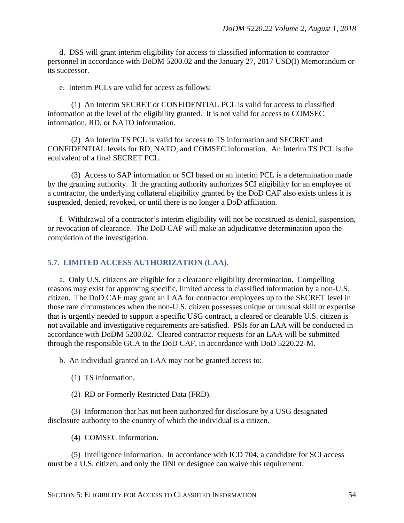d. DSS will grant interim eligibility for access to classified information to contractor personnel in accordance with DoDM 5200.02 and the January 27, 2017 USD(I) Memorandum or its successor.

e. Interim PCLs are valid for access as follows:

(1) An Interim SECRET or CONFIDENTIAL PCL is valid for access to classified information at the level of the eligibility granted. It is not valid for access to COMSEC information, RD, or NATO information.

(2) An Interim TS PCL is valid for access to TS information and SECRET and CONFIDENTIAL levels for RD, NATO, and COMSEC information. An Interim TS PCL is the equivalent of a final SECRET PCL.

(3) Access to SAP information or SCI based on an interim PCL is a determination made by the granting authority. If the granting authority authorizes SCI eligibility for an employee of a contractor, the underlying collateral eligibility granted by the DoD CAF also exists unless it is suspended, denied, revoked, or until there is no longer a DoD affiliation.

f. Withdrawal of a contractor's interim eligibility will not be construed as denial, suspension, or revocation of clearance. The DoD CAF will make an adjudicative determination upon the completion of the investigation.

### **5.7. LIMITED ACCESS AUTHORIZATION (LAA).**

a. Only U.S. citizens are eligible for a clearance eligibility determination. Compelling reasons may exist for approving specific, limited access to classified information by a non-U.S. citizen. The DoD CAF may grant an LAA for contractor employees up to the SECRET level in those rare circumstances when the non-U.S. citizen possesses unique or unusual skill or expertise that is urgently needed to support a specific USG contract, a cleared or clearable U.S. citizen is not available and investigative requirements are satisfied. PSIs for an LAA will be conducted in accordance with DoDM 5200.02. Cleared contractor requests for an LAA will be submitted through the responsible GCA to the DoD CAF, in accordance with DoD 5220.22-M.

b. An individual granted an LAA may not be granted access to:

- (1) TS information.
- (2) RD or Formerly Restricted Data (FRD).

(3) Information that has not been authorized for disclosure by a USG designated disclosure authority to the country of which the individual is a citizen.

(4) COMSEC information.

(5) Intelligence information. In accordance with ICD 704, a candidate for SCI access must be a U.S. citizen, and only the DNI or designee can waive this requirement.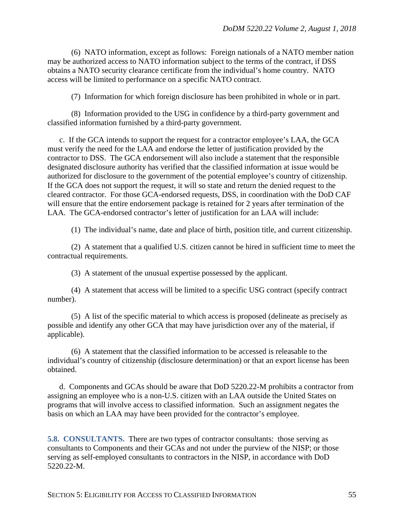(6) NATO information, except as follows: Foreign nationals of a NATO member nation may be authorized access to NATO information subject to the terms of the contract, if DSS obtains a NATO security clearance certificate from the individual's home country. NATO access will be limited to performance on a specific NATO contract.

(7) Information for which foreign disclosure has been prohibited in whole or in part.

(8) Information provided to the USG in confidence by a third-party government and classified information furnished by a third-party government.

c. If the GCA intends to support the request for a contractor employee's LAA, the GCA must verify the need for the LAA and endorse the letter of justification provided by the contractor to DSS. The GCA endorsement will also include a statement that the responsible designated disclosure authority has verified that the classified information at issue would be authorized for disclosure to the government of the potential employee's country of citizenship. If the GCA does not support the request, it will so state and return the denied request to the cleared contractor. For those GCA-endorsed requests, DSS, in coordination with the DoD CAF will ensure that the entire endorsement package is retained for 2 years after termination of the LAA. The GCA-endorsed contractor's letter of justification for an LAA will include:

(1) The individual's name, date and place of birth, position title, and current citizenship.

(2) A statement that a qualified U.S. citizen cannot be hired in sufficient time to meet the contractual requirements.

(3) A statement of the unusual expertise possessed by the applicant.

(4) A statement that access will be limited to a specific USG contract (specify contract number).

(5) A list of the specific material to which access is proposed (delineate as precisely as possible and identify any other GCA that may have jurisdiction over any of the material, if applicable).

(6) A statement that the classified information to be accessed is releasable to the individual's country of citizenship (disclosure determination) or that an export license has been obtained.

d. Components and GCAs should be aware that DoD 5220.22-M prohibits a contractor from assigning an employee who is a non-U.S. citizen with an LAA outside the United States on programs that will involve access to classified information. Such an assignment negates the basis on which an LAA may have been provided for the contractor's employee.

**5.8. CONSULTANTS.** There are two types of contractor consultants: those serving as consultants to Components and their GCAs and not under the purview of the NISP; or those serving as self-employed consultants to contractors in the NISP, in accordance with DoD 5220.22-M.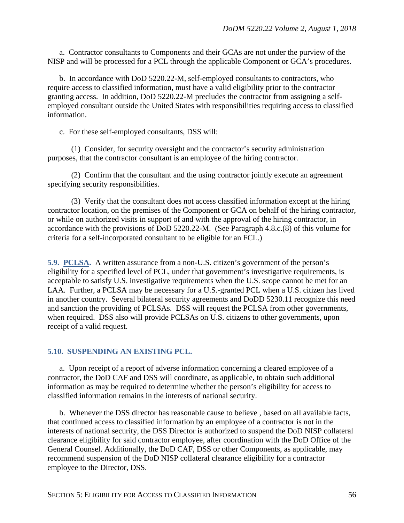a. Contractor consultants to Components and their GCAs are not under the purview of the NISP and will be processed for a PCL through the applicable Component or GCA's procedures.

b. In accordance with DoD 5220.22-M, self-employed consultants to contractors, who require access to classified information, must have a valid eligibility prior to the contractor granting access. In addition, DoD 5220.22-M precludes the contractor from assigning a selfemployed consultant outside the United States with responsibilities requiring access to classified information.

c. For these self-employed consultants, DSS will:

(1) Consider, for security oversight and the contractor's security administration purposes, that the contractor consultant is an employee of the hiring contractor.

(2) Confirm that the consultant and the using contractor jointly execute an agreement specifying security responsibilities.

(3) Verify that the consultant does not access classified information except at the hiring contractor location, on the premises of the Component or GCA on behalf of the hiring contractor, or while on authorized visits in support of and with the approval of the hiring contractor, in accordance with the provisions of DoD 5220.22-M. (See Paragraph 4.8.c.(8) of this volume for criteria for a self-incorporated consultant to be eligible for an FCL.)

**5.9. PCLSA.** A written assurance from a non-U.S. citizen's government of the person's eligibility for a specified level of PCL, under that government's investigative requirements, is acceptable to satisfy U.S. investigative requirements when the U.S. scope cannot be met for an LAA. Further, a PCLSA may be necessary for a U.S.-granted PCL when a U.S. citizen has lived in another country. Several bilateral security agreements and DoDD 5230.11 recognize this need and sanction the providing of PCLSAs. DSS will request the PCLSA from other governments, when required. DSS also will provide PCLSAs on U.S. citizens to other governments, upon receipt of a valid request.

## **5.10. SUSPENDING AN EXISTING PCL.**

a. Upon receipt of a report of adverse information concerning a cleared employee of a contractor, the DoD CAF and DSS will coordinate, as applicable, to obtain such additional information as may be required to determine whether the person's eligibility for access to classified information remains in the interests of national security.

b. Whenever the DSS director has reasonable cause to believe , based on all available facts, that continued access to classified information by an employee of a contractor is not in the interests of national security, the DSS Director is authorized to suspend the DoD NISP collateral clearance eligibility for said contractor employee, after coordination with the DoD Office of the General Counsel. Additionally, the DoD CAF, DSS or other Components, as applicable, may recommend suspension of the DoD NISP collateral clearance eligibility for a contractor employee to the Director, DSS.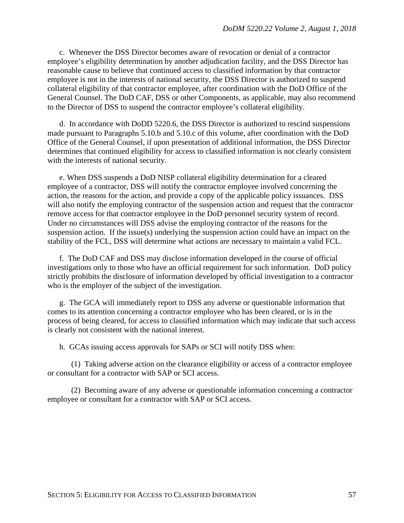c. Whenever the DSS Director becomes aware of revocation or denial of a contractor employee's eligibility determination by another adjudication facility, and the DSS Director has reasonable cause to believe that continued access to classified information by that contractor employee is not in the interests of national security, the DSS Director is authorized to suspend collateral eligibility of that contractor employee, after coordination with the DoD Office of the General Counsel. The DoD CAF, DSS or other Components, as applicable, may also recommend to the Director of DSS to suspend the contractor employee's collateral eligibility.

d. In accordance with DoDD 5220.6, the DSS Director is authorized to rescind suspensions made pursuant to Paragraphs 5.10.b and 5.10.c of this volume, after coordination with the DoD Office of the General Counsel, if upon presentation of additional information, the DSS Director determines that continued eligibility for access to classified information is not clearly consistent with the interests of national security.

e. When DSS suspends a DoD NISP collateral eligibility determination for a cleared employee of a contractor, DSS will notify the contractor employee involved concerning the action, the reasons for the action, and provide a copy of the applicable policy issuances. DSS will also notify the employing contractor of the suspension action and request that the contractor remove access for that contractor employee in the DoD personnel security system of record. Under no circumstances will DSS advise the employing contractor of the reasons for the suspension action. If the issue(s) underlying the suspension action could have an impact on the stability of the FCL, DSS will determine what actions are necessary to maintain a valid FCL.

f. The DoD CAF and DSS may disclose information developed in the course of official investigations only to those who have an official requirement for such information. DoD policy strictly prohibits the disclosure of information developed by official investigation to a contractor who is the employer of the subject of the investigation.

g. The GCA will immediately report to DSS any adverse or questionable information that comes to its attention concerning a contractor employee who has been cleared, or is in the process of being cleared, for access to classified information which may indicate that such access is clearly not consistent with the national interest.

h. GCAs issuing access approvals for SAPs or SCI will notify DSS when:

(1) Taking adverse action on the clearance eligibility or access of a contractor employee or consultant for a contractor with SAP or SCI access.

(2) Becoming aware of any adverse or questionable information concerning a contractor employee or consultant for a contractor with SAP or SCI access.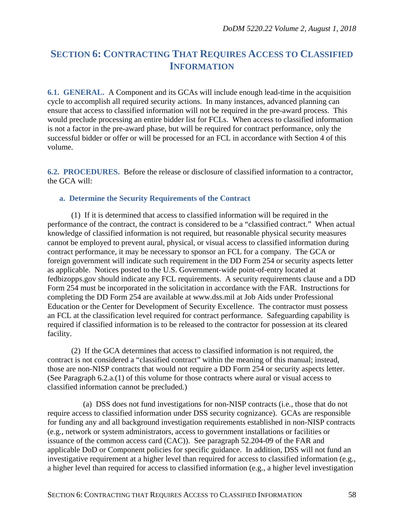# **SECTION 6: CONTRACTING THAT REQUIRES ACCESS TO CLASSIFIED INFORMATION**

**6.1. GENERAL.** A Component and its GCAs will include enough lead-time in the acquisition cycle to accomplish all required security actions. In many instances, advanced planning can ensure that access to classified information will not be required in the pre-award process. This would preclude processing an entire bidder list for FCLs. When access to classified information is not a factor in the pre-award phase, but will be required for contract performance, only the successful bidder or offer or will be processed for an FCL in accordance with Section 4 of this volume.

**6.2. PROCEDURES.** Before the release or disclosure of classified information to a contractor, the GCA will:

## **a. Determine the Security Requirements of the Contract**

(1) If it is determined that access to classified information will be required in the performance of the contract, the contract is considered to be a "classified contract." When actual knowledge of classified information is not required, but reasonable physical security measures cannot be employed to prevent aural, physical, or visual access to classified information during contract performance, it may be necessary to sponsor an FCL for a company. The GCA or foreign government will indicate such requirement in the DD Form 254 or security aspects letter as applicable. Notices posted to the U.S. Government-wide point-of-entry located at fedbizopps.gov should indicate any FCL requirements. A security requirements clause and a DD Form 254 must be incorporated in the solicitation in accordance with the FAR. Instructions for completing the DD Form 254 are available at www.dss.mil at Job Aids under Professional Education or the Center for Development of Security Excellence. The contractor must possess an FCL at the classification level required for contract performance. Safeguarding capability is required if classified information is to be released to the contractor for possession at its cleared facility.

(2) If the GCA determines that access to classified information is not required, the contract is not considered a "classified contract" within the meaning of this manual; instead, those are non-NISP contracts that would not require a DD Form 254 or security aspects letter. (See Paragraph 6.2.a.(1) of this volume for those contracts where aural or visual access to classified information cannot be precluded.)

(a) DSS does not fund investigations for non-NISP contracts (i.e., those that do not require access to classified information under DSS security cognizance). GCAs are responsible for funding any and all background investigation requirements established in non-NISP contracts (e.g., network or system administrators, access to government installations or facilities or issuance of the common access card (CAC)). See paragraph 52.204-09 of the FAR and applicable DoD or Component policies for specific guidance. In addition, DSS will not fund an investigative requirement at a higher level than required for access to classified information (e.g., a higher level than required for access to classified information (e.g., a higher level investigation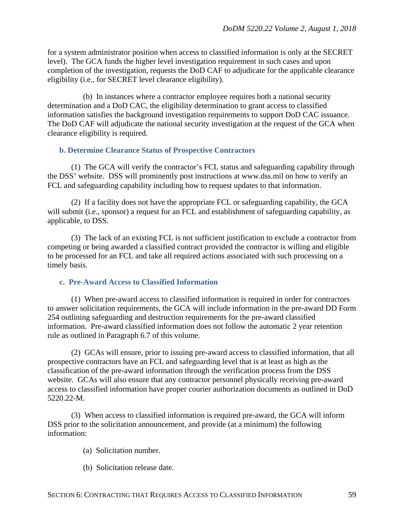for a system administrator position when access to classified information is only at the SECRET level). The GCA funds the higher level investigation requirement in such cases and upon completion of the investigation, requests the DoD CAF to adjudicate for the applicable clearance eligibility (i.e., for SECRET level clearance eligibility).

(b) In instances where a contractor employee requires both a national security determination and a DoD CAC, the eligibility determination to grant access to classified information satisfies the background investigation requirements to support DoD CAC issuance. The DoD CAF will adjudicate the national security investigation at the request of the GCA when clearance eligibility is required.

#### **b. Determine Clearance Status of Prospective Contractors**

(1) The GCA will verify the contractor's FCL status and safeguarding capability through the DSS' website. DSS will prominently post instructions at [www.dss.mil](http://www.dss.mil/) on how to verify an FCL and safeguarding capability including how to request updates to that information.

(2) If a facility does not have the appropriate FCL or safeguarding capability, the GCA will submit (i.e., sponsor) a request for an FCL and establishment of safeguarding capability, as applicable, to DSS.

(3) The lack of an existing FCL is not sufficient justification to exclude a contractor from competing or being awarded a classified contract provided the contractor is willing and eligible to be processed for an FCL and take all required actions associated with such processing on a timely basis.

#### **c. Pre-Award Access to Classified Information**

(1) When pre-award access to classified information is required in order for contractors to answer solicitation requirements, the GCA will include information in the pre-award DD Form 254 outlining safeguarding and destruction requirements for the pre-award classified information. Pre-award classified information does not follow the automatic 2 year retention rule as outlined in Paragraph 6.7 of this volume.

(2) GCAs will ensure, prior to issuing pre-award access to classified information, that all prospective contractors have an FCL and safeguarding level that is at least as high as the classification of the pre-award information through the verification process from the DSS website. GCAs will also ensure that any contractor personnel physically receiving pre-award access to classified information have proper courier authorization documents as outlined in DoD 5220.22-M.

(3) When access to classified information is required pre-award, the GCA will inform DSS prior to the solicitation announcement, and provide (at a minimum) the following information:

- (a) Solicitation number.
- (b) Solicitation release date.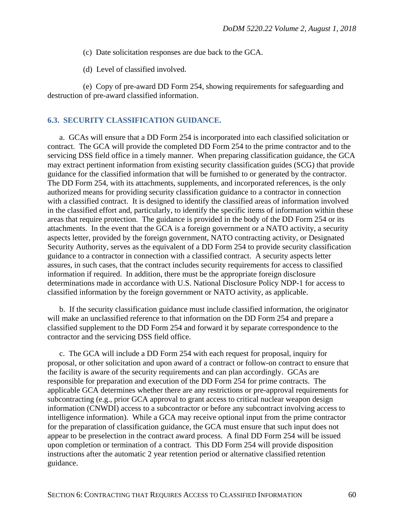- (c) Date solicitation responses are due back to the GCA.
- (d) Level of classified involved.

(e) Copy of pre-award DD Form 254, showing requirements for safeguarding and destruction of pre-award classified information.

## **6.3. SECURITY CLASSIFICATION GUIDANCE.**

a. GCAs will ensure that a DD Form 254 is incorporated into each classified solicitation or contract. The GCA will provide the completed DD Form 254 to the prime contractor and to the servicing DSS field office in a timely manner. When preparing classification guidance, the GCA may extract pertinent information from existing security classification guides (SCG) that provide guidance for the classified information that will be furnished to or generated by the contractor. The DD Form 254, with its attachments, supplements, and incorporated references, is the only authorized means for providing security classification guidance to a contractor in connection with a classified contract. It is designed to identify the classified areas of information involved in the classified effort and, particularly, to identify the specific items of information within these areas that require protection. The guidance is provided in the body of the DD Form 254 or its attachments. In the event that the GCA is a foreign government or a NATO activity, a security aspects letter, provided by the foreign government, NATO contracting activity, or Designated Security Authority, serves as the equivalent of a DD Form 254 to provide security classification guidance to a contractor in connection with a classified contract. A security aspects letter assures, in such cases, that the contract includes security requirements for access to classified information if required. In addition, there must be the appropriate foreign disclosure determinations made in accordance with U.S. National Disclosure Policy NDP-1 for access to classified information by the foreign government or NATO activity, as applicable.

b. If the security classification guidance must include classified information, the originator will make an unclassified reference to that information on the DD Form 254 and prepare a classified supplement to the DD Form 254 and forward it by separate correspondence to the contractor and the servicing DSS field office.

c. The GCA will include a DD Form 254 with each request for proposal, inquiry for proposal, or other solicitation and upon award of a contract or follow-on contract to ensure that the facility is aware of the security requirements and can plan accordingly. GCAs are responsible for preparation and execution of the DD Form 254 for prime contracts. The applicable GCA determines whether there are any restrictions or pre-approval requirements for subcontracting (e.g., prior GCA approval to grant access to critical nuclear weapon design information (CNWDI) access to a subcontractor or before any subcontract involving access to intelligence information). While a GCA may receive optional input from the prime contractor for the preparation of classification guidance, the GCA must ensure that such input does not appear to be preselection in the contract award process. A final DD Form 254 will be issued upon completion or termination of a contract. This DD Form 254 will provide disposition instructions after the automatic 2 year retention period or alternative classified retention guidance.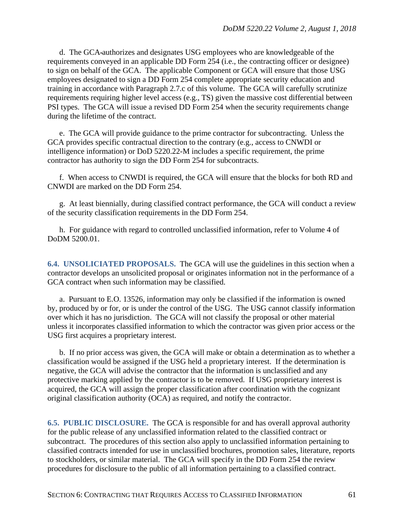d. The GCA authorizes and designates USG employees who are knowledgeable of the requirements conveyed in an applicable DD Form 254 (i.e., the contracting officer or designee) to sign on behalf of the GCA. The applicable Component or GCA will ensure that those USG employees designated to sign a DD Form 254 complete appropriate security education and training in accordance with Paragraph 2.7.c of this volume. The GCA will carefully scrutinize requirements requiring higher level access (e.g., TS) given the massive cost differential between PSI types. The GCA will issue a revised DD Form 254 when the security requirements change during the lifetime of the contract.

e. The GCA will provide guidance to the prime contractor for subcontracting. Unless the GCA provides specific contractual direction to the contrary (e.g., access to CNWDI or intelligence information) or DoD 5220.22-M includes a specific requirement, the prime contractor has authority to sign the DD Form 254 for subcontracts.

f. When access to CNWDI is required, the GCA will ensure that the blocks for both RD and CNWDI are marked on the DD Form 254.

g. At least biennially, during classified contract performance, the GCA will conduct a review of the security classification requirements in the DD Form 254.

h. For guidance with regard to controlled unclassified information, refer to Volume 4 of DoDM 5200.01.

**6.4. UNSOLICIATED PROPOSALS.** The GCA will use the guidelines in this section when a contractor develops an unsolicited proposal or originates information not in the performance of a GCA contract when such information may be classified.

a. Pursuant to E.O. 13526, information may only be classified if the information is owned by, produced by or for, or is under the control of the USG. The USG cannot classify information over which it has no jurisdiction. The GCA will not classify the proposal or other material unless it incorporates classified information to which the contractor was given prior access or the USG first acquires a proprietary interest.

b. If no prior access was given, the GCA will make or obtain a determination as to whether a classification would be assigned if the USG held a proprietary interest. If the determination is negative, the GCA will advise the contractor that the information is unclassified and any protective marking applied by the contractor is to be removed. If USG proprietary interest is acquired, the GCA will assign the proper classification after coordination with the cognizant original classification authority (OCA) as required, and notify the contractor.

**6.5. PUBLIC DISCLOSURE.** The GCA is responsible for and has overall approval authority for the public release of any unclassified information related to the classified contract or subcontract. The procedures of this section also apply to unclassified information pertaining to classified contracts intended for use in unclassified brochures, promotion sales, literature, reports to stockholders, or similar material. The GCA will specify in the DD Form 254 the review procedures for disclosure to the public of all information pertaining to a classified contract.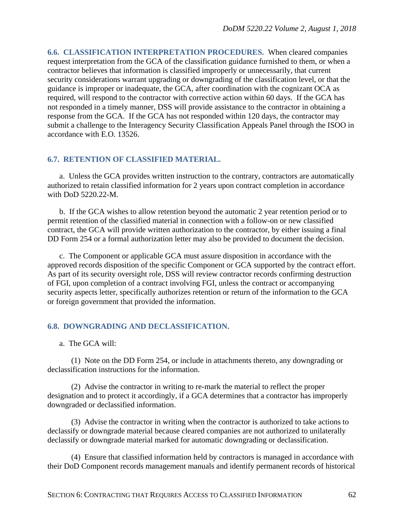**6.6. CLASSIFICATION INTERPRETATION PROCEDURES.** When cleared companies request interpretation from the GCA of the classification guidance furnished to them, or when a contractor believes that information is classified improperly or unnecessarily, that current security considerations warrant upgrading or downgrading of the classification level, or that the guidance is improper or inadequate, the GCA, after coordination with the cognizant OCA as required, will respond to the contractor with corrective action within 60 days. If the GCA has not responded in a timely manner, DSS will provide assistance to the contractor in obtaining a response from the GCA. If the GCA has not responded within 120 days, the contractor may submit a challenge to the Interagency Security Classification Appeals Panel through the ISOO in accordance with E.O. 13526.

## **6.7. RETENTION OF CLASSIFIED MATERIAL.**

a. Unless the GCA provides written instruction to the contrary, contractors are automatically authorized to retain classified information for 2 years upon contract completion in accordance with DoD 5220.22-M.

b. If the GCA wishes to allow retention beyond the automatic 2 year retention period or to permit retention of the classified material in connection with a follow-on or new classified contract, the GCA will provide written authorization to the contractor, by either issuing a final DD Form 254 or a formal authorization letter may also be provided to document the decision.

c. The Component or applicable GCA must assure disposition in accordance with the approved records disposition of the specific Component or GCA supported by the contract effort. As part of its security oversight role, DSS will review contractor records confirming destruction of FGI, upon completion of a contract involving FGI, unless the contract or accompanying security aspects letter, specifically authorizes retention or return of the information to the GCA or foreign government that provided the information.

## **6.8. DOWNGRADING AND DECLASSIFICATION.**

a. The GCA will:

(1) Note on the DD Form 254, or include in attachments thereto, any downgrading or declassification instructions for the information.

(2) Advise the contractor in writing to re-mark the material to reflect the proper designation and to protect it accordingly, if a GCA determines that a contractor has improperly downgraded or declassified information.

(3) Advise the contractor in writing when the contractor is authorized to take actions to declassify or downgrade material because cleared companies are not authorized to unilaterally declassify or downgrade material marked for automatic downgrading or declassification.

(4) Ensure that classified information held by contractors is managed in accordance with their DoD Component records management manuals and identify permanent records of historical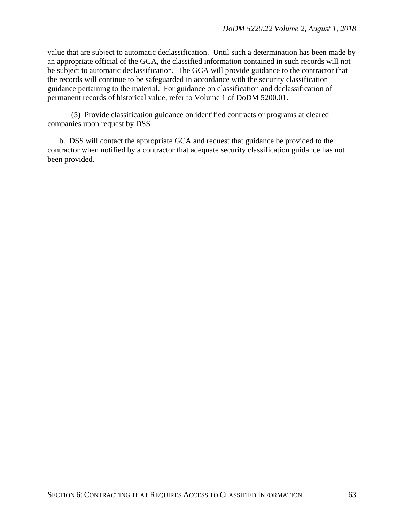value that are subject to automatic declassification. Until such a determination has been made by an appropriate official of the GCA, the classified information contained in such records will not be subject to automatic declassification. The GCA will provide guidance to the contractor that the records will continue to be safeguarded in accordance with the security classification guidance pertaining to the material. For guidance on classification and declassification of permanent records of historical value, refer to Volume 1 of DoDM 5200.01.

(5) Provide classification guidance on identified contracts or programs at cleared companies upon request by DSS.

b. DSS will contact the appropriate GCA and request that guidance be provided to the contractor when notified by a contractor that adequate security classification guidance has not been provided.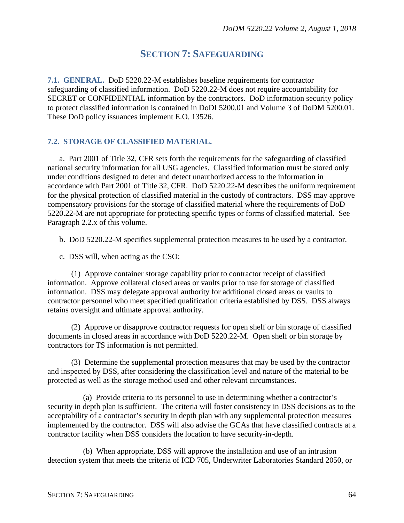# **SECTION 7: SAFEGUARDING**

**7.1. GENERAL.** DoD 5220.22-M establishes baseline requirements for contractor safeguarding of classified information. DoD 5220.22-M does not require accountability for SECRET or CONFIDENTIAL information by the contractors. DoD information security policy to protect classified information is contained in DoDI 5200.01 and Volume 3 of DoDM 5200.01. These DoD policy issuances implement E.O. 13526.

## **7.2. STORAGE OF CLASSIFIED MATERIAL.**

a. Part 2001 of Title 32, CFR sets forth the requirements for the safeguarding of classified national security information for all USG agencies. Classified information must be stored only under conditions designed to deter and detect unauthorized access to the information in accordance with Part 2001 of Title 32, CFR. DoD 5220.22-M describes the uniform requirement for the physical protection of classified material in the custody of contractors. DSS may approve compensatory provisions for the storage of classified material where the requirements of DoD 5220.22-M are not appropriate for protecting specific types or forms of classified material. See Paragraph 2.2.x of this volume.

b. DoD 5220.22-M specifies supplemental protection measures to be used by a contractor.

c. DSS will, when acting as the CSO:

(1) Approve container storage capability prior to contractor receipt of classified information. Approve collateral closed areas or vaults prior to use for storage of classified information. DSS may delegate approval authority for additional closed areas or vaults to contractor personnel who meet specified qualification criteria established by DSS. DSS always retains oversight and ultimate approval authority.

(2) Approve or disapprove contractor requests for open shelf or bin storage of classified documents in closed areas in accordance with DoD 5220.22-M. Open shelf or bin storage by contractors for TS information is not permitted.

(3) Determine the supplemental protection measures that may be used by the contractor and inspected by DSS, after considering the classification level and nature of the material to be protected as well as the storage method used and other relevant circumstances.

(a) Provide criteria to its personnel to use in determining whether a contractor's security in depth plan is sufficient. The criteria will foster consistency in DSS decisions as to the acceptability of a contractor's security in depth plan with any supplemental protection measures implemented by the contractor. DSS will also advise the GCAs that have classified contracts at a contractor facility when DSS considers the location to have security-in-depth.

(b) When appropriate, DSS will approve the installation and use of an intrusion detection system that meets the criteria of ICD 705, Underwriter Laboratories Standard 2050, or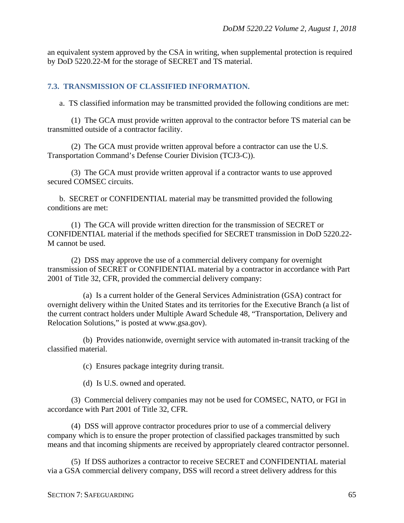an equivalent system approved by the CSA in writing, when supplemental protection is required by DoD 5220.22-M for the storage of SECRET and TS material.

## **7.3. TRANSMISSION OF CLASSIFIED INFORMATION.**

a. TS classified information may be transmitted provided the following conditions are met:

(1) The GCA must provide written approval to the contractor before TS material can be transmitted outside of a contractor facility.

(2) The GCA must provide written approval before a contractor can use the U.S. Transportation Command's Defense Courier Division (TCJ3-C)).

(3) The GCA must provide written approval if a contractor wants to use approved secured COMSEC circuits.

b. SECRET or CONFIDENTIAL material may be transmitted provided the following conditions are met:

(1) The GCA will provide written direction for the transmission of SECRET or CONFIDENTIAL material if the methods specified for SECRET transmission in DoD 5220.22- M cannot be used.

(2) DSS may approve the use of a commercial delivery company for overnight transmission of SECRET or CONFIDENTIAL material by a contractor in accordance with Part 2001 of Title 32, CFR, provided the commercial delivery company:

(a) Is a current holder of the General Services Administration (GSA) contract for overnight delivery within the United States and its territories for the Executive Branch (a list of the current contract holders under Multiple Award Schedule 48, "Transportation, Delivery and Relocation Solutions," is posted at [www.gsa.gov\)](http://www.gsa.gov/).

(b) Provides nationwide, overnight service with automated in-transit tracking of the classified material.

(c) Ensures package integrity during transit.

(d) Is U.S. owned and operated.

(3) Commercial delivery companies may not be used for COMSEC, NATO, or FGI in accordance with Part 2001 of Title 32, CFR.

(4) DSS will approve contractor procedures prior to use of a commercial delivery company which is to ensure the proper protection of classified packages transmitted by such means and that incoming shipments are received by appropriately cleared contractor personnel.

(5) If DSS authorizes a contractor to receive SECRET and CONFIDENTIAL material via a GSA commercial delivery company, DSS will record a street delivery address for this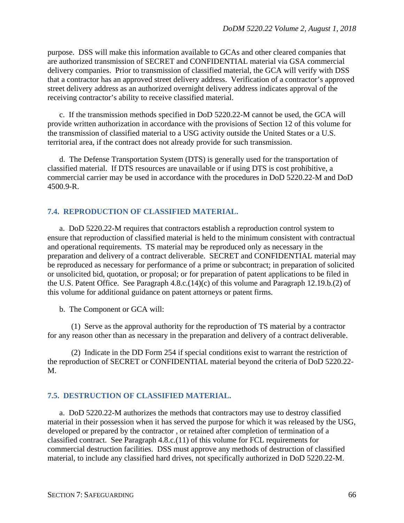purpose. DSS will make this information available to GCAs and other cleared companies that are authorized transmission of SECRET and CONFIDENTIAL material via GSA commercial delivery companies. Prior to transmission of classified material, the GCA will verify with DSS that a contractor has an approved street delivery address. Verification of a contractor's approved street delivery address as an authorized overnight delivery address indicates approval of the receiving contractor's ability to receive classified material.

c. If the transmission methods specified in DoD 5220.22-M cannot be used, the GCA will provide written authorization in accordance with the provisions of Section 12 of this volume for the transmission of classified material to a USG activity outside the United States or a U.S. territorial area, if the contract does not already provide for such transmission.

d. The Defense Transportation System (DTS) is generally used for the transportation of classified material. If DTS resources are unavailable or if using DTS is cost prohibitive, a commercial carrier may be used in accordance with the procedures in DoD 5220.22-M and DoD 4500.9-R.

# **7.4. REPRODUCTION OF CLASSIFIED MATERIAL.**

a. DoD 5220.22-M requires that contractors establish a reproduction control system to ensure that reproduction of classified material is held to the minimum consistent with contractual and operational requirements. TS material may be reproduced only as necessary in the preparation and delivery of a contract deliverable. SECRET and CONFIDENTIAL material may be reproduced as necessary for performance of a prime or subcontract; in preparation of solicited or unsolicited bid, quotation, or proposal; or for preparation of patent applications to be filed in the U.S. Patent Office. See Paragraph 4.8.c.(14)(c) of this volume and Paragraph 12.19.b.(2) of this volume for additional guidance on patent attorneys or patent firms.

b. The Component or GCA will:

(1) Serve as the approval authority for the reproduction of TS material by a contractor for any reason other than as necessary in the preparation and delivery of a contract deliverable.

(2) Indicate in the DD Form 254 if special conditions exist to warrant the restriction of the reproduction of SECRET or CONFIDENTIAL material beyond the criteria of DoD 5220.22- M.

# **7.5. DESTRUCTION OF CLASSIFIED MATERIAL.**

a. DoD 5220.22-M authorizes the methods that contractors may use to destroy classified material in their possession when it has served the purpose for which it was released by the USG, developed or prepared by the contractor , or retained after completion of termination of a classified contract. See Paragraph 4.8.c.(11) of this volume for FCL requirements for commercial destruction facilities. DSS must approve any methods of destruction of classified material, to include any classified hard drives, not specifically authorized in DoD 5220.22-M.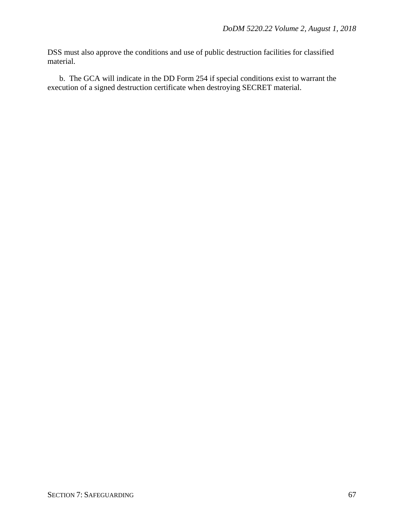DSS must also approve the conditions and use of public destruction facilities for classified material.

b. The GCA will indicate in the DD Form 254 if special conditions exist to warrant the execution of a signed destruction certificate when destroying SECRET material.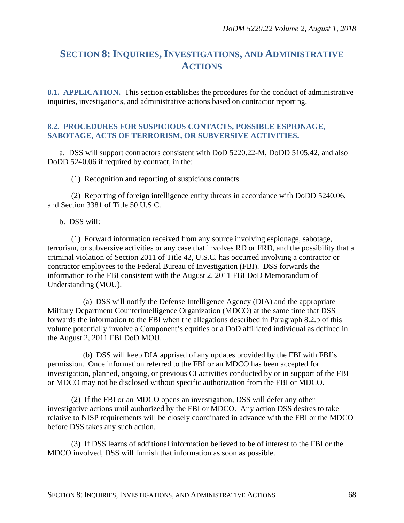# **SECTION 8: INQUIRIES, INVESTIGATIONS, AND ADMINISTRATIVE ACTIONS**

**8.1. APPLICATION.** This section establishes the procedures for the conduct of administrative inquiries, investigations, and administrative actions based on contractor reporting.

### **8.2. PROCEDURES FOR SUSPICIOUS CONTACTS, POSSIBLE ESPIONAGE, SABOTAGE, ACTS OF TERRORISM, OR SUBVERSIVE ACTIVITIES.**

a. DSS will support contractors consistent with DoD 5220.22-M, DoDD 5105.42, and also DoDD 5240.06 if required by contract, in the:

(1) Recognition and reporting of suspicious contacts.

(2) Reporting of foreign intelligence entity threats in accordance with DoDD 5240.06, and Section 3381 of Title 50 U.S.C.

#### b. DSS will:

(1) Forward information received from any source involving espionage, sabotage, terrorism, or subversive activities or any case that involves RD or FRD, and the possibility that a criminal violation of Section 2011 of Title 42, U.S.C. has occurred involving a contractor or contractor employees to the Federal Bureau of Investigation (FBI). DSS forwards the information to the FBI consistent with the August 2, 2011 FBI DoD Memorandum of Understanding (MOU).

(a) DSS will notify the Defense Intelligence Agency (DIA) and the appropriate Military Department Counterintelligence Organization (MDCO) at the same time that DSS forwards the information to the FBI when the allegations described in Paragraph 8.2.b of this volume potentially involve a Component's equities or a DoD affiliated individual as defined in the August 2, 2011 FBI DoD MOU.

(b) DSS will keep DIA apprised of any updates provided by the FBI with FBI's permission. Once information referred to the FBI or an MDCO has been accepted for investigation, planned, ongoing, or previous CI activities conducted by or in support of the FBI or MDCO may not be disclosed without specific authorization from the FBI or MDCO.

(2) If the FBI or an MDCO opens an investigation, DSS will defer any other investigative actions until authorized by the FBI or MDCO. Any action DSS desires to take relative to NISP requirements will be closely coordinated in advance with the FBI or the MDCO before DSS takes any such action.

(3) If DSS learns of additional information believed to be of interest to the FBI or the MDCO involved, DSS will furnish that information as soon as possible.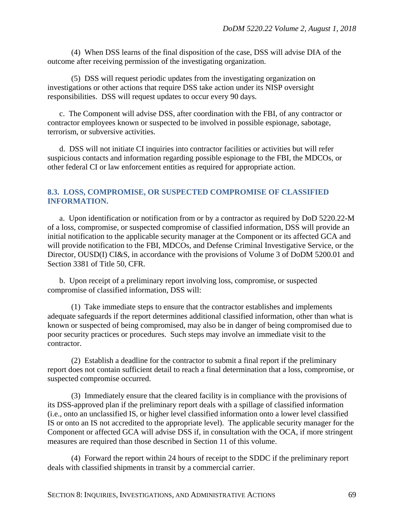(4) When DSS learns of the final disposition of the case, DSS will advise DIA of the outcome after receiving permission of the investigating organization.

(5) DSS will request periodic updates from the investigating organization on investigations or other actions that require DSS take action under its NISP oversight responsibilities. DSS will request updates to occur every 90 days.

c. The Component will advise DSS, after coordination with the FBI, of any contractor or contractor employees known or suspected to be involved in possible espionage, sabotage, terrorism, or subversive activities.

d. DSS will not initiate CI inquiries into contractor facilities or activities but will refer suspicious contacts and information regarding possible espionage to the FBI, the MDCOs, or other federal CI or law enforcement entities as required for appropriate action.

## **8.3. LOSS, COMPROMISE, OR SUSPECTED COMPROMISE OF CLASSIFIED INFORMATION.**

a. Upon identification or notification from or by a contractor as required by DoD 5220.22-M of a loss, compromise, or suspected compromise of classified information, DSS will provide an initial notification to the applicable security manager at the Component or its affected GCA and will provide notification to the FBI, MDCOs, and Defense Criminal Investigative Service, or the Director, OUSD(I) CI&S, in accordance with the provisions of Volume 3 of DoDM 5200.01 and Section 3381 of Title 50, CFR.

b. Upon receipt of a preliminary report involving loss, compromise, or suspected compromise of classified information, DSS will:

(1) Take immediate steps to ensure that the contractor establishes and implements adequate safeguards if the report determines additional classified information, other than what is known or suspected of being compromised, may also be in danger of being compromised due to poor security practices or procedures. Such steps may involve an immediate visit to the contractor.

(2) Establish a deadline for the contractor to submit a final report if the preliminary report does not contain sufficient detail to reach a final determination that a loss, compromise, or suspected compromise occurred.

(3) Immediately ensure that the cleared facility is in compliance with the provisions of its DSS-approved plan if the preliminary report deals with a spillage of classified information (i.e., onto an unclassified IS, or higher level classified information onto a lower level classified IS or onto an IS not accredited to the appropriate level). The applicable security manager for the Component or affected GCA will advise DSS if, in consultation with the OCA, if more stringent measures are required than those described in Section 11 of this volume.

(4) Forward the report within 24 hours of receipt to the SDDC if the preliminary report deals with classified shipments in transit by a commercial carrier.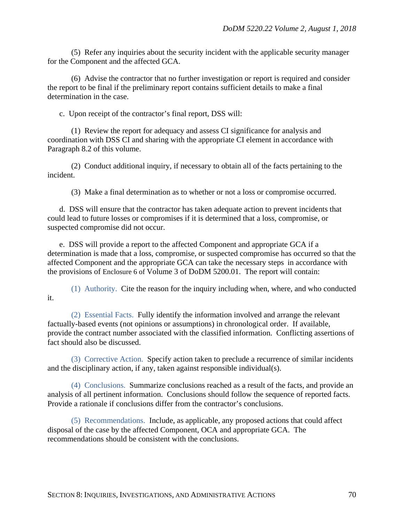(5) Refer any inquiries about the security incident with the applicable security manager for the Component and the affected GCA.

(6) Advise the contractor that no further investigation or report is required and consider the report to be final if the preliminary report contains sufficient details to make a final determination in the case.

c. Upon receipt of the contractor's final report, DSS will:

(1) Review the report for adequacy and assess CI significance for analysis and coordination with DSS CI and sharing with the appropriate CI element in accordance with Paragraph 8.2 of this volume.

(2) Conduct additional inquiry, if necessary to obtain all of the facts pertaining to the incident.

(3) Make a final determination as to whether or not a loss or compromise occurred.

d. DSS will ensure that the contractor has taken adequate action to prevent incidents that could lead to future losses or compromises if it is determined that a loss, compromise, or suspected compromise did not occur.

e. DSS will provide a report to the affected Component and appropriate GCA if a determination is made that a loss, compromise, or suspected compromise has occurred so that the affected Component and the appropriate GCA can take the necessary steps in accordance with the provisions of Enclosure 6 of Volume 3 of DoDM 5200.01. The report will contain:

(1) Authority. Cite the reason for the inquiry including when, where, and who conducted it.

(2) Essential Facts. Fully identify the information involved and arrange the relevant factually-based events (not opinions or assumptions) in chronological order. If available, provide the contract number associated with the classified information. Conflicting assertions of fact should also be discussed.

(3) Corrective Action. Specify action taken to preclude a recurrence of similar incidents and the disciplinary action, if any, taken against responsible individual(s).

(4) Conclusions. Summarize conclusions reached as a result of the facts, and provide an analysis of all pertinent information. Conclusions should follow the sequence of reported facts. Provide a rationale if conclusions differ from the contractor's conclusions.

(5) Recommendations. Include, as applicable, any proposed actions that could affect disposal of the case by the affected Component, OCA and appropriate GCA. The recommendations should be consistent with the conclusions.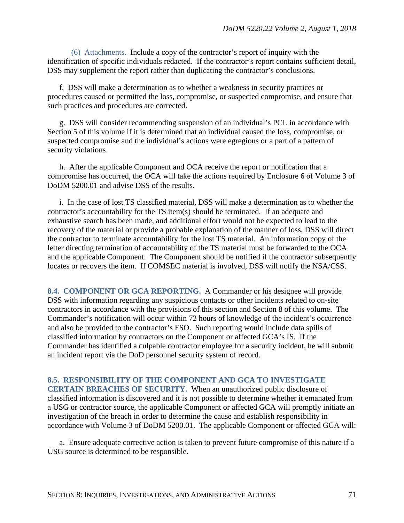(6) Attachments. Include a copy of the contractor's report of inquiry with the identification of specific individuals redacted. If the contractor's report contains sufficient detail, DSS may supplement the report rather than duplicating the contractor's conclusions.

f. DSS will make a determination as to whether a weakness in security practices or procedures caused or permitted the loss, compromise, or suspected compromise, and ensure that such practices and procedures are corrected.

g. DSS will consider recommending suspension of an individual's PCL in accordance with Section 5 of this volume if it is determined that an individual caused the loss, compromise, or suspected compromise and the individual's actions were egregious or a part of a pattern of security violations.

h. After the applicable Component and OCA receive the report or notification that a compromise has occurred, the OCA will take the actions required by Enclosure 6 of Volume 3 of DoDM 5200.01 and advise DSS of the results.

i. In the case of lost TS classified material, DSS will make a determination as to whether the contractor's accountability for the TS item(s) should be terminated. If an adequate and exhaustive search has been made, and additional effort would not be expected to lead to the recovery of the material or provide a probable explanation of the manner of loss, DSS will direct the contractor to terminate accountability for the lost TS material. An information copy of the letter directing termination of accountability of the TS material must be forwarded to the OCA and the applicable Component. The Component should be notified if the contractor subsequently locates or recovers the item. If COMSEC material is involved, DSS will notify the NSA/CSS.

**8.4. COMPONENT OR GCA REPORTING.** A Commander or his designee will provide DSS with information regarding any suspicious contacts or other incidents related to on-site contractors in accordance with the provisions of this section and Section 8 of this volume. The Commander's notification will occur within 72 hours of knowledge of the incident's occurrence and also be provided to the contractor's FSO. Such reporting would include data spills of classified information by contractors on the Component or affected GCA's IS. If the Commander has identified a culpable contractor employee for a security incident, he will submit an incident report via the DoD personnel security system of record.

# **8.5. RESPONSIBILITY OF THE COMPONENT AND GCA TO INVESTIGATE**

**CERTAIN BREACHES OF SECURITY.** When an unauthorized public disclosure of classified information is discovered and it is not possible to determine whether it emanated from a USG or contractor source, the applicable Component or affected GCA will promptly initiate an investigation of the breach in order to determine the cause and establish responsibility in accordance with Volume 3 of DoDM 5200.01. The applicable Component or affected GCA will:

a. Ensure adequate corrective action is taken to prevent future compromise of this nature if a USG source is determined to be responsible.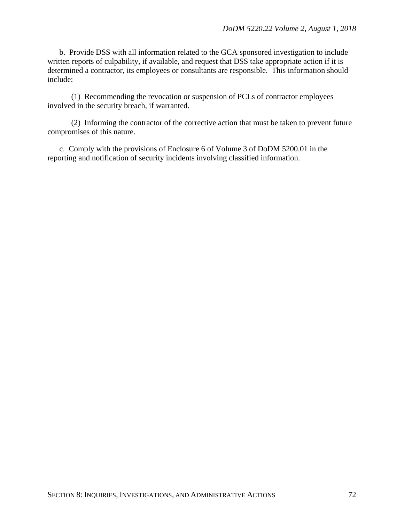b. Provide DSS with all information related to the GCA sponsored investigation to include written reports of culpability, if available, and request that DSS take appropriate action if it is determined a contractor, its employees or consultants are responsible. This information should include:

(1) Recommending the revocation or suspension of PCLs of contractor employees involved in the security breach, if warranted.

(2) Informing the contractor of the corrective action that must be taken to prevent future compromises of this nature.

c. Comply with the provisions of Enclosure 6 of Volume 3 of DoDM 5200.01 in the reporting and notification of security incidents involving classified information.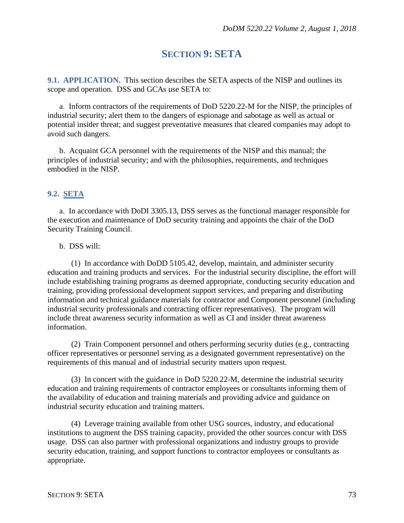# **SECTION 9: SETA**

**9.1. APPLICATION.** This section describes the SETA aspects of the NISP and outlines its scope and operation. DSS and GCAs use SETA to:

a. Inform contractors of the requirements of DoD 5220.22-M for the NISP, the principles of industrial security; alert them to the dangers of espionage and sabotage as well as actual or potential insider threat; and suggest preventative measures that cleared companies may adopt to avoid such dangers.

b. Acquaint GCA personnel with the requirements of the NISP and this manual; the principles of industrial security; and with the philosophies, requirements, and techniques embodied in the NISP.

## **9.2. SETA**

a. In accordance with DoDI 3305.13, DSS serves as the functional manager responsible for the execution and maintenance of DoD security training and appoints the chair of the DoD Security Training Council.

## b. DSS will:

(1) In accordance with DoDD 5105.42, develop, maintain, and administer security education and training products and services. For the industrial security discipline, the effort will include establishing training programs as deemed appropriate, conducting security education and training, providing professional development support services, and preparing and distributing information and technical guidance materials for contractor and Component personnel (including industrial security professionals and contracting officer representatives). The program will include threat awareness security information as well as CI and insider threat awareness information.

(2) Train Component personnel and others performing security duties (e.g., contracting officer representatives or personnel serving as a designated government representative) on the requirements of this manual and of industrial security matters upon request.

(3) In concert with the guidance in DoD 5220.22-M, determine the industrial security education and training requirements of contractor employees or consultants informing them of the availability of education and training materials and providing advice and guidance on industrial security education and training matters.

(4) Leverage training available from other USG sources, industry, and educational institutions to augment the DSS training capacity, provided the other sources concur with DSS usage. DSS can also partner with professional organizations and industry groups to provide security education, training, and support functions to contractor employees or consultants as appropriate.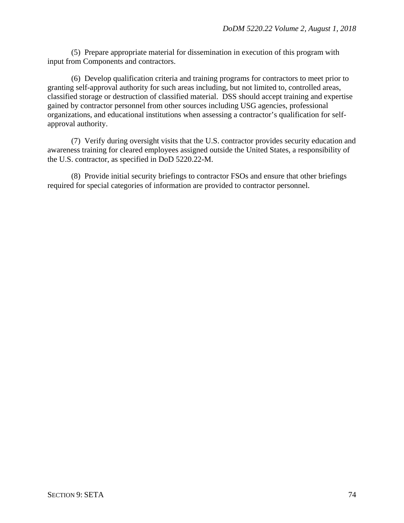(5) Prepare appropriate material for dissemination in execution of this program with input from Components and contractors.

(6) Develop qualification criteria and training programs for contractors to meet prior to granting self-approval authority for such areas including, but not limited to, controlled areas, classified storage or destruction of classified material. DSS should accept training and expertise gained by contractor personnel from other sources including USG agencies, professional organizations, and educational institutions when assessing a contractor's qualification for selfapproval authority.

(7) Verify during oversight visits that the U.S. contractor provides security education and awareness training for cleared employees assigned outside the United States, a responsibility of the U.S. contractor, as specified in DoD 5220.22-M.

(8) Provide initial security briefings to contractor FSOs and ensure that other briefings required for special categories of information are provided to contractor personnel.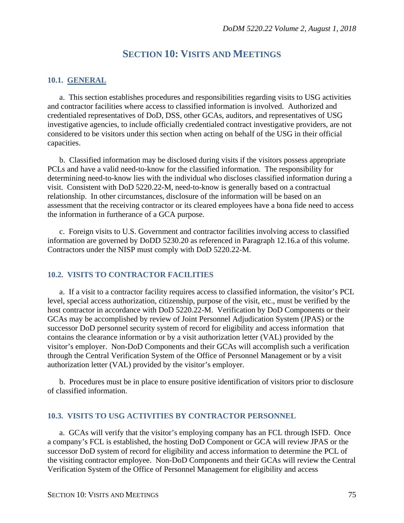## **SECTION 10: VISITS AND MEETINGS**

### **10.1. GENERAL**

a. This section establishes procedures and responsibilities regarding visits to USG activities and contractor facilities where access to classified information is involved. Authorized and credentialed representatives of DoD, DSS, other GCAs, auditors, and representatives of USG investigative agencies, to include officially credentialed contract investigative providers, are not considered to be visitors under this section when acting on behalf of the USG in their official capacities.

b. Classified information may be disclosed during visits if the visitors possess appropriate PCLs and have a valid need-to-know for the classified information. The responsibility for determining need-to-know lies with the individual who discloses classified information during a visit. Consistent with DoD 5220.22-M, need-to-know is generally based on a contractual relationship. In other circumstances, disclosure of the information will be based on an assessment that the receiving contractor or its cleared employees have a bona fide need to access the information in furtherance of a GCA purpose.

c. Foreign visits to U.S. Government and contractor facilities involving access to classified information are governed by DoDD 5230.20 as referenced in Paragraph 12.16.a of this volume. Contractors under the NISP must comply with DoD 5220.22-M.

## **10.2. VISITS TO CONTRACTOR FACILITIES**

a. If a visit to a contractor facility requires access to classified information, the visitor's PCL level, special access authorization, citizenship, purpose of the visit, etc., must be verified by the host contractor in accordance with DoD 5220.22-M. Verification by DoD Components or their GCAs may be accomplished by review of Joint Personnel Adjudication System (JPAS) or the successor DoD personnel security system of record for eligibility and access information that contains the clearance information or by a visit authorization letter (VAL) provided by the visitor's employer. Non-DoD Components and their GCAs will accomplish such a verification through the Central Verification System of the Office of Personnel Management or by a visit authorization letter (VAL) provided by the visitor's employer.

b. Procedures must be in place to ensure positive identification of visitors prior to disclosure of classified information.

### **10.3. VISITS TO USG ACTIVITIES BY CONTRACTOR PERSONNEL**

a. GCAs will verify that the visitor's employing company has an FCL through ISFD. Once a company's FCL is established, the hosting DoD Component or GCA will review JPAS or the successor DoD system of record for eligibility and access information to determine the PCL of the visiting contractor employee. Non-DoD Components and their GCAs will review the Central Verification System of the Office of Personnel Management for eligibility and access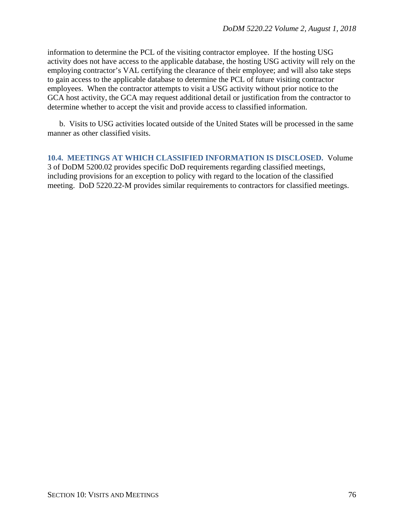information to determine the PCL of the visiting contractor employee. If the hosting USG activity does not have access to the applicable database, the hosting USG activity will rely on the employing contractor's VAL certifying the clearance of their employee; and will also take steps to gain access to the applicable database to determine the PCL of future visiting contractor employees. When the contractor attempts to visit a USG activity without prior notice to the GCA host activity, the GCA may request additional detail or justification from the contractor to determine whether to accept the visit and provide access to classified information.

b. Visits to USG activities located outside of the United States will be processed in the same manner as other classified visits.

**10.4. MEETINGS AT WHICH CLASSIFIED INFORMATION IS DISCLOSED.** Volume 3 of DoDM 5200.02 provides specific DoD requirements regarding classified meetings, including provisions for an exception to policy with regard to the location of the classified meeting. DoD 5220.22-M provides similar requirements to contractors for classified meetings.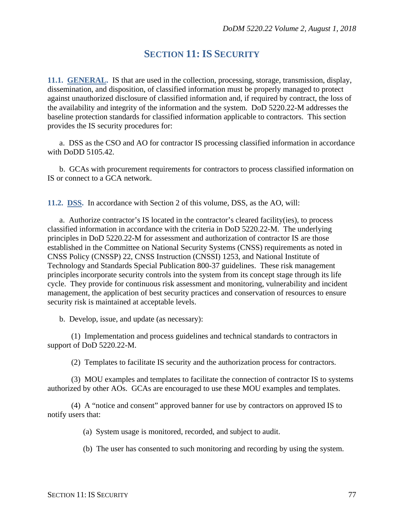## **SECTION 11: IS SECURITY**

**11.1. GENERAL.** IS that are used in the collection, processing, storage, transmission, display, dissemination, and disposition, of classified information must be properly managed to protect against unauthorized disclosure of classified information and, if required by contract, the loss of the availability and integrity of the information and the system. DoD 5220.22-M addresses the baseline protection standards for classified information applicable to contractors. This section provides the IS security procedures for:

a. DSS as the CSO and AO for contractor IS processing classified information in accordance with DoDD 5105.42.

b. GCAs with procurement requirements for contractors to process classified information on IS or connect to a GCA network.

**11.2. DSS.** In accordance with Section 2 of this volume, DSS, as the AO, will:

a. Authorize contractor's IS located in the contractor's cleared facility(ies), to process classified information in accordance with the criteria in DoD 5220.22-M. The underlying principles in DoD 5220.22-M for assessment and authorization of contractor IS are those established in the Committee on National Security Systems (CNSS) requirements as noted in CNSS Policy (CNSSP) 22, CNSS Instruction (CNSSI) 1253, and National Institute of Technology and Standards Special Publication 800-37 guidelines. These risk management principles incorporate security controls into the system from its concept stage through its life cycle. They provide for continuous risk assessment and monitoring, vulnerability and incident management, the application of best security practices and conservation of resources to ensure security risk is maintained at acceptable levels.

b. Develop, issue, and update (as necessary):

(1) Implementation and process guidelines and technical standards to contractors in support of DoD 5220.22-M.

(2) Templates to facilitate IS security and the authorization process for contractors.

(3) MOU examples and templates to facilitate the connection of contractor IS to systems authorized by other AOs. GCAs are encouraged to use these MOU examples and templates.

(4) A "notice and consent" approved banner for use by contractors on approved IS to notify users that:

(a) System usage is monitored, recorded, and subject to audit.

(b) The user has consented to such monitoring and recording by using the system.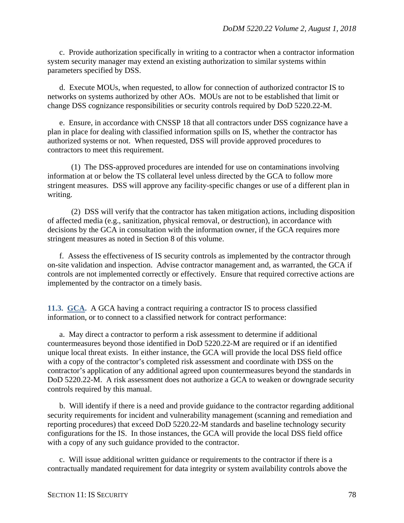c. Provide authorization specifically in writing to a contractor when a contractor information system security manager may extend an existing authorization to similar systems within parameters specified by DSS.

d. Execute MOUs, when requested, to allow for connection of authorized contractor IS to networks on systems authorized by other AOs. MOUs are not to be established that limit or change DSS cognizance responsibilities or security controls required by DoD 5220.22-M.

e. Ensure, in accordance with CNSSP 18 that all contractors under DSS cognizance have a plan in place for dealing with classified information spills on IS, whether the contractor has authorized systems or not. When requested, DSS will provide approved procedures to contractors to meet this requirement.

(1) The DSS-approved procedures are intended for use on contaminations involving information at or below the TS collateral level unless directed by the GCA to follow more stringent measures. DSS will approve any facility-specific changes or use of a different plan in writing.

(2) DSS will verify that the contractor has taken mitigation actions, including disposition of affected media (e.g., sanitization, physical removal, or destruction), in accordance with decisions by the GCA in consultation with the information owner, if the GCA requires more stringent measures as noted in Section 8 of this volume.

f. Assess the effectiveness of IS security controls as implemented by the contractor through on-site validation and inspection. Advise contractor management and, as warranted, the GCA if controls are not implemented correctly or effectively. Ensure that required corrective actions are implemented by the contractor on a timely basis.

**11.3. GCA.** A GCA having a contract requiring a contractor IS to process classified information, or to connect to a classified network for contract performance:

a. May direct a contractor to perform a risk assessment to determine if additional countermeasures beyond those identified in DoD 5220.22-M are required or if an identified unique local threat exists. In either instance, the GCA will provide the local DSS field office with a copy of the contractor's completed risk assessment and coordinate with DSS on the contractor's application of any additional agreed upon countermeasures beyond the standards in DoD 5220.22-M. A risk assessment does not authorize a GCA to weaken or downgrade security controls required by this manual.

b. Will identify if there is a need and provide guidance to the contractor regarding additional security requirements for incident and vulnerability management (scanning and remediation and reporting procedures) that exceed DoD 5220.22-M standards and baseline technology security configurations for the IS. In those instances, the GCA will provide the local DSS field office with a copy of any such guidance provided to the contractor.

c. Will issue additional written guidance or requirements to the contractor if there is a contractually mandated requirement for data integrity or system availability controls above the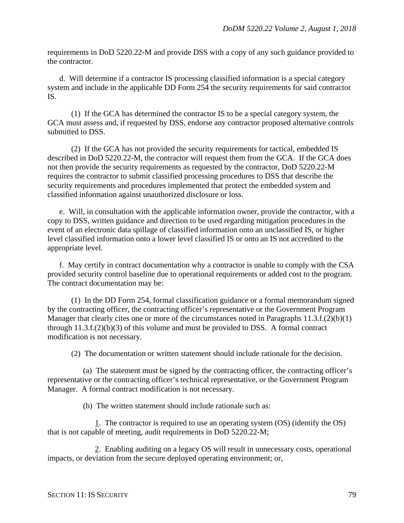requirements in DoD 5220.22-M and provide DSS with a copy of any such guidance provided to the contractor.

d. Will determine if a contractor IS processing classified information is a special category system and include in the applicable DD Form 254 the security requirements for said contractor IS.

(1) If the GCA has determined the contractor IS to be a special category system, the GCA must assess and, if requested by DSS, endorse any contractor proposed alternative controls submitted to DSS.

(2) If the GCA has not provided the security requirements for tactical, embedded IS described in DoD 5220.22-M, the contractor will request them from the GCA. If the GCA does not then provide the security requirements as requested by the contractor, DoD 5220.22-M requires the contractor to submit classified processing procedures to DSS that describe the security requirements and procedures implemented that protect the embedded system and classified information against unauthorized disclosure or loss.

e. Will, in consultation with the applicable information owner, provide the contractor, with a copy to DSS, written guidance and direction to be used regarding mitigation procedures in the event of an electronic data spillage of classified information onto an unclassified IS, or higher level classified information onto a lower level classified IS or onto an IS not accredited to the appropriate level.

f. May certify in contract documentation why a contractor is unable to comply with the CSA provided security control baseline due to operational requirements or added cost to the program. The contract documentation may be:

(1) In the DD Form 254, formal classification guidance or a formal memorandum signed by the contracting officer, the contracting officer's representative or the Government Program Manager that clearly cites one or more of the circumstances noted in Paragraphs 11.3.f.(2)(b)(1) through 11.3.f.(2)(b)(3) of this volume and must be provided to DSS. A formal contract modification is not necessary.

(2) The documentation or written statement should include rationale for the decision.

(a) The statement must be signed by the contracting officer, the contracting officer's representative or the contracting officer's technical representative, or the Government Program Manager. A formal contract modification is not necessary.

(b) The written statement should include rationale such as:

1. The contractor is required to use an operating system (OS) (identify the OS) that is not capable of meeting, audit requirements in DoD 5220.22-M;

2. Enabling auditing on a legacy OS will result in unnecessary costs, operational impacts, or deviation from the secure deployed operating environment; or,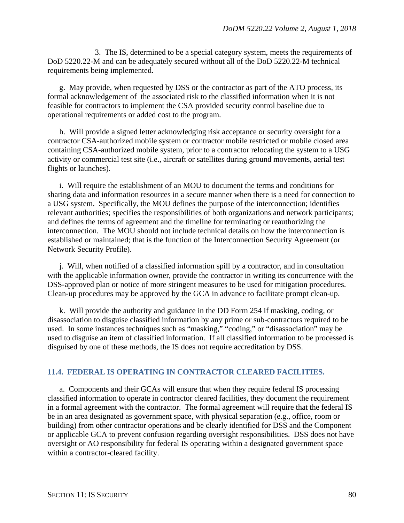3. The IS, determined to be a special category system, meets the requirements of DoD 5220.22-M and can be adequately secured without all of the DoD 5220.22-M technical requirements being implemented.

g. May provide, when requested by DSS or the contractor as part of the ATO process, its formal acknowledgement of the associated risk to the classified information when it is not feasible for contractors to implement the CSA provided security control baseline due to operational requirements or added cost to the program.

h. Will provide a signed letter acknowledging risk acceptance or security oversight for a contractor CSA-authorized mobile system or contractor mobile restricted or mobile closed area containing CSA-authorized mobile system, prior to a contractor relocating the system to a USG activity or commercial test site (i.e., aircraft or satellites during ground movements, aerial test flights or launches).

i. Will require the establishment of an MOU to document the terms and conditions for sharing data and information resources in a secure manner when there is a need for connection to a USG system. Specifically, the MOU defines the purpose of the interconnection; identifies relevant authorities; specifies the responsibilities of both organizations and network participants; and defines the terms of agreement and the timeline for terminating or reauthorizing the interconnection. The MOU should not include technical details on how the interconnection is established or maintained; that is the function of the Interconnection Security Agreement (or Network Security Profile).

j. Will, when notified of a classified information spill by a contractor, and in consultation with the applicable information owner, provide the contractor in writing its concurrence with the DSS-approved plan or notice of more stringent measures to be used for mitigation procedures. Clean-up procedures may be approved by the GCA in advance to facilitate prompt clean-up.

k. Will provide the authority and guidance in the DD Form 254 if masking, coding, or disassociation to disguise classified information by any prime or sub-contractors required to be used. In some instances techniques such as "masking," "coding," or "disassociation" may be used to disguise an item of classified information. If all classified information to be processed is disguised by one of these methods, the IS does not require accreditation by DSS.

## **11.4. FEDERAL IS OPERATING IN CONTRACTOR CLEARED FACILITIES.**

a. Components and their GCAs will ensure that when they require federal IS processing classified information to operate in contractor cleared facilities, they document the requirement in a formal agreement with the contractor. The formal agreement will require that the federal IS be in an area designated as government space, with physical separation (e.g., office, room or building) from other contractor operations and be clearly identified for DSS and the Component or applicable GCA to prevent confusion regarding oversight responsibilities. DSS does not have oversight or AO responsibility for federal IS operating within a designated government space within a contractor-cleared facility.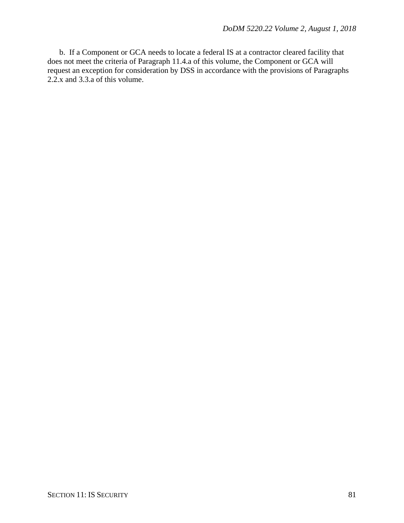b. If a Component or GCA needs to locate a federal IS at a contractor cleared facility that does not meet the criteria of Paragraph 11.4.a of this volume, the Component or GCA will request an exception for consideration by DSS in accordance with the provisions of Paragraphs 2.2.x and 3.3.a of this volume.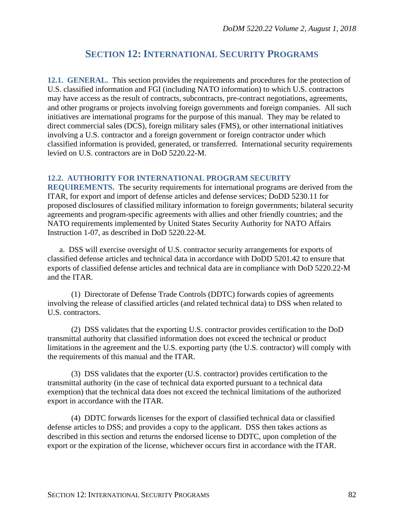# **SECTION 12: INTERNATIONAL SECURITY PROGRAMS**

**12.1. GENERAL.** This section provides the requirements and procedures for the protection of U.S. classified information and FGI (including NATO information) to which U.S. contractors may have access as the result of contracts, subcontracts, pre-contract negotiations, agreements, and other programs or projects involving foreign governments and foreign companies. All such initiatives are international programs for the purpose of this manual. They may be related to direct commercial sales (DCS), foreign military sales (FMS), or other international initiatives involving a U.S. contractor and a foreign government or foreign contractor under which classified information is provided, generated, or transferred. International security requirements levied on U.S. contractors are in DoD 5220.22-M.

## **12.2. AUTHORITY FOR INTERNATIONAL PROGRAM SECURITY**

**REQUIREMENTS.** The security requirements for international programs are derived from the ITAR, for export and import of defense articles and defense services; DoDD 5230.11 for proposed disclosures of classified military information to foreign governments; bilateral security agreements and program-specific agreements with allies and other friendly countries; and the NATO requirements implemented by United States Security Authority for NATO Affairs Instruction 1-07, as described in DoD 5220.22-M.

a. DSS will exercise oversight of U.S. contractor security arrangements for exports of classified defense articles and technical data in accordance with DoDD 5201.42 to ensure that exports of classified defense articles and technical data are in compliance with DoD 5220.22-M and the ITAR.

(1) Directorate of Defense Trade Controls (DDTC) forwards copies of agreements involving the release of classified articles (and related technical data) to DSS when related to U.S. contractors.

(2) DSS validates that the exporting U.S. contractor provides certification to the DoD transmittal authority that classified information does not exceed the technical or product limitations in the agreement and the U.S. exporting party (the U.S. contractor) will comply with the requirements of this manual and the ITAR.

(3) DSS validates that the exporter (U.S. contractor) provides certification to the transmittal authority (in the case of technical data exported pursuant to a technical data exemption) that the technical data does not exceed the technical limitations of the authorized export in accordance with the ITAR.

(4) DDTC forwards licenses for the export of classified technical data or classified defense articles to DSS; and provides a copy to the applicant. DSS then takes actions as described in this section and returns the endorsed license to DDTC, upon completion of the export or the expiration of the license, whichever occurs first in accordance with the ITAR.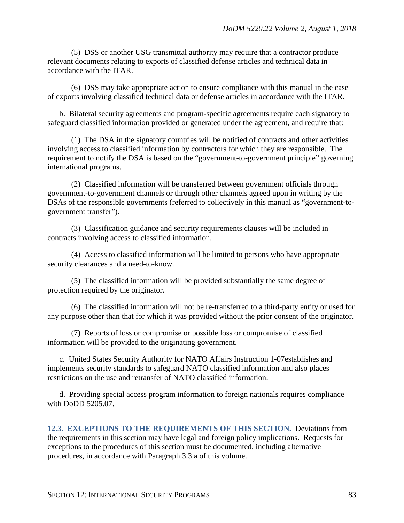(5) DSS or another USG transmittal authority may require that a contractor produce relevant documents relating to exports of classified defense articles and technical data in accordance with the ITAR.

(6) DSS may take appropriate action to ensure compliance with this manual in the case of exports involving classified technical data or defense articles in accordance with the ITAR.

b. Bilateral security agreements and program-specific agreements require each signatory to safeguard classified information provided or generated under the agreement, and require that:

(1) The DSA in the signatory countries will be notified of contracts and other activities involving access to classified information by contractors for which they are responsible. The requirement to notify the DSA is based on the "government-to-government principle" governing international programs.

(2) Classified information will be transferred between government officials through government-to-government channels or through other channels agreed upon in writing by the DSAs of the responsible governments (referred to collectively in this manual as "government-togovernment transfer").

(3) Classification guidance and security requirements clauses will be included in contracts involving access to classified information.

(4) Access to classified information will be limited to persons who have appropriate security clearances and a need-to-know.

(5) The classified information will be provided substantially the same degree of protection required by the originator.

(6) The classified information will not be re-transferred to a third-party entity or used for any purpose other than that for which it was provided without the prior consent of the originator.

(7) Reports of loss or compromise or possible loss or compromise of classified information will be provided to the originating government.

c. United States Security Authority for NATO Affairs Instruction 1-07establishes and implements security standards to safeguard NATO classified information and also places restrictions on the use and retransfer of NATO classified information.

d. Providing special access program information to foreign nationals requires compliance with DoDD 5205.07.

**12.3. EXCEPTIONS TO THE REQUIREMENTS OF THIS SECTION.** Deviations from the requirements in this section may have legal and foreign policy implications. Requests for exceptions to the procedures of this section must be documented, including alternative procedures, in accordance with Paragraph 3.3.a of this volume.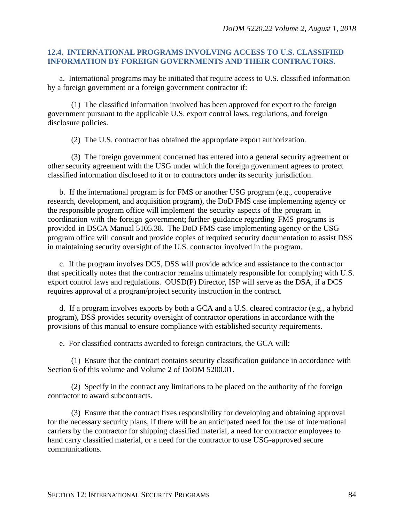## **12.4. INTERNATIONAL PROGRAMS INVOLVING ACCESS TO U.S. CLASSIFIED INFORMATION BY FOREIGN GOVERNMENTS AND THEIR CONTRACTORS.**

a. International programs may be initiated that require access to U.S. classified information by a foreign government or a foreign government contractor if:

(1) The classified information involved has been approved for export to the foreign government pursuant to the applicable U.S. export control laws, regulations, and foreign disclosure policies.

(2) The U.S. contractor has obtained the appropriate export authorization.

(3) The foreign government concerned has entered into a general security agreement or other security agreement with the USG under which the foreign government agrees to protect classified information disclosed to it or to contractors under its security jurisdiction.

b. If the international program is for FMS or another USG program (e.g., cooperative research, development, and acquisition program), the DoD FMS case implementing agency or the responsible program office will implement the security aspects of the program in coordination with the foreign government; further guidance regarding FMS programs is provided in DSCA Manual 5105.38. The DoD FMS case implementing agency or the USG program office will consult and provide copies of required security documentation to assist DSS in maintaining security oversight of the U.S. contractor involved in the program.

c. If the program involves DCS, DSS will provide advice and assistance to the contractor that specifically notes that the contractor remains ultimately responsible for complying with U.S. export control laws and regulations. OUSD(P) Director, ISP will serve as the DSA, if a DCS requires approval of a program/project security instruction in the contract.

d. If a program involves exports by both a GCA and a U.S. cleared contractor (e.g., a hybrid program), DSS provides security oversight of contractor operations in accordance with the provisions of this manual to ensure compliance with established security requirements.

e. For classified contracts awarded to foreign contractors, the GCA will:

(1) Ensure that the contract contains security classification guidance in accordance with Section 6 of this volume and Volume 2 of DoDM 5200.01.

(2) Specify in the contract any limitations to be placed on the authority of the foreign contractor to award subcontracts.

(3) Ensure that the contract fixes responsibility for developing and obtaining approval for the necessary security plans, if there will be an anticipated need for the use of international carriers by the contractor for shipping classified material, a need for contractor employees to hand carry classified material, or a need for the contractor to use USG-approved secure communications.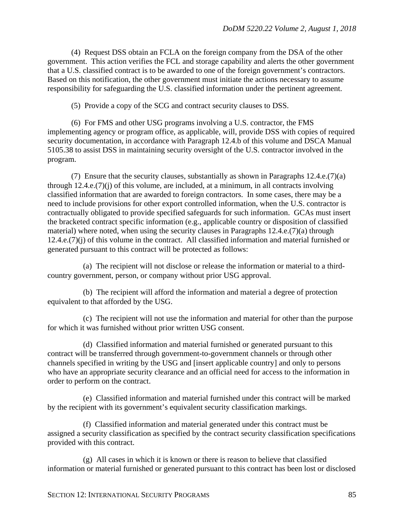(4) Request DSS obtain an FCLA on the foreign company from the DSA of the other government. This action verifies the FCL and storage capability and alerts the other government that a U.S. classified contract is to be awarded to one of the foreign government's contractors. Based on this notification, the other government must initiate the actions necessary to assume responsibility for safeguarding the U.S. classified information under the pertinent agreement.

(5) Provide a copy of the SCG and contract security clauses to DSS.

(6) For FMS and other USG programs involving a U.S. contractor, the FMS implementing agency or program office, as applicable, will, provide DSS with copies of required security documentation, in accordance with Paragraph 12.4.b of this volume and DSCA Manual 5105.38 to assist DSS in maintaining security oversight of the U.S. contractor involved in the program.

(7) Ensure that the security clauses, substantially as shown in Paragraphs  $12.4.e.(7)(a)$ through 12.4.e.(7)(j) of this volume, are included, at a minimum, in all contracts involving classified information that are awarded to foreign contractors. In some cases, there may be a need to include provisions for other export controlled information, when the U.S. contractor is contractually obligated to provide specified safeguards for such information. GCAs must insert the bracketed contract specific information (e.g., applicable country or disposition of classified material) where noted, when using the security clauses in Paragraphs 12.4.e.(7)(a) through 12.4.e.(7)(j) of this volume in the contract. All classified information and material furnished or generated pursuant to this contract will be protected as follows:

(a) The recipient will not disclose or release the information or material to a thirdcountry government, person, or company without prior USG approval.

(b) The recipient will afford the information and material a degree of protection equivalent to that afforded by the USG.

(c) The recipient will not use the information and material for other than the purpose for which it was furnished without prior written USG consent.

(d) Classified information and material furnished or generated pursuant to this contract will be transferred through government-to-government channels or through other channels specified in writing by the USG and [insert applicable country] and only to persons who have an appropriate security clearance and an official need for access to the information in order to perform on the contract.

(e) Classified information and material furnished under this contract will be marked by the recipient with its government's equivalent security classification markings.

(f) Classified information and material generated under this contract must be assigned a security classification as specified by the contract security classification specifications provided with this contract.

(g) All cases in which it is known or there is reason to believe that classified information or material furnished or generated pursuant to this contract has been lost or disclosed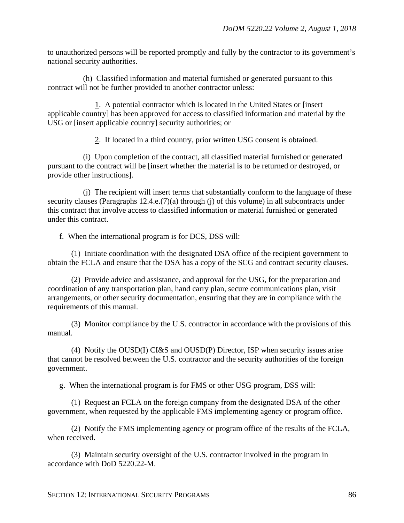to unauthorized persons will be reported promptly and fully by the contractor to its government's national security authorities.

(h) Classified information and material furnished or generated pursuant to this contract will not be further provided to another contractor unless:

1. A potential contractor which is located in the United States or [insert applicable country] has been approved for access to classified information and material by the USG or [insert applicable country] security authorities; or

2. If located in a third country, prior written USG consent is obtained.

(i) Upon completion of the contract, all classified material furnished or generated pursuant to the contract will be [insert whether the material is to be returned or destroyed, or provide other instructions].

(j) The recipient will insert terms that substantially conform to the language of these security clauses (Paragraphs 12.4.e.(7)(a) through (j) of this volume) in all subcontracts under this contract that involve access to classified information or material furnished or generated under this contract.

f. When the international program is for DCS, DSS will:

(1) Initiate coordination with the designated DSA office of the recipient government to obtain the FCLA and ensure that the DSA has a copy of the SCG and contract security clauses.

(2) Provide advice and assistance, and approval for the USG, for the preparation and coordination of any transportation plan, hand carry plan, secure communications plan, visit arrangements, or other security documentation, ensuring that they are in compliance with the requirements of this manual.

(3) Monitor compliance by the U.S. contractor in accordance with the provisions of this manual.

(4) Notify the OUSD(I) CI&S and OUSD(P) Director, ISP when security issues arise that cannot be resolved between the U.S. contractor and the security authorities of the foreign government.

g. When the international program is for FMS or other USG program, DSS will:

(1) Request an FCLA on the foreign company from the designated DSA of the other government, when requested by the applicable FMS implementing agency or program office.

(2) Notify the FMS implementing agency or program office of the results of the FCLA, when received.

(3) Maintain security oversight of the U.S. contractor involved in the program in accordance with DoD 5220.22-M.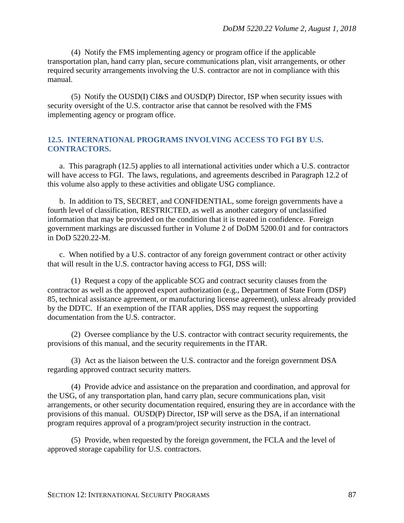(4) Notify the FMS implementing agency or program office if the applicable transportation plan, hand carry plan, secure communications plan, visit arrangements, or other required security arrangements involving the U.S. contractor are not in compliance with this manual.

(5) Notify the OUSD(I) CI&S and OUSD(P) Director, ISP when security issues with security oversight of the U.S. contractor arise that cannot be resolved with the FMS implementing agency or program office.

## **12.5. INTERNATIONAL PROGRAMS INVOLVING ACCESS TO FGI BY U.S. CONTRACTORS.**

a. This paragraph (12.5) applies to all international activities under which a U.S. contractor will have access to FGI. The laws, regulations, and agreements described in Paragraph 12.2 of this volume also apply to these activities and obligate USG compliance.

b. In addition to TS, SECRET, and CONFIDENTIAL, some foreign governments have a fourth level of classification, RESTRICTED, as well as another category of unclassified information that may be provided on the condition that it is treated in confidence. Foreign government markings are discussed further in Volume 2 of DoDM 5200.01 and for contractors in DoD 5220.22-M.

c. When notified by a U.S. contractor of any foreign government contract or other activity that will result in the U.S. contractor having access to FGI, DSS will:

(1) Request a copy of the applicable SCG and contract security clauses from the contractor as well as the approved export authorization (e.g., Department of State Form (DSP) 85, technical assistance agreement, or manufacturing license agreement), unless already provided by the DDTC. If an exemption of the ITAR applies, DSS may request the supporting documentation from the U.S. contractor.

(2) Oversee compliance by the U.S. contractor with contract security requirements, the provisions of this manual, and the security requirements in the ITAR.

(3) Act as the liaison between the U.S. contractor and the foreign government DSA regarding approved contract security matters.

(4) Provide advice and assistance on the preparation and coordination, and approval for the USG, of any transportation plan, hand carry plan, secure communications plan, visit arrangements, or other security documentation required, ensuring they are in accordance with the provisions of this manual. OUSD(P) Director, ISP will serve as the DSA, if an international program requires approval of a program/project security instruction in the contract.

(5) Provide, when requested by the foreign government, the FCLA and the level of approved storage capability for U.S. contractors.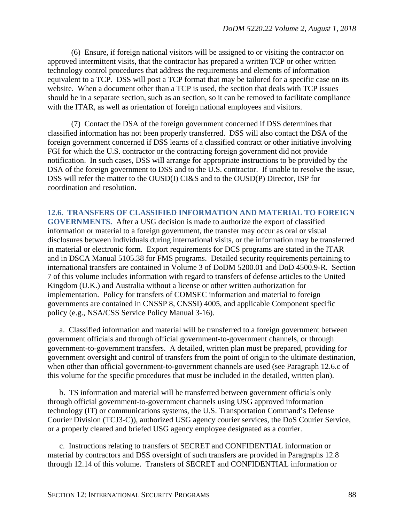(6) Ensure, if foreign national visitors will be assigned to or visiting the contractor on approved intermittent visits, that the contractor has prepared a written TCP or other written technology control procedures that address the requirements and elements of information equivalent to a TCP. DSS will post a TCP format that may be tailored for a specific case on its website. When a document other than a TCP is used, the section that deals with TCP issues should be in a separate section, such as an section, so it can be removed to facilitate compliance with the ITAR, as well as orientation of foreign national employees and visitors.

(7) Contact the DSA of the foreign government concerned if DSS determines that classified information has not been properly transferred. DSS will also contact the DSA of the foreign government concerned if DSS learns of a classified contract or other initiative involving FGI for which the U.S. contractor or the contracting foreign government did not provide notification. In such cases, DSS will arrange for appropriate instructions to be provided by the DSA of the foreign government to DSS and to the U.S. contractor. If unable to resolve the issue, DSS will refer the matter to the OUSD(I) CI&S and to the OUSD(P) Director, ISP for coordination and resolution.

**12.6. TRANSFERS OF CLASSIFIED INFORMATION AND MATERIAL TO FOREIGN GOVERNMENTS.** After a USG decision is made to authorize the export of classified information or material to a foreign government, the transfer may occur as oral or visual disclosures between individuals during international visits, or the information may be transferred in material or electronic form. Export requirements for DCS programs are stated in the ITAR and in DSCA Manual 5105.38 for FMS programs. Detailed security requirements pertaining to international transfers are contained in Volume 3 of DoDM 5200.01 and DoD 4500.9-R. Section 7 of this volume includes information with regard to transfers of defense articles to the United Kingdom (U.K.) and Australia without a license or other written authorization for implementation. Policy for transfers of COMSEC information and material to foreign governments are contained in CNSSP 8, CNSSI) 4005, and applicable Component specific policy (e.g., NSA/CSS Service Policy Manual 3-16).

a. Classified information and material will be transferred to a foreign government between government officials and through official government-to-government channels, or through government-to-government transfers. A detailed, written plan must be prepared, providing for government oversight and control of transfers from the point of origin to the ultimate destination, when other than official government-to-government channels are used (see Paragraph 12.6.c of this volume for the specific procedures that must be included in the detailed, written plan).

b. TS information and material will be transferred between government officials only through official government-to-government channels using USG approved information technology (IT) or communications systems, the U.S. Transportation Command's Defense Courier Division (TCJ3-C)), authorized USG agency courier services, the DoS Courier Service, or a properly cleared and briefed USG agency employee designated as a courier.

c. Instructions relating to transfers of SECRET and CONFIDENTIAL information or material by contractors and DSS oversight of such transfers are provided in Paragraphs 12.8 through 12.14 of this volume. Transfers of SECRET and CONFIDENTIAL information or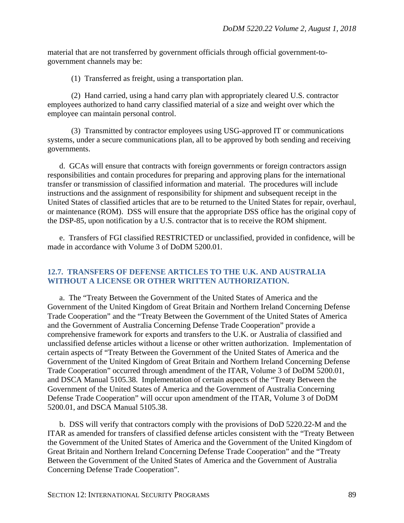material that are not transferred by government officials through official government-togovernment channels may be:

(1) Transferred as freight, using a transportation plan.

(2) Hand carried, using a hand carry plan with appropriately cleared U.S. contractor employees authorized to hand carry classified material of a size and weight over which the employee can maintain personal control.

(3) Transmitted by contractor employees using USG-approved IT or communications systems, under a secure communications plan, all to be approved by both sending and receiving governments.

d. GCAs will ensure that contracts with foreign governments or foreign contractors assign responsibilities and contain procedures for preparing and approving plans for the international transfer or transmission of classified information and material. The procedures will include instructions and the assignment of responsibility for shipment and subsequent receipt in the United States of classified articles that are to be returned to the United States for repair, overhaul, or maintenance (ROM). DSS will ensure that the appropriate DSS office has the original copy of the DSP-85, upon notification by a U.S. contractor that is to receive the ROM shipment.

e. Transfers of FGI classified RESTRICTED or unclassified, provided in confidence, will be made in accordance with Volume 3 of DoDM 5200.01.

## **12.7. TRANSFERS OF DEFENSE ARTICLES TO THE U.K. AND AUSTRALIA WITHOUT A LICENSE OR OTHER WRITTEN AUTHORIZATION.**

a. The "Treaty Between the Government of the United States of America and the Government of the United Kingdom of Great Britain and Northern Ireland Concerning Defense Trade Cooperation" and the "Treaty Between the Government of the United States of America and the Government of Australia Concerning Defense Trade Cooperation" provide a comprehensive framework for exports and transfers to the U.K. or Australia of classified and unclassified defense articles without a license or other written authorization. Implementation of certain aspects of "Treaty Between the Government of the United States of America and the Government of the United Kingdom of Great Britain and Northern Ireland Concerning Defense Trade Cooperation" occurred through amendment of the ITAR, Volume 3 of DoDM 5200.01, and DSCA Manual 5105.38. Implementation of certain aspects of the "Treaty Between the Government of the United States of America and the Government of Australia Concerning Defense Trade Cooperation" will occur upon amendment of the ITAR, Volume 3 of DoDM 5200.01, and DSCA Manual 5105.38.

b. DSS will verify that contractors comply with the provisions of DoD 5220.22-M and the ITAR as amended for transfers of classified defense articles consistent with the "Treaty Between the Government of the United States of America and the Government of the United Kingdom of Great Britain and Northern Ireland Concerning Defense Trade Cooperation" and the "Treaty Between the Government of the United States of America and the Government of Australia Concerning Defense Trade Cooperation".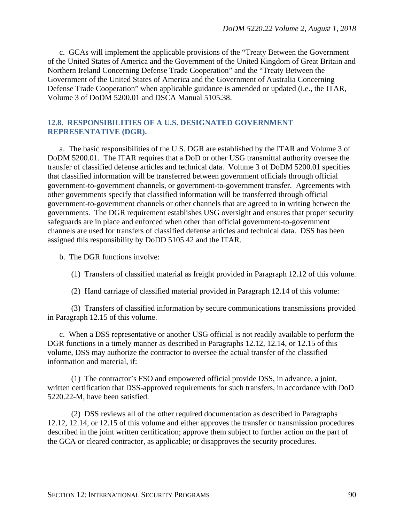c. GCAs will implement the applicable provisions of the "Treaty Between the Government of the United States of America and the Government of the United Kingdom of Great Britain and Northern Ireland Concerning Defense Trade Cooperation" and the "Treaty Between the Government of the United States of America and the Government of Australia Concerning Defense Trade Cooperation" when applicable guidance is amended or updated (i.e., the ITAR, Volume 3 of DoDM 5200.01 and DSCA Manual 5105.38.

## **12.8. RESPONSIBILITIES OF A U.S. DESIGNATED GOVERNMENT REPRESENTATIVE (DGR).**

a. The basic responsibilities of the U.S. DGR are established by the ITAR and Volume 3 of DoDM 5200.01. The ITAR requires that a DoD or other USG transmittal authority oversee the transfer of classified defense articles and technical data. Volume 3 of DoDM 5200.01 specifies that classified information will be transferred between government officials through official government-to-government channels, or government-to-government transfer. Agreements with other governments specify that classified information will be transferred through official government-to-government channels or other channels that are agreed to in writing between the governments. The DGR requirement establishes USG oversight and ensures that proper security safeguards are in place and enforced when other than official government-to-government channels are used for transfers of classified defense articles and technical data. DSS has been assigned this responsibility by DoDD 5105.42 and the ITAR.

b. The DGR functions involve:

- (1) Transfers of classified material as freight provided in Paragraph 12.12 of this volume.
- (2) Hand carriage of classified material provided in Paragraph 12.14 of this volume:

(3) Transfers of classified information by secure communications transmissions provided in Paragraph 12.15 of this volume.

c. When a DSS representative or another USG official is not readily available to perform the DGR functions in a timely manner as described in Paragraphs 12.12, 12.14, or 12.15 of this volume, DSS may authorize the contractor to oversee the actual transfer of the classified information and material, if:

(1) The contractor's FSO and empowered official provide DSS, in advance, a joint, written certification that DSS-approved requirements for such transfers, in accordance with DoD 5220.22-M, have been satisfied.

(2) DSS reviews all of the other required documentation as described in Paragraphs 12.12, 12.14, or 12.15 of this volume and either approves the transfer or transmission procedures described in the joint written certification; approve them subject to further action on the part of the GCA or cleared contractor, as applicable; or disapproves the security procedures.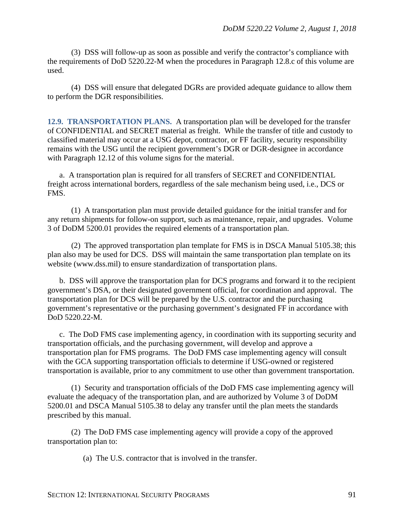(3) DSS will follow-up as soon as possible and verify the contractor's compliance with the requirements of DoD 5220.22-M when the procedures in Paragraph 12.8.c of this volume are used.

(4) DSS will ensure that delegated DGRs are provided adequate guidance to allow them to perform the DGR responsibilities.

**12.9. TRANSPORTATION PLANS.** A transportation plan will be developed for the transfer of CONFIDENTIAL and SECRET material as freight. While the transfer of title and custody to classified material may occur at a USG depot, contractor, or FF facility, security responsibility remains with the USG until the recipient government's DGR or DGR-designee in accordance with Paragraph 12.12 of this volume signs for the material.

a. A transportation plan is required for all transfers of SECRET and CONFIDENTIAL freight across international borders, regardless of the sale mechanism being used, i.e., DCS or FMS.

(1) A transportation plan must provide detailed guidance for the initial transfer and for any return shipments for follow-on support, such as maintenance, repair, and upgrades. Volume 3 of DoDM 5200.01 provides the required elements of a transportation plan.

(2) The approved transportation plan template for FMS is in DSCA Manual 5105.38; this plan also may be used for DCS. DSS will maintain the same transportation plan template on its website [\(www.dss.mil\)](http://www.dss.mil/) to ensure standardization of transportation plans.

b. DSS will approve the transportation plan for DCS programs and forward it to the recipient government's DSA, or their designated government official, for coordination and approval. The transportation plan for DCS will be prepared by the U.S. contractor and the purchasing government's representative or the purchasing government's designated FF in accordance with DoD 5220.22-M.

c. The DoD FMS case implementing agency, in coordination with its supporting security and transportation officials, and the purchasing government, will develop and approve a transportation plan for FMS programs. The DoD FMS case implementing agency will consult with the GCA supporting transportation officials to determine if USG-owned or registered transportation is available, prior to any commitment to use other than government transportation.

(1) Security and transportation officials of the DoD FMS case implementing agency will evaluate the adequacy of the transportation plan, and are authorized by Volume 3 of DoDM 5200.01 and DSCA Manual 5105.38 to delay any transfer until the plan meets the standards prescribed by this manual.

(2) The DoD FMS case implementing agency will provide a copy of the approved transportation plan to:

(a) The U.S. contractor that is involved in the transfer.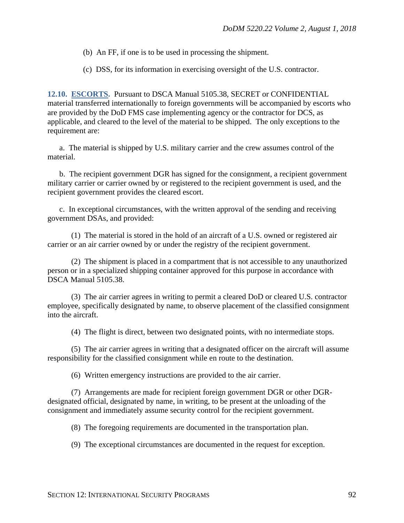(b) An FF, if one is to be used in processing the shipment.

(c) DSS, for its information in exercising oversight of the U.S. contractor.

**12.10. ESCORTS.** Pursuant to DSCA Manual 5105.38, SECRET or CONFIDENTIAL material transferred internationally to foreign governments will be accompanied by escorts who are provided by the DoD FMS case implementing agency or the contractor for DCS, as applicable, and cleared to the level of the material to be shipped. The only exceptions to the requirement are:

a. The material is shipped by U.S. military carrier and the crew assumes control of the material.

b. The recipient government DGR has signed for the consignment, a recipient government military carrier or carrier owned by or registered to the recipient government is used, and the recipient government provides the cleared escort.

c. In exceptional circumstances, with the written approval of the sending and receiving government DSAs, and provided:

(1) The material is stored in the hold of an aircraft of a U.S. owned or registered air carrier or an air carrier owned by or under the registry of the recipient government.

(2) The shipment is placed in a compartment that is not accessible to any unauthorized person or in a specialized shipping container approved for this purpose in accordance with DSCA Manual 5105.38.

(3) The air carrier agrees in writing to permit a cleared DoD or cleared U.S. contractor employee, specifically designated by name, to observe placement of the classified consignment into the aircraft.

(4) The flight is direct, between two designated points, with no intermediate stops.

(5) The air carrier agrees in writing that a designated officer on the aircraft will assume responsibility for the classified consignment while en route to the destination.

(6) Written emergency instructions are provided to the air carrier.

(7) Arrangements are made for recipient foreign government DGR or other DGRdesignated official, designated by name, in writing, to be present at the unloading of the consignment and immediately assume security control for the recipient government.

(8) The foregoing requirements are documented in the transportation plan.

(9) The exceptional circumstances are documented in the request for exception.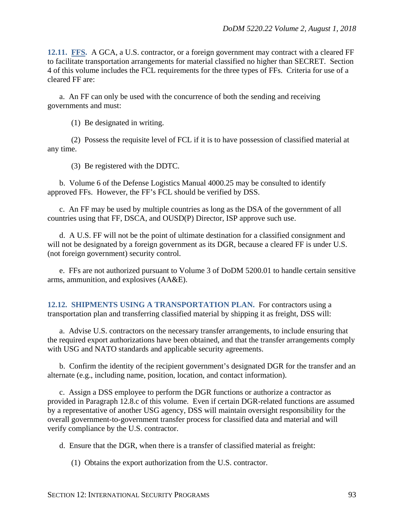**12.11. FFS.** A GCA, a U.S. contractor, or a foreign government may contract with a cleared FF to facilitate transportation arrangements for material classified no higher than SECRET. Section 4 of this volume includes the FCL requirements for the three types of FFs. Criteria for use of a cleared FF are:

a. An FF can only be used with the concurrence of both the sending and receiving governments and must:

(1) Be designated in writing.

(2) Possess the requisite level of FCL if it is to have possession of classified material at any time.

(3) Be registered with the DDTC.

b. Volume 6 of the Defense Logistics Manual 4000.25 may be consulted to identify approved FFs. However, the FF's FCL should be verified by DSS.

c. An FF may be used by multiple countries as long as the DSA of the government of all countries using that FF, DSCA, and OUSD(P) Director, ISP approve such use.

d. A U.S. FF will not be the point of ultimate destination for a classified consignment and will not be designated by a foreign government as its DGR, because a cleared FF is under U.S. (not foreign government) security control.

e. FFs are not authorized pursuant to Volume 3 of DoDM 5200.01 to handle certain sensitive arms, ammunition, and explosives (AA&E).

**12.12. SHIPMENTS USING A TRANSPORTATION PLAN.** For contractors using a transportation plan and transferring classified material by shipping it as freight, DSS will:

a. Advise U.S. contractors on the necessary transfer arrangements, to include ensuring that the required export authorizations have been obtained, and that the transfer arrangements comply with USG and NATO standards and applicable security agreements.

b. Confirm the identity of the recipient government's designated DGR for the transfer and an alternate (e.g., including name, position, location, and contact information).

c. Assign a DSS employee to perform the DGR functions or authorize a contractor as provided in Paragraph 12.8.c of this volume. Even if certain DGR-related functions are assumed by a representative of another USG agency, DSS will maintain oversight responsibility for the overall government-to-government transfer process for classified data and material and will verify compliance by the U.S. contractor.

d. Ensure that the DGR, when there is a transfer of classified material as freight:

(1) Obtains the export authorization from the U.S. contractor.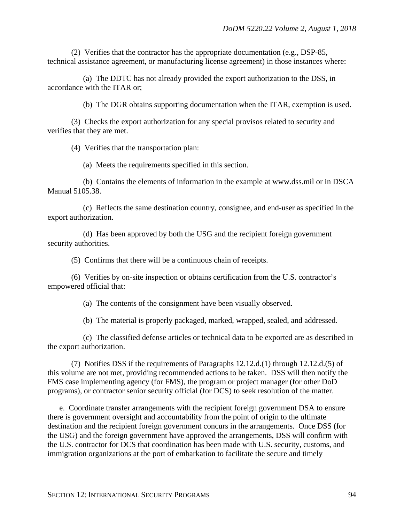(2) Verifies that the contractor has the appropriate documentation (e.g., DSP-85, technical assistance agreement, or manufacturing license agreement) in those instances where:

(a) The DDTC has not already provided the export authorization to the DSS, in accordance with the ITAR or;

(b) The DGR obtains supporting documentation when the ITAR, exemption is used.

(3) Checks the export authorization for any special provisos related to security and verifies that they are met.

(4) Verifies that the transportation plan:

(a) Meets the requirements specified in this section.

(b) Contains the elements of information in the example at www.dss.mil or in DSCA Manual 5105.38.

(c) Reflects the same destination country, consignee, and end-user as specified in the export authorization.

(d) Has been approved by both the USG and the recipient foreign government security authorities.

(5) Confirms that there will be a continuous chain of receipts.

(6) Verifies by on-site inspection or obtains certification from the U.S. contractor's empowered official that:

(a) The contents of the consignment have been visually observed.

(b) The material is properly packaged, marked, wrapped, sealed, and addressed.

(c) The classified defense articles or technical data to be exported are as described in the export authorization.

(7) Notifies DSS if the requirements of Paragraphs 12.12.d.(1) through 12.12.d.(5) of this volume are not met, providing recommended actions to be taken. DSS will then notify the FMS case implementing agency (for FMS), the program or project manager (for other DoD programs), or contractor senior security official (for DCS) to seek resolution of the matter.

e. Coordinate transfer arrangements with the recipient foreign government DSA to ensure there is government oversight and accountability from the point of origin to the ultimate destination and the recipient foreign government concurs in the arrangements. Once DSS (for the USG) and the foreign government have approved the arrangements, DSS will confirm with the U.S. contractor for DCS that coordination has been made with U.S. security, customs, and immigration organizations at the port of embarkation to facilitate the secure and timely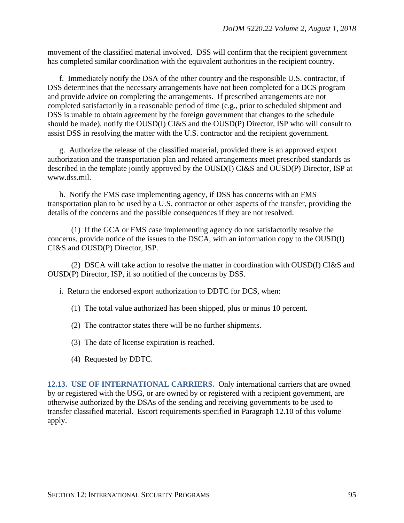movement of the classified material involved. DSS will confirm that the recipient government has completed similar coordination with the equivalent authorities in the recipient country.

f. Immediately notify the DSA of the other country and the responsible U.S. contractor, if DSS determines that the necessary arrangements have not been completed for a DCS program and provide advice on completing the arrangements. If prescribed arrangements are not completed satisfactorily in a reasonable period of time (e.g., prior to scheduled shipment and DSS is unable to obtain agreement by the foreign government that changes to the schedule should be made), notify the OUSD(I) CI&S and the OUSD(P) Director, ISP who will consult to assist DSS in resolving the matter with the U.S. contractor and the recipient government.

g. Authorize the release of the classified material, provided there is an approved export authorization and the transportation plan and related arrangements meet prescribed standards as described in the template jointly approved by the OUSD(I) CI&S and OUSD(P) Director, ISP at www.dss.mil.

h. Notify the FMS case implementing agency, if DSS has concerns with an FMS transportation plan to be used by a U.S. contractor or other aspects of the transfer, providing the details of the concerns and the possible consequences if they are not resolved.

(1) If the GCA or FMS case implementing agency do not satisfactorily resolve the concerns, provide notice of the issues to the DSCA, with an information copy to the OUSD(I) CI&S and OUSD(P) Director, ISP.

(2) DSCA will take action to resolve the matter in coordination with OUSD(I) CI&S and OUSD(P) Director, ISP, if so notified of the concerns by DSS.

i. Return the endorsed export authorization to DDTC for DCS, when:

- (1) The total value authorized has been shipped, plus or minus 10 percent.
- (2) The contractor states there will be no further shipments.
- (3) The date of license expiration is reached.
- (4) Requested by DDTC.

**12.13. USE OF INTERNATIONAL CARRIERS.** Only international carriers that are owned by or registered with the USG, or are owned by or registered with a recipient government, are otherwise authorized by the DSAs of the sending and receiving governments to be used to transfer classified material. Escort requirements specified in Paragraph 12.10 of this volume apply.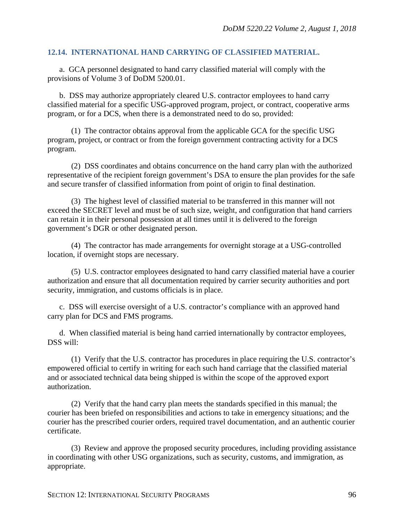### **12.14. INTERNATIONAL HAND CARRYING OF CLASSIFIED MATERIAL.**

a. GCA personnel designated to hand carry classified material will comply with the provisions of Volume 3 of DoDM 5200.01.

b. DSS may authorize appropriately cleared U.S. contractor employees to hand carry classified material for a specific USG-approved program, project, or contract, cooperative arms program, or for a DCS, when there is a demonstrated need to do so, provided:

(1) The contractor obtains approval from the applicable GCA for the specific USG program, project, or contract or from the foreign government contracting activity for a DCS program.

(2) DSS coordinates and obtains concurrence on the hand carry plan with the authorized representative of the recipient foreign government's DSA to ensure the plan provides for the safe and secure transfer of classified information from point of origin to final destination.

(3) The highest level of classified material to be transferred in this manner will not exceed the SECRET level and must be of such size, weight, and configuration that hand carriers can retain it in their personal possession at all times until it is delivered to the foreign government's DGR or other designated person.

(4) The contractor has made arrangements for overnight storage at a USG-controlled location, if overnight stops are necessary.

(5) U.S. contractor employees designated to hand carry classified material have a courier authorization and ensure that all documentation required by carrier security authorities and port security, immigration, and customs officials is in place.

c. DSS will exercise oversight of a U.S. contractor's compliance with an approved hand carry plan for DCS and FMS programs.

d. When classified material is being hand carried internationally by contractor employees, DSS will:

(1) Verify that the U.S. contractor has procedures in place requiring the U.S. contractor's empowered official to certify in writing for each such hand carriage that the classified material and or associated technical data being shipped is within the scope of the approved export authorization.

(2) Verify that the hand carry plan meets the standards specified in this manual; the courier has been briefed on responsibilities and actions to take in emergency situations; and the courier has the prescribed courier orders, required travel documentation, and an authentic courier certificate.

(3) Review and approve the proposed security procedures, including providing assistance in coordinating with other USG organizations, such as security, customs, and immigration, as appropriate.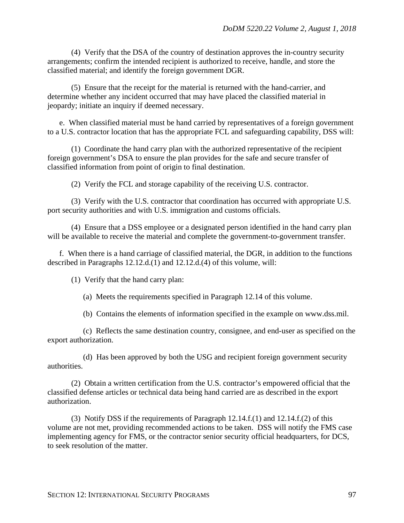(4) Verify that the DSA of the country of destination approves the in-country security arrangements; confirm the intended recipient is authorized to receive, handle, and store the classified material; and identify the foreign government DGR.

(5) Ensure that the receipt for the material is returned with the hand-carrier, and determine whether any incident occurred that may have placed the classified material in jeopardy; initiate an inquiry if deemed necessary.

e. When classified material must be hand carried by representatives of a foreign government to a U.S. contractor location that has the appropriate FCL and safeguarding capability, DSS will:

(1) Coordinate the hand carry plan with the authorized representative of the recipient foreign government's DSA to ensure the plan provides for the safe and secure transfer of classified information from point of origin to final destination.

(2) Verify the FCL and storage capability of the receiving U.S. contractor.

(3) Verify with the U.S. contractor that coordination has occurred with appropriate U.S. port security authorities and with U.S. immigration and customs officials.

(4) Ensure that a DSS employee or a designated person identified in the hand carry plan will be available to receive the material and complete the government-to-government transfer.

f. When there is a hand carriage of classified material, the DGR, in addition to the functions described in Paragraphs 12.12.d.(1) and 12.12.d.(4) of this volume, will:

(1) Verify that the hand carry plan:

(a) Meets the requirements specified in Paragraph 12.14 of this volume.

(b) Contains the elements of information specified in the example on www.dss.mil.

(c) Reflects the same destination country, consignee, and end-user as specified on the export authorization.

(d) Has been approved by both the USG and recipient foreign government security authorities.

(2) Obtain a written certification from the U.S. contractor's empowered official that the classified defense articles or technical data being hand carried are as described in the export authorization.

(3) Notify DSS if the requirements of Paragraph 12.14.f.(1) and 12.14.f.(2) of this volume are not met, providing recommended actions to be taken. DSS will notify the FMS case implementing agency for FMS, or the contractor senior security official headquarters, for DCS, to seek resolution of the matter.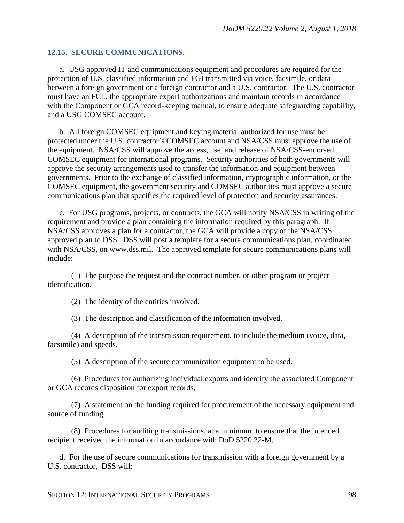### **12.15. SECURE COMMUNICATIONS.**

a. USG approved IT and communications equipment and procedures are required for the protection of U.S. classified information and FGI transmitted via voice, facsimile, or data between a foreign government or a foreign contractor and a U.S. contractor. The U.S. contractor must have an FCL, the appropriate export authorizations and maintain records in accordance with the Component or GCA record-keeping manual, to ensure adequate safeguarding capability, and a USG COMSEC account.

b. All foreign COMSEC equipment and keying material authorized for use must be protected under the U.S. contractor's COMSEC account and NSA/CSS must approve the use of the equipment. NSA/CSS will approve the access, use, and release of NSA/CSS-endorsed COMSEC equipment for international programs. Security authorities of both governments will approve the security arrangements used to transfer the information and equipment between governments. Prior to the exchange of classified information, cryptographic information, or the COMSEC equipment, the government security and COMSEC authorities must approve a secure communications plan that specifies the required level of protection and security assurances.

c. For USG programs, projects, or contracts, the GCA will notify NSA/CSS in writing of the requirement and provide a plan containing the information required by this paragraph. If NSA/CSS approves a plan for a contractor, the GCA will provide a copy of the NSA/CSS approved plan to DSS. DSS will post a template for a secure communications plan, coordinated with NSA/CSS, on [www.dss.mil.](http://www.dss.mil/) The approved template for secure communications plans will include:

(1) The purpose the request and the contract number, or other program or project identification.

(2) The identity of the entities involved.

(3) The description and classification of the information involved.

(4) A description of the transmission requirement, to include the medium (voice, data, facsimile) and speeds.

(5) A description of the secure communication equipment to be used.

(6) Procedures for authorizing individual exports and identify the associated Component or GCA records disposition for export records.

(7) A statement on the funding required for procurement of the necessary equipment and source of funding.

(8) Procedures for auditing transmissions, at a minimum, to ensure that the intended recipient received the information in accordance with DoD 5220.22-M.

d. For the use of secure communications for transmission with a foreign government by a U.S. contractor, DSS will: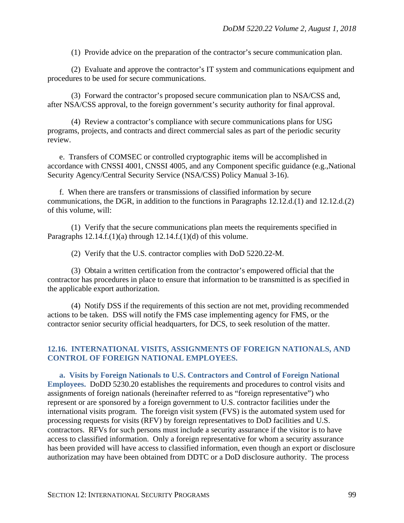(1) Provide advice on the preparation of the contractor's secure communication plan.

(2) Evaluate and approve the contractor's IT system and communications equipment and procedures to be used for secure communications.

(3) Forward the contractor's proposed secure communication plan to NSA/CSS and, after NSA/CSS approval, to the foreign government's security authority for final approval.

(4) Review a contractor's compliance with secure communications plans for USG programs, projects, and contracts and direct commercial sales as part of the periodic security review.

e. Transfers of COMSEC or controlled cryptographic items will be accomplished in accordance with CNSSI 4001, CNSSI 4005, and any Component specific guidance (e.g.,National Security Agency/Central Security Service (NSA/CSS) Policy Manual 3-16).

f. When there are transfers or transmissions of classified information by secure communications, the DGR, in addition to the functions in Paragraphs 12.12.d.(1) and 12.12.d.(2) of this volume, will:

(1) Verify that the secure communications plan meets the requirements specified in Paragraphs  $12.14.f.(1)(a)$  through  $12.14.f.(1)(d)$  of this volume.

(2) Verify that the U.S. contractor complies with DoD 5220.22-M.

(3) Obtain a written certification from the contractor's empowered official that the contractor has procedures in place to ensure that information to be transmitted is as specified in the applicable export authorization.

(4) Notify DSS if the requirements of this section are not met, providing recommended actions to be taken. DSS will notify the FMS case implementing agency for FMS, or the contractor senior security official headquarters, for DCS, to seek resolution of the matter.

## **12.16. INTERNATIONAL VISITS, ASSIGNMENTS OF FOREIGN NATIONALS, AND CONTROL OF FOREIGN NATIONAL EMPLOYEES.**

**a. Visits by Foreign Nationals to U.S. Contractors and Control of Foreign National Employees.** DoDD 5230.20 establishes the requirements and procedures to control visits and assignments of foreign nationals (hereinafter referred to as "foreign representative") who represent or are sponsored by a foreign government to U.S. contractor facilities under the international visits program. The foreign visit system (FVS) is the automated system used for processing requests for visits (RFV) by foreign representatives to DoD facilities and U.S. contractors. RFVs for such persons must include a security assurance if the visitor is to have access to classified information. Only a foreign representative for whom a security assurance has been provided will have access to classified information, even though an export or disclosure authorization may have been obtained from DDTC or a DoD disclosure authority. The process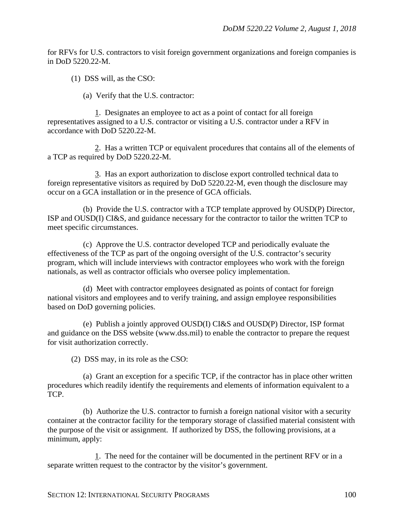for RFVs for U.S. contractors to visit foreign government organizations and foreign companies is in DoD 5220.22-M.

(1) DSS will, as the CSO:

(a) Verify that the U.S. contractor:

1. Designates an employee to act as a point of contact for all foreign representatives assigned to a U.S. contractor or visiting a U.S. contractor under a RFV in accordance with DoD 5220.22-M.

2. Has a written TCP or equivalent procedures that contains all of the elements of a TCP as required by DoD 5220.22-M.

3. Has an export authorization to disclose export controlled technical data to foreign representative visitors as required by DoD 5220.22-M, even though the disclosure may occur on a GCA installation or in the presence of GCA officials.

(b) Provide the U.S. contractor with a TCP template approved by OUSD(P) Director, ISP and OUSD(I) CI&S, and guidance necessary for the contractor to tailor the written TCP to meet specific circumstances.

(c) Approve the U.S. contractor developed TCP and periodically evaluate the effectiveness of the TCP as part of the ongoing oversight of the U.S. contractor's security program, which will include interviews with contractor employees who work with the foreign nationals, as well as contractor officials who oversee policy implementation.

(d) Meet with contractor employees designated as points of contact for foreign national visitors and employees and to verify training, and assign employee responsibilities based on DoD governing policies.

(e) Publish a jointly approved OUSD(I) CI&S and OUSD(P) Director, ISP format and guidance on the DSS website (www.dss.mil) to enable the contractor to prepare the request for visit authorization correctly.

(2) DSS may, in its role as the CSO:

(a) Grant an exception for a specific TCP, if the contractor has in place other written procedures which readily identify the requirements and elements of information equivalent to a TCP.

(b) Authorize the U.S. contractor to furnish a foreign national visitor with a security container at the contractor facility for the temporary storage of classified material consistent with the purpose of the visit or assignment. If authorized by DSS, the following provisions, at a minimum, apply:

1. The need for the container will be documented in the pertinent RFV or in a separate written request to the contractor by the visitor's government.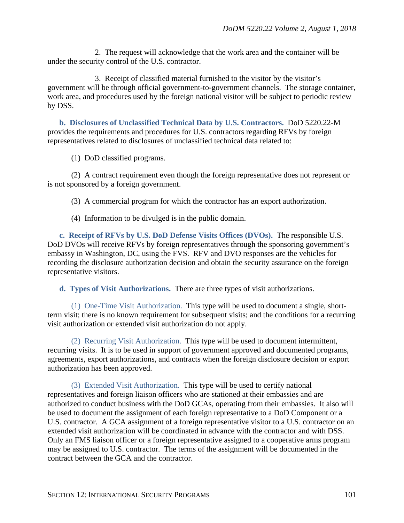2. The request will acknowledge that the work area and the container will be under the security control of the U.S. contractor.

3. Receipt of classified material furnished to the visitor by the visitor's government will be through official government-to-government channels. The storage container, work area, and procedures used by the foreign national visitor will be subject to periodic review by DSS.

**b. Disclosures of Unclassified Technical Data by U.S. Contractors.** DoD 5220.22-M provides the requirements and procedures for U.S. contractors regarding RFVs by foreign representatives related to disclosures of unclassified technical data related to:

(1) DoD classified programs.

(2) A contract requirement even though the foreign representative does not represent or is not sponsored by a foreign government.

(3) A commercial program for which the contractor has an export authorization.

(4) Information to be divulged is in the public domain.

**c. Receipt of RFVs by U.S. DoD Defense Visits Offices (DVOs).** The responsible U.S. DoD DVOs will receive RFVs by foreign representatives through the sponsoring government's embassy in Washington, DC, using the FVS. RFV and DVO responses are the vehicles for recording the disclosure authorization decision and obtain the security assurance on the foreign representative visitors.

**d. Types of Visit Authorizations.** There are three types of visit authorizations.

(1) One-Time Visit Authorization. This type will be used to document a single, shortterm visit; there is no known requirement for subsequent visits; and the conditions for a recurring visit authorization or extended visit authorization do not apply.

(2) Recurring Visit Authorization. This type will be used to document intermittent, recurring visits. It is to be used in support of government approved and documented programs, agreements, export authorizations, and contracts when the foreign disclosure decision or export authorization has been approved.

(3) Extended Visit Authorization. This type will be used to certify national representatives and foreign liaison officers who are stationed at their embassies and are authorized to conduct business with the DoD GCAs, operating from their embassies. It also will be used to document the assignment of each foreign representative to a DoD Component or a U.S. contractor. A GCA assignment of a foreign representative visitor to a U.S. contractor on an extended visit authorization will be coordinated in advance with the contractor and with DSS. Only an FMS liaison officer or a foreign representative assigned to a cooperative arms program may be assigned to U.S. contractor. The terms of the assignment will be documented in the contract between the GCA and the contractor.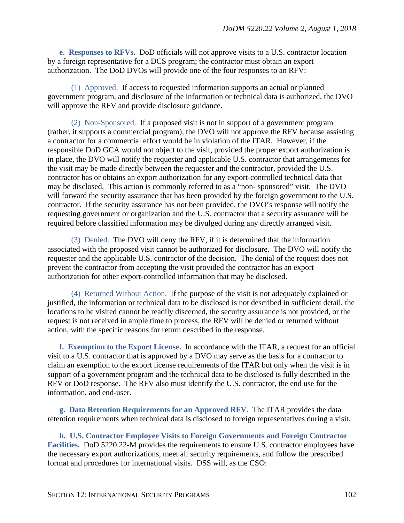**e. Responses to RFVs.** DoD officials will not approve visits to a U.S. contractor location by a foreign representative for a DCS program; the contractor must obtain an export authorization. The DoD DVOs will provide one of the four responses to an RFV:

(1) Approved. If access to requested information supports an actual or planned government program, and disclosure of the information or technical data is authorized, the DVO will approve the RFV and provide disclosure guidance.

(2) Non-Sponsored. If a proposed visit is not in support of a government program (rather, it supports a commercial program), the DVO will not approve the RFV because assisting a contractor for a commercial effort would be in violation of the ITAR. However, if the responsible DoD GCA would not object to the visit, provided the proper export authorization is in place, the DVO will notify the requester and applicable U.S. contractor that arrangements for the visit may be made directly between the requester and the contractor, provided the U.S. contractor has or obtains an export authorization for any export-controlled technical data that may be disclosed. This action is commonly referred to as a "non- sponsored" visit. The DVO will forward the security assurance that has been provided by the foreign government to the U.S. contractor. If the security assurance has not been provided, the DVO's response will notify the requesting government or organization and the U.S. contractor that a security assurance will be required before classified information may be divulged during any directly arranged visit.

(3) Denied. The DVO will deny the RFV, if it is determined that the information associated with the proposed visit cannot be authorized for disclosure. The DVO will notify the requester and the applicable U.S. contractor of the decision. The denial of the request does not prevent the contractor from accepting the visit provided the contractor has an export authorization for other export-controlled information that may be disclosed.

(4) Returned Without Action. If the purpose of the visit is not adequately explained or justified, the information or technical data to be disclosed is not described in sufficient detail, the locations to be visited cannot be readily discerned, the security assurance is not provided, or the request is not received in ample time to process, the RFV will be denied or returned without action, with the specific reasons for return described in the response.

**f. Exemption to the Export License.** In accordance with the ITAR, a request for an official visit to a U.S. contractor that is approved by a DVO may serve as the basis for a contractor to claim an exemption to the export license requirements of the ITAR but only when the visit is in support of a government program and the technical data to be disclosed is fully described in the RFV or DoD response. The RFV also must identify the U.S. contractor, the end use for the information, and end-user.

**g. Data Retention Requirements for an Approved RFV.** The ITAR provides the data retention requirements when technical data is disclosed to foreign representatives during a visit.

**h. U.S. Contractor Employee Visits to Foreign Governments and Foreign Contractor Facilities.** DoD 5220.22-M provides the requirements to ensure U.S. contractor employees have the necessary export authorizations, meet all security requirements, and follow the prescribed format and procedures for international visits. DSS will, as the CSO: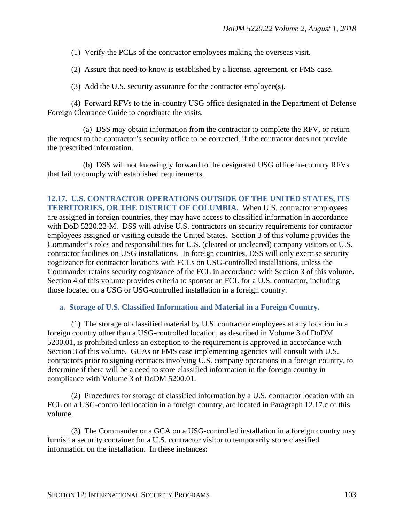(1) Verify the PCLs of the contractor employees making the overseas visit.

(2) Assure that need-to-know is established by a license, agreement, or FMS case.

(3) Add the U.S. security assurance for the contractor employee(s).

(4) Forward RFVs to the in-country USG office designated in the Department of Defense Foreign Clearance Guide to coordinate the visits.

(a) DSS may obtain information from the contractor to complete the RFV, or return the request to the contractor's security office to be corrected, if the contractor does not provide the prescribed information.

(b) DSS will not knowingly forward to the designated USG office in-country RFVs that fail to comply with established requirements.

**12.17. U.S. CONTRACTOR OPERATIONS OUTSIDE OF THE UNITED STATES, ITS TERRITORIES, OR THE DISTRICT OF COLUMBIA.** When U.S. contractor employees are assigned in foreign countries, they may have access to classified information in accordance with DoD 5220.22-M. DSS will advise U.S. contractors on security requirements for contractor employees assigned or visiting outside the United States. Section 3 of this volume provides the Commander's roles and responsibilities for U.S. (cleared or uncleared) company visitors or U.S. contractor facilities on USG installations. In foreign countries, DSS will only exercise security cognizance for contractor locations with FCLs on USG-controlled installations, unless the Commander retains security cognizance of the FCL in accordance with Section 3 of this volume. Section 4 of this volume provides criteria to sponsor an FCL for a U.S. contractor, including those located on a USG or USG-controlled installation in a foreign country.

**a. Storage of U.S. Classified Information and Material in a Foreign Country.** 

(1) The storage of classified material by U.S. contractor employees at any location in a foreign country other than a USG-controlled location, as described in Volume 3 of DoDM 5200.01, is prohibited unless an exception to the requirement is approved in accordance with Section 3 of this volume. GCAs or FMS case implementing agencies will consult with U.S. contractors prior to signing contracts involving U.S. company operations in a foreign country, to determine if there will be a need to store classified information in the foreign country in compliance with Volume 3 of DoDM 5200.01.

(2) Procedures for storage of classified information by a U.S. contractor location with an FCL on a USG-controlled location in a foreign country, are located in Paragraph 12.17.c of this volume.

(3) The Commander or a GCA on a USG-controlled installation in a foreign country may furnish a security container for a U.S. contractor visitor to temporarily store classified information on the installation. In these instances: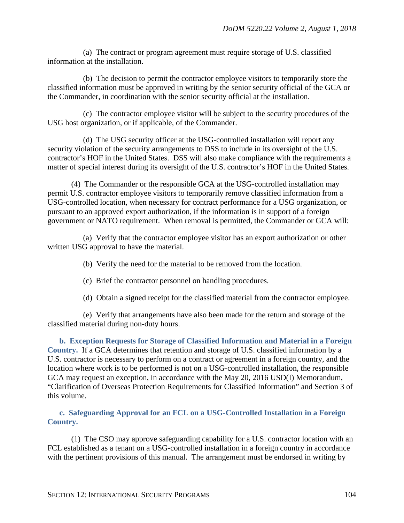(a) The contract or program agreement must require storage of U.S. classified information at the installation.

(b) The decision to permit the contractor employee visitors to temporarily store the classified information must be approved in writing by the senior security official of the GCA or the Commander, in coordination with the senior security official at the installation.

(c) The contractor employee visitor will be subject to the security procedures of the USG host organization, or if applicable, of the Commander.

(d) The USG security officer at the USG-controlled installation will report any security violation of the security arrangements to DSS to include in its oversight of the U.S. contractor's HOF in the United States. DSS will also make compliance with the requirements a matter of special interest during its oversight of the U.S. contractor's HOF in the United States.

(4) The Commander or the responsible GCA at the USG-controlled installation may permit U.S. contractor employee visitors to temporarily remove classified information from a USG-controlled location, when necessary for contract performance for a USG organization, or pursuant to an approved export authorization, if the information is in support of a foreign government or NATO requirement. When removal is permitted, the Commander or GCA will:

(a) Verify that the contractor employee visitor has an export authorization or other written USG approval to have the material.

- (b) Verify the need for the material to be removed from the location.
- (c) Brief the contractor personnel on handling procedures.
- (d) Obtain a signed receipt for the classified material from the contractor employee.

(e) Verify that arrangements have also been made for the return and storage of the classified material during non-duty hours.

**b. Exception Requests for Storage of Classified Information and Material in a Foreign Country.** If a GCA determines that retention and storage of U.S. classified information by a U.S. contractor is necessary to perform on a contract or agreement in a foreign country, and the location where work is to be performed is not on a USG-controlled installation, the responsible GCA may request an exception, in accordance with the May 20, 2016 USD(I) Memorandum, "Clarification of Overseas Protection Requirements for Classified Information" and Section 3 of this volume.

## **c. Safeguarding Approval for an FCL on a USG-Controlled Installation in a Foreign Country.**

(1) The CSO may approve safeguarding capability for a U.S. contractor location with an FCL established as a tenant on a USG-controlled installation in a foreign country in accordance with the pertinent provisions of this manual. The arrangement must be endorsed in writing by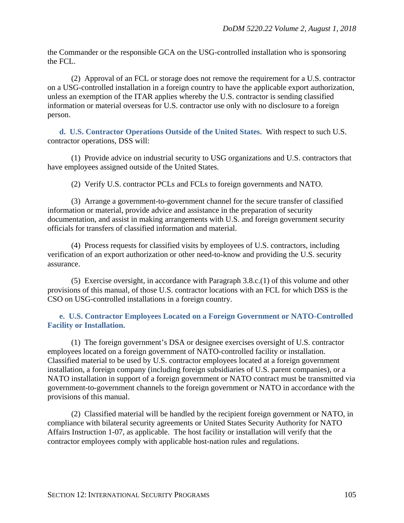the Commander or the responsible GCA on the USG-controlled installation who is sponsoring the FCL.

(2) Approval of an FCL or storage does not remove the requirement for a U.S. contractor on a USG-controlled installation in a foreign country to have the applicable export authorization, unless an exemption of the ITAR applies whereby the U.S. contractor is sending classified information or material overseas for U.S. contractor use only with no disclosure to a foreign person.

**d. U.S. Contractor Operations Outside of the United States.** With respect to such U.S. contractor operations, DSS will:

(1) Provide advice on industrial security to USG organizations and U.S. contractors that have employees assigned outside of the United States.

(2) Verify U.S. contractor PCLs and FCLs to foreign governments and NATO.

(3) Arrange a government-to-government channel for the secure transfer of classified information or material, provide advice and assistance in the preparation of security documentation, and assist in making arrangements with U.S. and foreign government security officials for transfers of classified information and material.

(4) Process requests for classified visits by employees of U.S. contractors, including verification of an export authorization or other need-to-know and providing the U.S. security assurance.

(5) Exercise oversight, in accordance with Paragraph 3.8.c.(1) of this volume and other provisions of this manual, of those U.S. contractor locations with an FCL for which DSS is the CSO on USG-controlled installations in a foreign country.

**e. U.S. Contractor Employees Located on a Foreign Government or NATO-Controlled Facility or Installation.**

(1) The foreign government's DSA or designee exercises oversight of U.S. contractor employees located on a foreign government of NATO-controlled facility or installation. Classified material to be used by U.S. contractor employees located at a foreign government installation, a foreign company (including foreign subsidiaries of U.S. parent companies), or a NATO installation in support of a foreign government or NATO contract must be transmitted via government-to-government channels to the foreign government or NATO in accordance with the provisions of this manual.

(2) Classified material will be handled by the recipient foreign government or NATO, in compliance with bilateral security agreements or United States Security Authority for NATO Affairs Instruction 1-07, as applicable. The host facility or installation will verify that the contractor employees comply with applicable host-nation rules and regulations.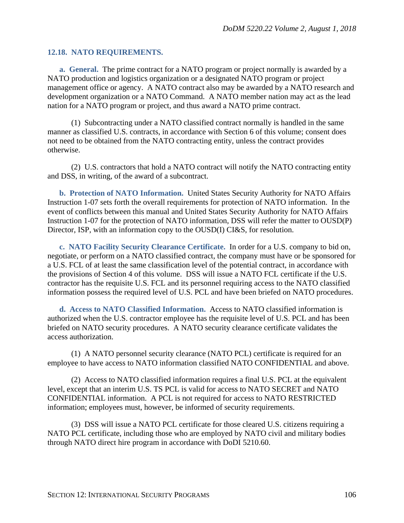### **12.18. NATO REQUIREMENTS.**

**a. General.** The prime contract for a NATO program or project normally is awarded by a NATO production and logistics organization or a designated NATO program or project management office or agency. A NATO contract also may be awarded by a NATO research and development organization or a NATO Command. A NATO member nation may act as the lead nation for a NATO program or project, and thus award a NATO prime contract.

(1) Subcontracting under a NATO classified contract normally is handled in the same manner as classified U.S. contracts, in accordance with Section 6 of this volume; consent does not need to be obtained from the NATO contracting entity, unless the contract provides otherwise.

(2) U.S. contractors that hold a NATO contract will notify the NATO contracting entity and DSS, in writing, of the award of a subcontract.

**b. Protection of NATO Information.** United States Security Authority for NATO Affairs Instruction 1-07 sets forth the overall requirements for protection of NATO information. In the event of conflicts between this manual and United States Security Authority for NATO Affairs Instruction 1-07 for the protection of NATO information, DSS will refer the matter to OUSD(P) Director, ISP, with an information copy to the OUSD(I) CI&S, for resolution.

**c. NATO Facility Security Clearance Certificate.** In order for a U.S. company to bid on, negotiate, or perform on a NATO classified contract, the company must have or be sponsored for a U.S. FCL of at least the same classification level of the potential contract, in accordance with the provisions of Section 4 of this volume. DSS will issue a NATO FCL certificate if the U.S. contractor has the requisite U.S. FCL and its personnel requiring access to the NATO classified information possess the required level of U.S. PCL and have been briefed on NATO procedures.

**d. Access to NATO Classified Information.** Access to NATO classified information is authorized when the U.S. contractor employee has the requisite level of U.S. PCL and has been briefed on NATO security procedures. A NATO security clearance certificate validates the access authorization.

(1) A NATO personnel security clearance (NATO PCL) certificate is required for an employee to have access to NATO information classified NATO CONFIDENTIAL and above.

(2) Access to NATO classified information requires a final U.S. PCL at the equivalent level, except that an interim U.S. TS PCL is valid for access to NATO SECRET and NATO CONFIDENTIAL information. A PCL is not required for access to NATO RESTRICTED information; employees must, however, be informed of security requirements.

(3) DSS will issue a NATO PCL certificate for those cleared U.S. citizens requiring a NATO PCL certificate, including those who are employed by NATO civil and military bodies through NATO direct hire program in accordance with DoDI 5210.60.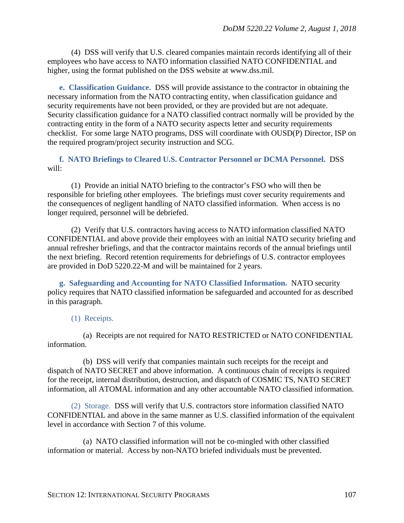(4) DSS will verify that U.S. cleared companies maintain records identifying all of their employees who have access to NATO information classified NATO CONFIDENTIAL and higher, using the format published on the DSS website at www.dss.mil.

**e. Classification Guidance.** DSS will provide assistance to the contractor in obtaining the necessary information from the NATO contracting entity, when classification guidance and security requirements have not been provided, or they are provided but are not adequate. Security classification guidance for a NATO classified contract normally will be provided by the contracting entity in the form of a NATO security aspects letter and security requirements checklist. For some large NATO programs, DSS will coordinate with OUSD(P) Director, ISP on the required program/project security instruction and SCG.

**f. NATO Briefings to Cleared U.S. Contractor Personnel or DCMA Personnel.** DSS will:

(1) Provide an initial NATO briefing to the contractor's FSO who will then be responsible for briefing other employees. The briefings must cover security requirements and the consequences of negligent handling of NATO classified information. When access is no longer required, personnel will be debriefed.

(2) Verify that U.S. contractors having access to NATO information classified NATO CONFIDENTIAL and above provide their employees with an initial NATO security briefing and annual refresher briefings, and that the contractor maintains records of the annual briefings until the next briefing. Record retention requirements for debriefings of U.S. contractor employees are provided in DoD 5220.22-M and will be maintained for 2 years.

**g. Safeguarding and Accounting for NATO Classified Information.** NATO security policy requires that NATO classified information be safeguarded and accounted for as described in this paragraph.

(1) Receipts.

(a) Receipts are not required for NATO RESTRICTED or NATO CONFIDENTIAL information.

(b) DSS will verify that companies maintain such receipts for the receipt and dispatch of NATO SECRET and above information. A continuous chain of receipts is required for the receipt, internal distribution, destruction, and dispatch of COSMIC TS, NATO SECRET information, all ATOMAL information and any other accountable NATO classified information.

(2) Storage. DSS will verify that U.S. contractors store information classified NATO CONFIDENTIAL and above in the same manner as U.S. classified information of the equivalent level in accordance with Section 7 of this volume.

(a) NATO classified information will not be co-mingled with other classified information or material. Access by non-NATO briefed individuals must be prevented.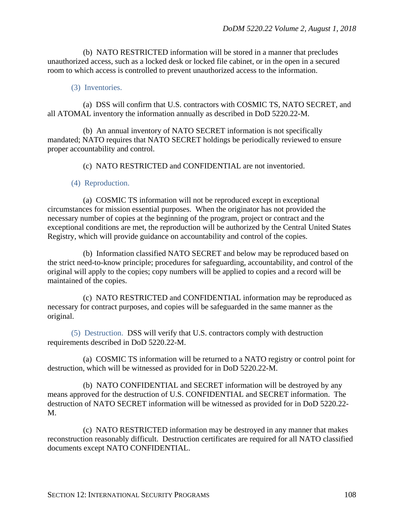(b) NATO RESTRICTED information will be stored in a manner that precludes unauthorized access, such as a locked desk or locked file cabinet, or in the open in a secured room to which access is controlled to prevent unauthorized access to the information.

#### (3) Inventories.

(a) DSS will confirm that U.S. contractors with COSMIC TS, NATO SECRET, and all ATOMAL inventory the information annually as described in DoD 5220.22-M.

(b) An annual inventory of NATO SECRET information is not specifically mandated; NATO requires that NATO SECRET holdings be periodically reviewed to ensure proper accountability and control.

(c) NATO RESTRICTED and CONFIDENTIAL are not inventoried.

#### (4) Reproduction.

(a) COSMIC TS information will not be reproduced except in exceptional circumstances for mission essential purposes. When the originator has not provided the necessary number of copies at the beginning of the program, project or contract and the exceptional conditions are met, the reproduction will be authorized by the Central United States Registry, which will provide guidance on accountability and control of the copies.

(b) Information classified NATO SECRET and below may be reproduced based on the strict need-to-know principle; procedures for safeguarding, accountability, and control of the original will apply to the copies; copy numbers will be applied to copies and a record will be maintained of the copies.

(c) NATO RESTRICTED and CONFIDENTIAL information may be reproduced as necessary for contract purposes, and copies will be safeguarded in the same manner as the original.

(5) Destruction. DSS will verify that U.S. contractors comply with destruction requirements described in DoD 5220.22-M.

(a) COSMIC TS information will be returned to a NATO registry or control point for destruction, which will be witnessed as provided for in DoD 5220.22-M.

(b) NATO CONFIDENTIAL and SECRET information will be destroyed by any means approved for the destruction of U.S. CONFIDENTIAL and SECRET information. The destruction of NATO SECRET information will be witnessed as provided for in DoD 5220.22- M.

(c) NATO RESTRICTED information may be destroyed in any manner that makes reconstruction reasonably difficult. Destruction certificates are required for all NATO classified documents except NATO CONFIDENTIAL.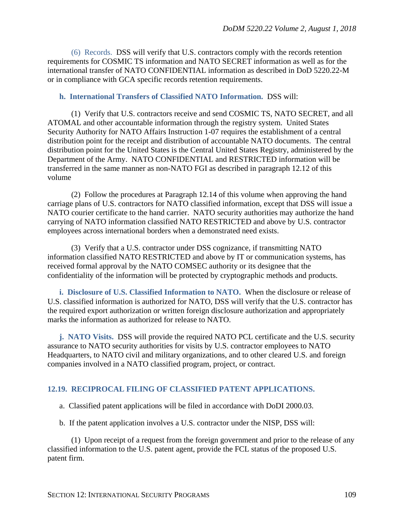(6) Records. DSS will verify that U.S. contractors comply with the records retention requirements for COSMIC TS information and NATO SECRET information as well as for the international transfer of NATO CONFIDENTIAL information as described in DoD 5220.22-M or in compliance with GCA specific records retention requirements.

#### **h. International Transfers of Classified NATO Information.** DSS will:

(1) Verify that U.S. contractors receive and send COSMIC TS, NATO SECRET, and all ATOMAL and other accountable information through the registry system. United States Security Authority for NATO Affairs Instruction 1-07 requires the establishment of a central distribution point for the receipt and distribution of accountable NATO documents. The central distribution point for the United States is the Central United States Registry, administered by the Department of the Army. NATO CONFIDENTIAL and RESTRICTED information will be transferred in the same manner as non-NATO FGI as described in paragraph 12.12 of this volume

(2) Follow the procedures at Paragraph 12.14 of this volume when approving the hand carriage plans of U.S. contractors for NATO classified information, except that DSS will issue a NATO courier certificate to the hand carrier. NATO security authorities may authorize the hand carrying of NATO information classified NATO RESTRICTED and above by U.S. contractor employees across international borders when a demonstrated need exists.

(3) Verify that a U.S. contractor under DSS cognizance, if transmitting NATO information classified NATO RESTRICTED and above by IT or communication systems, has received formal approval by the NATO COMSEC authority or its designee that the confidentiality of the information will be protected by cryptographic methods and products.

**i. Disclosure of U.S. Classified Information to NATO.** When the disclosure or release of U.S. classified information is authorized for NATO, DSS will verify that the U.S. contractor has the required export authorization or written foreign disclosure authorization and appropriately marks the information as authorized for release to NATO.

**j. NATO Visits.** DSS will provide the required NATO PCL certificate and the U.S. security assurance to NATO security authorities for visits by U.S. contractor employees to NATO Headquarters, to NATO civil and military organizations, and to other cleared U.S. and foreign companies involved in a NATO classified program, project, or contract.

#### **12.19. RECIPROCAL FILING OF CLASSIFIED PATENT APPLICATIONS.**

a. Classified patent applications will be filed in accordance with DoDI 2000.03.

b. If the patent application involves a U.S. contractor under the NISP, DSS will:

(1) Upon receipt of a request from the foreign government and prior to the release of any classified information to the U.S. patent agent, provide the FCL status of the proposed U.S. patent firm.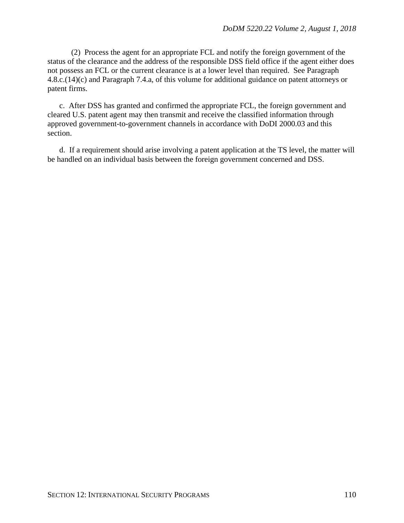(2) Process the agent for an appropriate FCL and notify the foreign government of the status of the clearance and the address of the responsible DSS field office if the agent either does not possess an FCL or the current clearance is at a lower level than required. See Paragraph 4.8.c.(14)(c) and Paragraph 7.4.a, of this volume for additional guidance on patent attorneys or patent firms.

c. After DSS has granted and confirmed the appropriate FCL, the foreign government and cleared U.S. patent agent may then transmit and receive the classified information through approved government-to-government channels in accordance with DoDI 2000.03 and this section.

d. If a requirement should arise involving a patent application at the TS level, the matter will be handled on an individual basis between the foreign government concerned and DSS.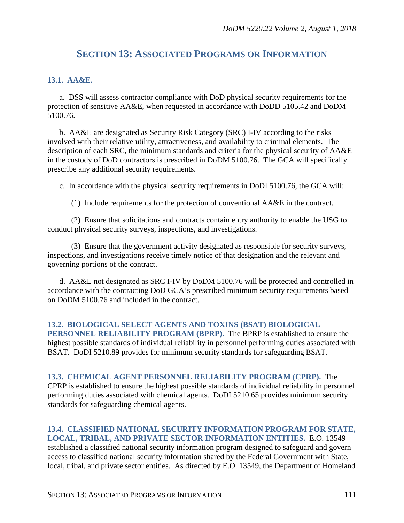# **SECTION 13: ASSOCIATED PROGRAMS OR INFORMATION**

#### **13.1. AA&E.**

a. DSS will assess contractor compliance with DoD physical security requirements for the protection of sensitive AA&E, when requested in accordance with DoDD 5105.42 and DoDM 5100.76.

b. AA&E are designated as Security Risk Category (SRC) I-IV according to the risks involved with their relative utility, attractiveness, and availability to criminal elements. The description of each SRC, the minimum standards and criteria for the physical security of AA&E in the custody of DoD contractors is prescribed in DoDM 5100.76. The GCA will specifically prescribe any additional security requirements.

c. In accordance with the physical security requirements in DoDI 5100.76, the GCA will:

(1) Include requirements for the protection of conventional AA&E in the contract.

(2) Ensure that solicitations and contracts contain entry authority to enable the USG to conduct physical security surveys, inspections, and investigations.

(3) Ensure that the government activity designated as responsible for security surveys, inspections, and investigations receive timely notice of that designation and the relevant and governing portions of the contract.

d. AA&E not designated as SRC I-IV by DoDM 5100.76 will be protected and controlled in accordance with the contracting DoD GCA's prescribed minimum security requirements based on DoDM 5100.76 and included in the contract.

**13.2. BIOLOGICAL SELECT AGENTS AND TOXINS (BSAT) BIOLOGICAL PERSONNEL RELIABILITY PROGRAM (BPRP).** The BPRP is established to ensure the highest possible standards of individual reliability in personnel performing duties associated with BSAT. DoDI 5210.89 provides for minimum security standards for safeguarding BSAT.

**13.3. CHEMICAL AGENT PERSONNEL RELIABILITY PROGRAM (CPRP).** The CPRP is established to ensure the highest possible standards of individual reliability in personnel performing duties associated with chemical agents. DoDI 5210.65 provides minimum security standards for safeguarding chemical agents.

## **13.4. CLASSIFIED NATIONAL SECURITY INFORMATION PROGRAM FOR STATE, LOCAL, TRIBAL, AND PRIVATE SECTOR INFORMATION ENTITIES.** E.O. 13549

established a classified national security information program designed to safeguard and govern access to classified national security information shared by the Federal Government with State, local, tribal, and private sector entities. As directed by E.O. 13549, the Department of Homeland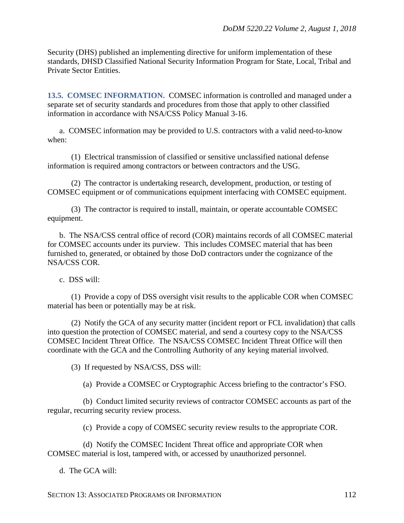Security (DHS) published an implementing directive for uniform implementation of these standards, DHSD Classified National Security Information Program for State, Local, Tribal and Private Sector Entities.

**13.5. COMSEC INFORMATION.** COMSEC information is controlled and managed under a separate set of security standards and procedures from those that apply to other classified information in accordance with NSA/CSS Policy Manual 3-16.

a. COMSEC information may be provided to U.S. contractors with a valid need-to-know when:

(1) Electrical transmission of classified or sensitive unclassified national defense information is required among contractors or between contractors and the USG.

(2) The contractor is undertaking research, development, production, or testing of COMSEC equipment or of communications equipment interfacing with COMSEC equipment.

(3) The contractor is required to install, maintain, or operate accountable COMSEC equipment.

b. The NSA/CSS central office of record (COR) maintains records of all COMSEC material for COMSEC accounts under its purview. This includes COMSEC material that has been furnished to, generated, or obtained by those DoD contractors under the cognizance of the NSA/CSS COR.

c. DSS will:

(1) Provide a copy of DSS oversight visit results to the applicable COR when COMSEC material has been or potentially may be at risk.

(2) Notify the GCA of any security matter (incident report or FCL invalidation) that calls into question the protection of COMSEC material, and send a courtesy copy to the NSA/CSS COMSEC Incident Threat Office. The NSA/CSS COMSEC Incident Threat Office will then coordinate with the GCA and the Controlling Authority of any keying material involved.

(3) If requested by NSA/CSS, DSS will:

(a) Provide a COMSEC or Cryptographic Access briefing to the contractor's FSO.

(b) Conduct limited security reviews of contractor COMSEC accounts as part of the regular, recurring security review process.

(c) Provide a copy of COMSEC security review results to the appropriate COR.

(d) Notify the COMSEC Incident Threat office and appropriate COR when COMSEC material is lost, tampered with, or accessed by unauthorized personnel.

d. The GCA will:

SECTION 13: ASSOCIATED PROGRAMS OR INFORMATION 112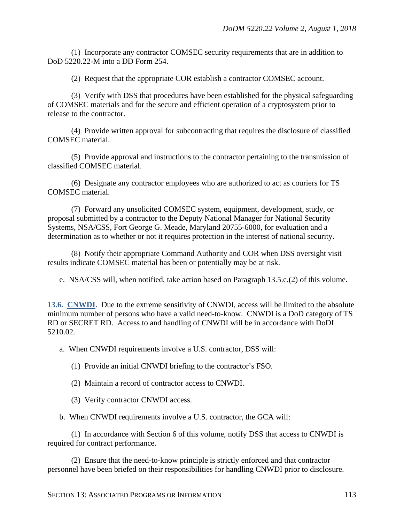(1) Incorporate any contractor COMSEC security requirements that are in addition to DoD 5220.22-M into a DD Form 254.

(2) Request that the appropriate COR establish a contractor COMSEC account.

(3) Verify with DSS that procedures have been established for the physical safeguarding of COMSEC materials and for the secure and efficient operation of a cryptosystem prior to release to the contractor.

(4) Provide written approval for subcontracting that requires the disclosure of classified COMSEC material.

(5) Provide approval and instructions to the contractor pertaining to the transmission of classified COMSEC material.

(6) Designate any contractor employees who are authorized to act as couriers for TS COMSEC material.

(7) Forward any unsolicited COMSEC system, equipment, development, study, or proposal submitted by a contractor to the Deputy National Manager for National Security Systems, NSA/CSS, Fort George G. Meade, Maryland 20755-6000, for evaluation and a determination as to whether or not it requires protection in the interest of national security.

(8) Notify their appropriate Command Authority and COR when DSS oversight visit results indicate COMSEC material has been or potentially may be at risk.

e. NSA/CSS will, when notified, take action based on Paragraph 13.5.c.(2) of this volume.

**13.6. CNWDI.** Due to the extreme sensitivity of CNWDI, access will be limited to the absolute minimum number of persons who have a valid need-to-know. CNWDI is a DoD category of TS RD or SECRET RD. Access to and handling of CNWDI will be in accordance with DoDI 5210.02.

a. When CNWDI requirements involve a U.S. contractor, DSS will:

(1) Provide an initial CNWDI briefing to the contractor's FSO.

(2) Maintain a record of contractor access to CNWDI.

(3) Verify contractor CNWDI access.

b. When CNWDI requirements involve a U.S. contractor, the GCA will:

(1) In accordance with Section 6 of this volume, notify DSS that access to CNWDI is required for contract performance.

(2) Ensure that the need-to-know principle is strictly enforced and that contractor personnel have been briefed on their responsibilities for handling CNWDI prior to disclosure.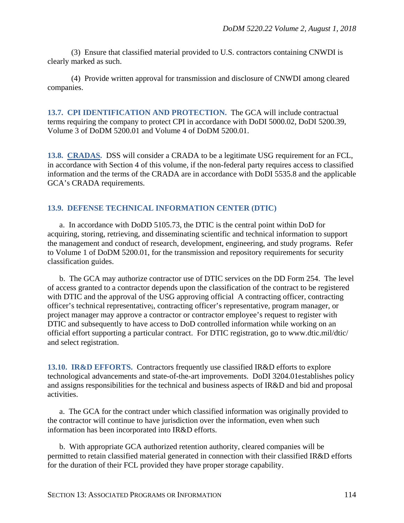(3) Ensure that classified material provided to U.S. contractors containing CNWDI is clearly marked as such.

(4) Provide written approval for transmission and disclosure of CNWDI among cleared companies.

**13.7. CPI IDENTIFICATION AND PROTECTION.** The GCA will include contractual terms requiring the company to protect CPI in accordance with DoDI 5000.02, DoDI 5200.39, Volume 3 of DoDM 5200.01 and Volume 4 of DoDM 5200.01.

**13.8. CRADAS.** DSS will consider a CRADA to be a legitimate USG requirement for an FCL, in accordance with Section 4 of this volume, if the non-federal party requires access to classified information and the terms of the CRADA are in accordance with DoDI 5535.8 and the applicable GCA's CRADA requirements.

### **13.9. DEFENSE TECHNICAL INFORMATION CENTER (DTIC)**

a. In accordance with DoDD 5105.73, the DTIC is the central point within DoD for acquiring, storing, retrieving, and disseminating scientific and technical information to support the management and conduct of research, development, engineering, and study programs. Refer to Volume 1 of DoDM 5200.01, for the transmission and repository requirements for security classification guides.

b. The GCA may authorize contractor use of DTIC services on the DD Form 254. The level of access granted to a contractor depends upon the classification of the contract to be registered with DTIC and the approval of the USG approving official A contracting officer, contracting officer's technical representative;, contracting officer's representative, program manager, or project manager may approve a contractor or contractor employee's request to register with DTIC and subsequently to have access to DoD controlled information while working on an official effort supporting a particular contract. For DTIC registration, go to www.dtic.mil/dtic/ and select registration.

**13.10. IR&D EFFORTS.** Contractors frequently use classified IR&D efforts to explore technological advancements and state-of-the-art improvements. DoDI 3204.01establishes policy and assigns responsibilities for the technical and business aspects of IR&D and bid and proposal activities.

a. The GCA for the contract under which classified information was originally provided to the contractor will continue to have jurisdiction over the information, even when such information has been incorporated into IR&D efforts.

b. With appropriate GCA authorized retention authority, cleared companies will be permitted to retain classified material generated in connection with their classified IR&D efforts for the duration of their FCL provided they have proper storage capability.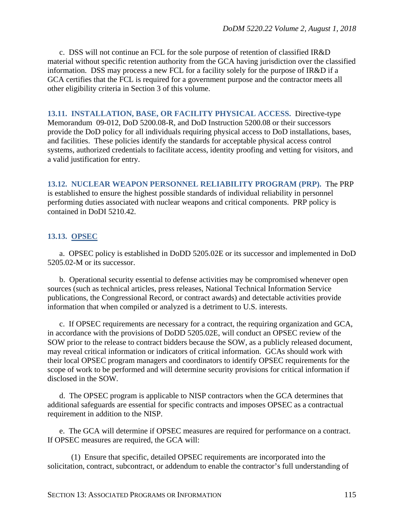c. DSS will not continue an FCL for the sole purpose of retention of classified IR&D material without specific retention authority from the GCA having jurisdiction over the classified information. DSS may process a new FCL for a facility solely for the purpose of IR&D if a GCA certifies that the FCL is required for a government purpose and the contractor meets all other eligibility criteria in Section 3 of this volume.

**13.11. INSTALLATION, BASE, OR FACILITY PHYSICAL ACCESS.** Directive-type Memorandum 09-012, DoD 5200.08-R, and DoD Instruction 5200.08 or their successors provide the DoD policy for all individuals requiring physical access to DoD installations, bases, and facilities. These policies identify the standards for acceptable physical access control systems, authorized credentials to facilitate access, identity proofing and vetting for visitors, and a valid justification for entry.

**13.12. NUCLEAR WEAPON PERSONNEL RELIABILITY PROGRAM (PRP).** The PRP is established to ensure the highest possible standards of individual reliability in personnel performing duties associated with nuclear weapons and critical components. PRP policy is contained in DoDI 5210.42.

## **13.13. OPSEC**

a. OPSEC policy is established in DoDD 5205.02E or its successor and implemented in DoD 5205.02-M or its successor.

b. Operational security essential to defense activities may be compromised whenever open sources (such as technical articles, press releases, National Technical Information Service publications, the Congressional Record, or contract awards) and detectable activities provide information that when compiled or analyzed is a detriment to U.S. interests.

c. If OPSEC requirements are necessary for a contract, the requiring organization and GCA, in accordance with the provisions of DoDD 5205.02E, will conduct an OPSEC review of the SOW prior to the release to contract bidders because the SOW, as a publicly released document, may reveal critical information or indicators of critical information. GCAs should work with their local OPSEC program managers and coordinators to identify OPSEC requirements for the scope of work to be performed and will determine security provisions for critical information if disclosed in the SOW.

d. The OPSEC program is applicable to NISP contractors when the GCA determines that additional safeguards are essential for specific contracts and imposes OPSEC as a contractual requirement in addition to the NISP.

e. The GCA will determine if OPSEC measures are required for performance on a contract. If OPSEC measures are required, the GCA will:

(1) Ensure that specific, detailed OPSEC requirements are incorporated into the solicitation, contract, subcontract, or addendum to enable the contractor's full understanding of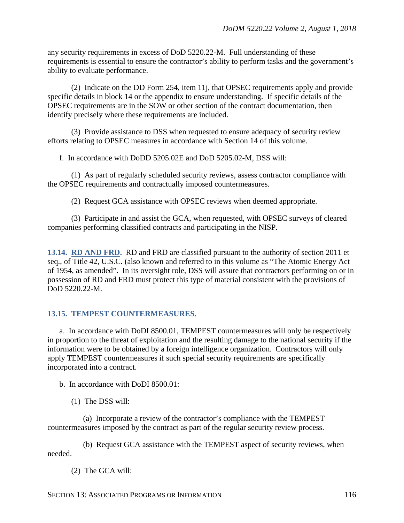any security requirements in excess of DoD 5220.22-M. Full understanding of these requirements is essential to ensure the contractor's ability to perform tasks and the government's ability to evaluate performance.

(2) Indicate on the DD Form 254, item 11j, that OPSEC requirements apply and provide specific details in block 14 or the appendix to ensure understanding. If specific details of the OPSEC requirements are in the SOW or other section of the contract documentation, then identify precisely where these requirements are included.

(3) Provide assistance to DSS when requested to ensure adequacy of security review efforts relating to OPSEC measures in accordance with Section 14 of this volume.

f. In accordance with DoDD 5205.02E and DoD 5205.02-M, DSS will:

(1) As part of regularly scheduled security reviews, assess contractor compliance with the OPSEC requirements and contractually imposed countermeasures.

(2) Request GCA assistance with OPSEC reviews when deemed appropriate.

(3) Participate in and assist the GCA, when requested, with OPSEC surveys of cleared companies performing classified contracts and participating in the NISP.

**13.14. RD AND FRD.** RD and FRD are classified pursuant to the authority of section 2011 et seq., of Title 42, U.S.C. (also known and referred to in this volume as "The Atomic Energy Act of 1954, as amended". In its oversight role, DSS will assure that contractors performing on or in possession of RD and FRD must protect this type of material consistent with the provisions of DoD 5220.22-M.

#### **13.15. TEMPEST COUNTERMEASURES.**

a. In accordance with DoDI 8500.01, TEMPEST countermeasures will only be respectively in proportion to the threat of exploitation and the resulting damage to the national security if the information were to be obtained by a foreign intelligence organization. Contractors will only apply TEMPEST countermeasures if such special security requirements are specifically incorporated into a contract.

b. In accordance with DoDI 8500.01:

(1) The DSS will:

(a) Incorporate a review of the contractor's compliance with the TEMPEST countermeasures imposed by the contract as part of the regular security review process.

(b) Request GCA assistance with the TEMPEST aspect of security reviews, when needed.

(2) The GCA will: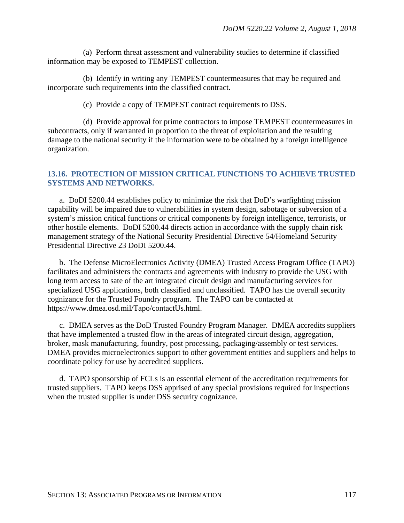(a) Perform threat assessment and vulnerability studies to determine if classified information may be exposed to TEMPEST collection.

(b) Identify in writing any TEMPEST countermeasures that may be required and incorporate such requirements into the classified contract.

(c) Provide a copy of TEMPEST contract requirements to DSS.

(d) Provide approval for prime contractors to impose TEMPEST countermeasures in subcontracts, only if warranted in proportion to the threat of exploitation and the resulting damage to the national security if the information were to be obtained by a foreign intelligence organization.

#### **13.16. PROTECTION OF MISSION CRITICAL FUNCTIONS TO ACHIEVE TRUSTED SYSTEMS AND NETWORKS.**

a. DoDI 5200.44 establishes policy to minimize the risk that DoD's warfighting mission capability will be impaired due to vulnerabilities in system design, sabotage or subversion of a system's mission critical functions or critical components by foreign intelligence, terrorists, or other hostile elements. DoDI 5200.44 directs action in accordance with the supply chain risk management strategy of the National Security Presidential Directive 54/Homeland Security Presidential Directive 23 DoDI 5200.44.

b. The Defense MicroElectronics Activity (DMEA) Trusted Access Program Office (TAPO) facilitates and administers the contracts and agreements with industry to provide the USG with long term access to sate of the art integrated circuit design and manufacturing services for specialized USG applications, both classified and unclassified. TAPO has the overall security cognizance for the Trusted Foundry program. The TAPO can be contacted at https://www.dmea.osd.mil/Tapo/contactUs.html.

c. DMEA serves as the DoD Trusted Foundry Program Manager. DMEA accredits suppliers that have implemented a trusted flow in the areas of integrated circuit design, aggregation, broker, mask manufacturing, foundry, post processing, packaging/assembly or test services. DMEA provides microelectronics support to other government entities and suppliers and helps to coordinate policy for use by accredited suppliers.

d. TAPO sponsorship of FCLs is an essential element of the accreditation requirements for trusted suppliers. TAPO keeps DSS apprised of any special provisions required for inspections when the trusted supplier is under DSS security cognizance.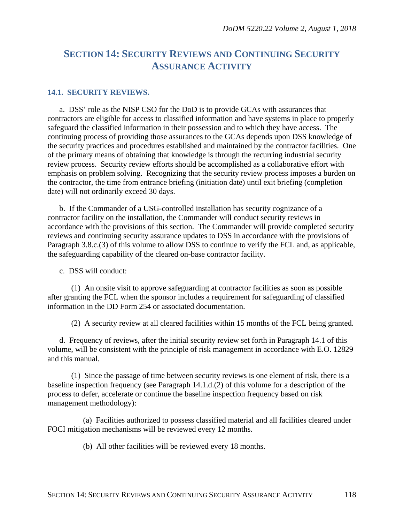# **SECTION 14: SECURITY REVIEWS AND CONTINUING SECURITY ASSURANCE ACTIVITY**

#### **14.1. SECURITY REVIEWS.**

a. DSS' role as the NISP CSO for the DoD is to provide GCAs with assurances that contractors are eligible for access to classified information and have systems in place to properly safeguard the classified information in their possession and to which they have access. The continuing process of providing those assurances to the GCAs depends upon DSS knowledge of the security practices and procedures established and maintained by the contractor facilities. One of the primary means of obtaining that knowledge is through the recurring industrial security review process. Security review efforts should be accomplished as a collaborative effort with emphasis on problem solving. Recognizing that the security review process imposes a burden on the contractor, the time from entrance briefing (initiation date) until exit briefing (completion date) will not ordinarily exceed 30 days.

b. If the Commander of a USG-controlled installation has security cognizance of a contractor facility on the installation, the Commander will conduct security reviews in accordance with the provisions of this section. The Commander will provide completed security reviews and continuing security assurance updates to DSS in accordance with the provisions of Paragraph 3.8.c.(3) of this volume to allow DSS to continue to verify the FCL and, as applicable, the safeguarding capability of the cleared on-base contractor facility.

c. DSS will conduct:

(1) An onsite visit to approve safeguarding at contractor facilities as soon as possible after granting the FCL when the sponsor includes a requirement for safeguarding of classified information in the DD Form 254 or associated documentation.

(2) A security review at all cleared facilities within 15 months of the FCL being granted.

d. Frequency of reviews, after the initial security review set forth in Paragraph 14.1 of this volume, will be consistent with the principle of risk management in accordance with E.O. 12829 and this manual.

(1) Since the passage of time between security reviews is one element of risk, there is a baseline inspection frequency (see Paragraph 14.1.d.(2) of this volume for a description of the process to defer, accelerate or continue the baseline inspection frequency based on risk management methodology):

(a) Facilities authorized to possess classified material and all facilities cleared under FOCI mitigation mechanisms will be reviewed every 12 months.

(b) All other facilities will be reviewed every 18 months.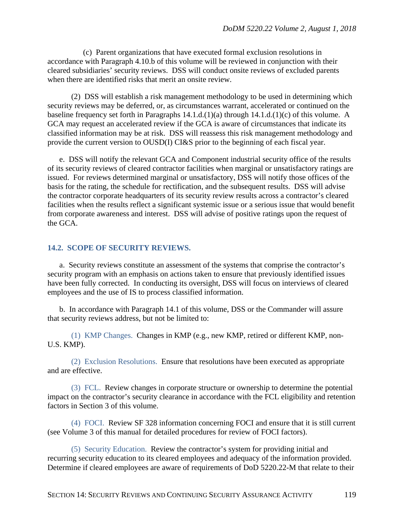(c) Parent organizations that have executed formal exclusion resolutions in accordance with Paragraph 4.10.b of this volume will be reviewed in conjunction with their cleared subsidiaries' security reviews. DSS will conduct onsite reviews of excluded parents when there are identified risks that merit an onsite review.

(2) DSS will establish a risk management methodology to be used in determining which security reviews may be deferred, or, as circumstances warrant, accelerated or continued on the baseline frequency set forth in Paragraphs 14.1.d.(1)(a) through 14.1.d.(1)(c) of this volume. A GCA may request an accelerated review if the GCA is aware of circumstances that indicate its classified information may be at risk. DSS will reassess this risk management methodology and provide the current version to OUSD(I) CI&S prior to the beginning of each fiscal year.

e. DSS will notify the relevant GCA and Component industrial security office of the results of its security reviews of cleared contractor facilities when marginal or unsatisfactory ratings are issued. For reviews determined marginal or unsatisfactory, DSS will notify those offices of the basis for the rating, the schedule for rectification, and the subsequent results. DSS will advise the contractor corporate headquarters of its security review results across a contractor's cleared facilities when the results reflect a significant systemic issue or a serious issue that would benefit from corporate awareness and interest. DSS will advise of positive ratings upon the request of the GCA.

#### **14.2. SCOPE OF SECURITY REVIEWS.**

a. Security reviews constitute an assessment of the systems that comprise the contractor's security program with an emphasis on actions taken to ensure that previously identified issues have been fully corrected. In conducting its oversight, DSS will focus on interviews of cleared employees and the use of IS to process classified information.

b. In accordance with Paragraph 14.1 of this volume, DSS or the Commander will assure that security reviews address, but not be limited to:

(1) KMP Changes. Changes in KMP (e.g., new KMP, retired or different KMP, non-U.S. KMP).

(2) Exclusion Resolutions. Ensure that resolutions have been executed as appropriate and are effective.

(3) FCL. Review changes in corporate structure or ownership to determine the potential impact on the contractor's security clearance in accordance with the FCL eligibility and retention factors in Section 3 of this volume.

(4) FOCI. Review SF 328 information concerning FOCI and ensure that it is still current (see Volume 3 of this manual for detailed procedures for review of FOCI factors).

(5) Security Education. Review the contractor's system for providing initial and recurring security education to its cleared employees and adequacy of the information provided. Determine if cleared employees are aware of requirements of DoD 5220.22-M that relate to their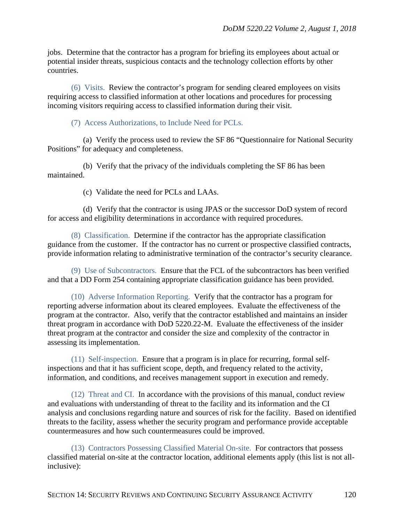jobs. Determine that the contractor has a program for briefing its employees about actual or potential insider threats, suspicious contacts and the technology collection efforts by other countries.

(6) Visits. Review the contractor's program for sending cleared employees on visits requiring access to classified information at other locations and procedures for processing incoming visitors requiring access to classified information during their visit.

(7) Access Authorizations, to Include Need for PCLs.

(a) Verify the process used to review the SF 86 "Questionnaire for National Security Positions" for adequacy and completeness.

(b) Verify that the privacy of the individuals completing the SF 86 has been maintained.

(c) Validate the need for PCLs and LAAs.

(d) Verify that the contractor is using JPAS or the successor DoD system of record for access and eligibility determinations in accordance with required procedures.

(8) Classification. Determine if the contractor has the appropriate classification guidance from the customer. If the contractor has no current or prospective classified contracts, provide information relating to administrative termination of the contractor's security clearance.

(9) Use of Subcontractors. Ensure that the FCL of the subcontractors has been verified and that a DD Form 254 containing appropriate classification guidance has been provided.

(10) Adverse Information Reporting. Verify that the contractor has a program for reporting adverse information about its cleared employees. Evaluate the effectiveness of the program at the contractor. Also, verify that the contractor established and maintains an insider threat program in accordance with DoD 5220.22-M. Evaluate the effectiveness of the insider threat program at the contractor and consider the size and complexity of the contractor in assessing its implementation.

(11) Self-inspection. Ensure that a program is in place for recurring, formal selfinspections and that it has sufficient scope, depth, and frequency related to the activity, information, and conditions, and receives management support in execution and remedy.

(12) Threat and CI. In accordance with the provisions of this manual, conduct review and evaluations with understanding of threat to the facility and its information and the CI analysis and conclusions regarding nature and sources of risk for the facility. Based on identified threats to the facility, assess whether the security program and performance provide acceptable countermeasures and how such countermeasures could be improved.

(13) Contractors Possessing Classified Material On-site. For contractors that possess classified material on-site at the contractor location, additional elements apply (this list is not allinclusive):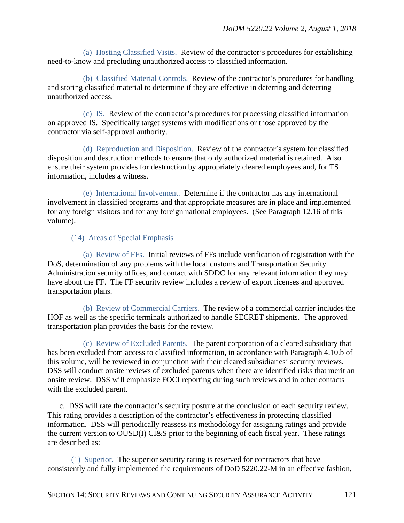(a) Hosting Classified Visits. Review of the contractor's procedures for establishing need-to-know and precluding unauthorized access to classified information.

(b) Classified Material Controls. Review of the contractor's procedures for handling and storing classified material to determine if they are effective in deterring and detecting unauthorized access.

(c) IS. Review of the contractor's procedures for processing classified information on approved IS. Specifically target systems with modifications or those approved by the contractor via self-approval authority.

(d) Reproduction and Disposition. Review of the contractor's system for classified disposition and destruction methods to ensure that only authorized material is retained. Also ensure their system provides for destruction by appropriately cleared employees and, for TS information, includes a witness.

(e) International Involvement. Determine if the contractor has any international involvement in classified programs and that appropriate measures are in place and implemented for any foreign visitors and for any foreign national employees. (See Paragraph 12.16 of this volume).

#### (14) Areas of Special Emphasis

(a) Review of FFs. Initial reviews of FFs include verification of registration with the DoS, determination of any problems with the local customs and Transportation Security Administration security offices, and contact with SDDC for any relevant information they may have about the FF. The FF security review includes a review of export licenses and approved transportation plans.

(b) Review of Commercial Carriers. The review of a commercial carrier includes the HOF as well as the specific terminals authorized to handle SECRET shipments. The approved transportation plan provides the basis for the review.

(c) Review of Excluded Parents. The parent corporation of a cleared subsidiary that has been excluded from access to classified information, in accordance with Paragraph 4.10.b of this volume, will be reviewed in conjunction with their cleared subsidiaries' security reviews. DSS will conduct onsite reviews of excluded parents when there are identified risks that merit an onsite review. DSS will emphasize FOCI reporting during such reviews and in other contacts with the excluded parent.

c. DSS will rate the contractor's security posture at the conclusion of each security review. This rating provides a description of the contractor's effectiveness in protecting classified information. DSS will periodically reassess its methodology for assigning ratings and provide the current version to OUSD(I) CI&S prior to the beginning of each fiscal year. These ratings are described as:

(1) Superior. The superior security rating is reserved for contractors that have consistently and fully implemented the requirements of DoD 5220.22-M in an effective fashion,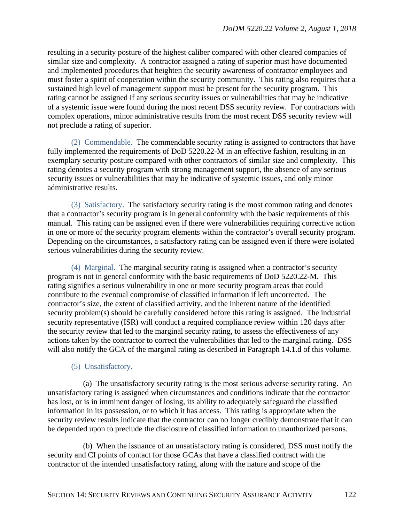resulting in a security posture of the highest caliber compared with other cleared companies of similar size and complexity. A contractor assigned a rating of superior must have documented and implemented procedures that heighten the security awareness of contractor employees and must foster a spirit of cooperation within the security community. This rating also requires that a sustained high level of management support must be present for the security program. This rating cannot be assigned if any serious security issues or vulnerabilities that may be indicative of a systemic issue were found during the most recent DSS security review. For contractors with complex operations, minor administrative results from the most recent DSS security review will not preclude a rating of superior.

(2) Commendable. The commendable security rating is assigned to contractors that have fully implemented the requirements of DoD 5220.22-M in an effective fashion, resulting in an exemplary security posture compared with other contractors of similar size and complexity. This rating denotes a security program with strong management support, the absence of any serious security issues or vulnerabilities that may be indicative of systemic issues, and only minor administrative results.

(3) Satisfactory. The satisfactory security rating is the most common rating and denotes that a contractor's security program is in general conformity with the basic requirements of this manual. This rating can be assigned even if there were vulnerabilities requiring corrective action in one or more of the security program elements within the contractor's overall security program. Depending on the circumstances, a satisfactory rating can be assigned even if there were isolated serious vulnerabilities during the security review.

(4) Marginal. The marginal security rating is assigned when a contractor's security program is not in general conformity with the basic requirements of DoD 5220.22-M. This rating signifies a serious vulnerability in one or more security program areas that could contribute to the eventual compromise of classified information if left uncorrected. The contractor's size, the extent of classified activity, and the inherent nature of the identified security problem(s) should be carefully considered before this rating is assigned. The industrial security representative (ISR) will conduct a required compliance review within 120 days after the security review that led to the marginal security rating, to assess the effectiveness of any actions taken by the contractor to correct the vulnerabilities that led to the marginal rating. DSS will also notify the GCA of the marginal rating as described in Paragraph 14.1.d of this volume.

#### (5) Unsatisfactory.

(a) The unsatisfactory security rating is the most serious adverse security rating. An unsatisfactory rating is assigned when circumstances and conditions indicate that the contractor has lost, or is in imminent danger of losing, its ability to adequately safeguard the classified information in its possession, or to which it has access. This rating is appropriate when the security review results indicate that the contractor can no longer credibly demonstrate that it can be depended upon to preclude the disclosure of classified information to unauthorized persons.

(b) When the issuance of an unsatisfactory rating is considered, DSS must notify the security and CI points of contact for those GCAs that have a classified contract with the contractor of the intended unsatisfactory rating, along with the nature and scope of the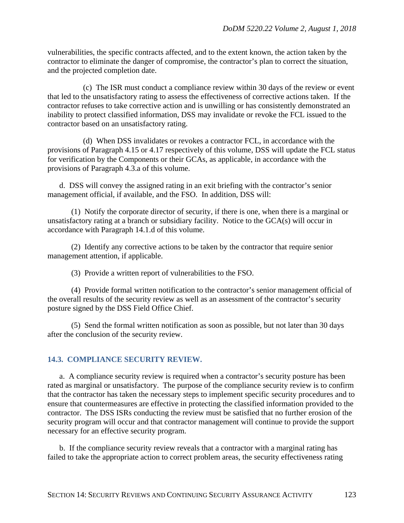vulnerabilities, the specific contracts affected, and to the extent known, the action taken by the contractor to eliminate the danger of compromise, the contractor's plan to correct the situation, and the projected completion date.

(c) The ISR must conduct a compliance review within 30 days of the review or event that led to the unsatisfactory rating to assess the effectiveness of corrective actions taken. If the contractor refuses to take corrective action and is unwilling or has consistently demonstrated an inability to protect classified information, DSS may invalidate or revoke the FCL issued to the contractor based on an unsatisfactory rating.

(d) When DSS invalidates or revokes a contractor FCL, in accordance with the provisions of Paragraph 4.15 or 4.17 respectively of this volume, DSS will update the FCL status for verification by the Components or their GCAs, as applicable, in accordance with the provisions of Paragraph 4.3.a of this volume.

d. DSS will convey the assigned rating in an exit briefing with the contractor's senior management official, if available, and the FSO. In addition, DSS will:

(1) Notify the corporate director of security, if there is one, when there is a marginal or unsatisfactory rating at a branch or subsidiary facility. Notice to the GCA(s) will occur in accordance with Paragraph 14.1.d of this volume.

(2) Identify any corrective actions to be taken by the contractor that require senior management attention, if applicable.

(3) Provide a written report of vulnerabilities to the FSO.

(4) Provide formal written notification to the contractor's senior management official of the overall results of the security review as well as an assessment of the contractor's security posture signed by the DSS Field Office Chief.

(5) Send the formal written notification as soon as possible, but not later than 30 days after the conclusion of the security review.

## **14.3. COMPLIANCE SECURITY REVIEW.**

a. A compliance security review is required when a contractor's security posture has been rated as marginal or unsatisfactory. The purpose of the compliance security review is to confirm that the contractor has taken the necessary steps to implement specific security procedures and to ensure that countermeasures are effective in protecting the classified information provided to the contractor. The DSS ISRs conducting the review must be satisfied that no further erosion of the security program will occur and that contractor management will continue to provide the support necessary for an effective security program.

b. If the compliance security review reveals that a contractor with a marginal rating has failed to take the appropriate action to correct problem areas, the security effectiveness rating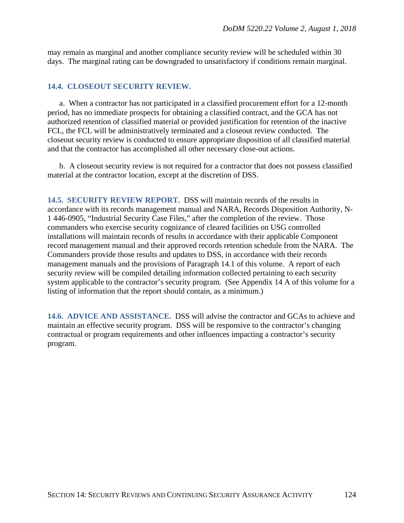may remain as marginal and another compliance security review will be scheduled within 30 days. The marginal rating can be downgraded to unsatisfactory if conditions remain marginal.

#### **14.4. CLOSEOUT SECURITY REVIEW.**

a. When a contractor has not participated in a classified procurement effort for a 12-month period, has no immediate prospects for obtaining a classified contract, and the GCA has not authorized retention of classified material or provided justification for retention of the inactive FCL, the FCL will be administratively terminated and a closeout review conducted. The closeout security review is conducted to ensure appropriate disposition of all classified material and that the contractor has accomplished all other necessary close-out actions.

b. A closeout security review is not required for a contractor that does not possess classified material at the contractor location, except at the discretion of DSS.

**14.5. SECURITY REVIEW REPORT.** DSS will maintain records of the results in accordance with its records management manual and NARA, Records Disposition Authority, N-1 446-0905, "Industrial Security Case Files," after the completion of the review. Those commanders who exercise security cognizance of cleared facilities on USG controlled installations will maintain records of results in accordance with their applicable Component record management manual and their approved records retention schedule from the NARA. The Commanders provide those results and updates to DSS, in accordance with their records management manuals and the provisions of Paragraph 14.1 of this volume. A report of each security review will be compiled detailing information collected pertaining to each security system applicable to the contractor's security program. (See Appendix 14 A of this volume for a listing of information that the report should contain, as a minimum.)

**14.6. ADVICE AND ASSISTANCE.** DSS will advise the contractor and GCAs to achieve and maintain an effective security program. DSS will be responsive to the contractor's changing contractual or program requirements and other influences impacting a contractor's security program.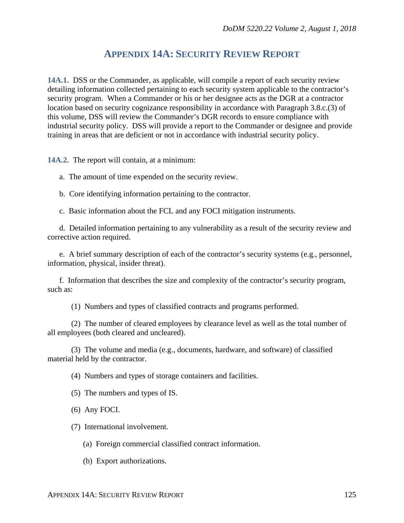# **APPENDIX 14A: SECURITY REVIEW REPORT**

**14A.1.** DSS or the Commander, as applicable, will compile a report of each security review detailing information collected pertaining to each security system applicable to the contractor's security program. When a Commander or his or her designee acts as the DGR at a contractor location based on security cognizance responsibility in accordance with Paragraph 3.8.c.(3) of this volume, DSS will review the Commander's DGR records to ensure compliance with industrial security policy. DSS will provide a report to the Commander or designee and provide training in areas that are deficient or not in accordance with industrial security policy.

**14A.2.** The report will contain, at a minimum:

a. The amount of time expended on the security review.

b. Core identifying information pertaining to the contractor.

c. Basic information about the FCL and any FOCI mitigation instruments.

d. Detailed information pertaining to any vulnerability as a result of the security review and corrective action required.

e. A brief summary description of each of the contractor's security systems (e.g., personnel, information, physical, insider threat).

f. Information that describes the size and complexity of the contractor's security program, such as:

(1) Numbers and types of classified contracts and programs performed.

(2) The number of cleared employees by clearance level as well as the total number of all employees (both cleared and uncleared).

(3) The volume and media (e.g., documents, hardware, and software) of classified material held by the contractor.

(4) Numbers and types of storage containers and facilities.

(5) The numbers and types of IS.

(6) Any FOCI.

(7) International involvement.

(a) Foreign commercial classified contract information.

(b) Export authorizations.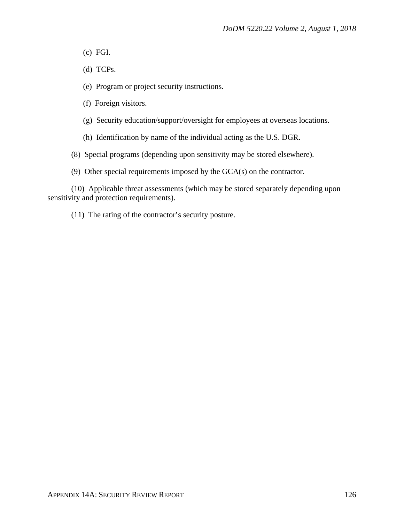- (c) FGI.
- (d) TCPs.
- (e) Program or project security instructions.
- (f) Foreign visitors.
- (g) Security education/support/oversight for employees at overseas locations.
- (h) Identification by name of the individual acting as the U.S. DGR.

(8) Special programs (depending upon sensitivity may be stored elsewhere).

(9) Other special requirements imposed by the GCA(s) on the contractor.

(10) Applicable threat assessments (which may be stored separately depending upon sensitivity and protection requirements).

(11) The rating of the contractor's security posture.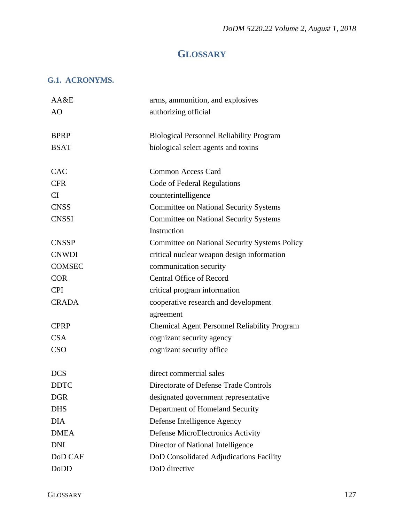# **GLOSSARY**

# **G.1. ACRONYMS.**

| AA&E          | arms, ammunition, and explosives                     |
|---------------|------------------------------------------------------|
| AO            | authorizing official                                 |
|               |                                                      |
| <b>BPRP</b>   | <b>Biological Personnel Reliability Program</b>      |
| <b>BSAT</b>   | biological select agents and toxins                  |
|               |                                                      |
| <b>CAC</b>    | <b>Common Access Card</b>                            |
| <b>CFR</b>    | Code of Federal Regulations                          |
| CI            | counterintelligence                                  |
| <b>CNSS</b>   | <b>Committee on National Security Systems</b>        |
| <b>CNSSI</b>  | <b>Committee on National Security Systems</b>        |
|               | Instruction                                          |
| <b>CNSSP</b>  | <b>Committee on National Security Systems Policy</b> |
| <b>CNWDI</b>  | critical nuclear weapon design information           |
| <b>COMSEC</b> | communication security                               |
| <b>COR</b>    | <b>Central Office of Record</b>                      |
| <b>CPI</b>    | critical program information                         |
| <b>CRADA</b>  | cooperative research and development                 |
|               | agreement                                            |
| <b>CPRP</b>   | <b>Chemical Agent Personnel Reliability Program</b>  |
| <b>CSA</b>    | cognizant security agency                            |
| <b>CSO</b>    | cognizant security office                            |
|               |                                                      |
| <b>DCS</b>    | direct commercial sales                              |
| <b>DDTC</b>   | Directorate of Defense Trade Controls                |
| <b>DGR</b>    | designated government representative                 |
| <b>DHS</b>    | Department of Homeland Security                      |
| <b>DIA</b>    | Defense Intelligence Agency                          |
| <b>DMEA</b>   | <b>Defense MicroElectronics Activity</b>             |
| <b>DNI</b>    | Director of National Intelligence                    |
| DoD CAF       | DoD Consolidated Adjudications Facility              |
| <b>DoDD</b>   | DoD directive                                        |
|               |                                                      |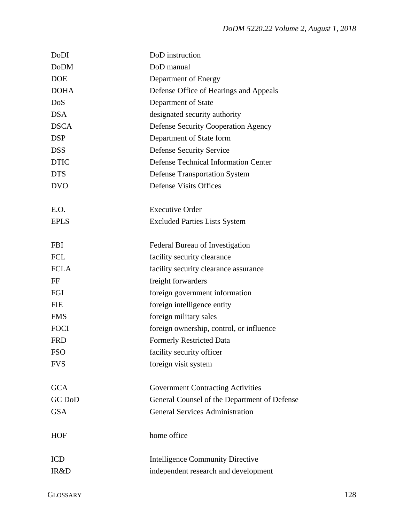| DoDI        | DoD instruction                              |
|-------------|----------------------------------------------|
| <b>DoDM</b> | DoD manual                                   |
| <b>DOE</b>  | Department of Energy                         |
| <b>DOHA</b> | Defense Office of Hearings and Appeals       |
| DoS         | Department of State                          |
| <b>DSA</b>  | designated security authority                |
| <b>DSCA</b> | <b>Defense Security Cooperation Agency</b>   |
| <b>DSP</b>  | Department of State form                     |
| <b>DSS</b>  | <b>Defense Security Service</b>              |
| <b>DTIC</b> | Defense Technical Information Center         |
| <b>DTS</b>  | <b>Defense Transportation System</b>         |
| <b>DVO</b>  | <b>Defense Visits Offices</b>                |
| E.O.        | <b>Executive Order</b>                       |
| <b>EPLS</b> | <b>Excluded Parties Lists System</b>         |
| <b>FBI</b>  | Federal Bureau of Investigation              |
| <b>FCL</b>  | facility security clearance                  |
| <b>FCLA</b> | facility security clearance assurance        |
| FF          | freight forwarders                           |
| FGI         | foreign government information               |
| <b>FIE</b>  | foreign intelligence entity                  |
| <b>FMS</b>  | foreign military sales                       |
| <b>FOCI</b> | foreign ownership, control, or influence     |
| <b>FRD</b>  | <b>Formerly Restricted Data</b>              |
| <b>FSO</b>  | facility security officer                    |
| <b>FVS</b>  | foreign visit system                         |
| <b>GCA</b>  | <b>Government Contracting Activities</b>     |
| GC DoD      | General Counsel of the Department of Defense |
| <b>GSA</b>  | <b>General Services Administration</b>       |
| <b>HOF</b>  | home office                                  |
| <b>ICD</b>  | <b>Intelligence Community Directive</b>      |
| IR&D        | independent research and development         |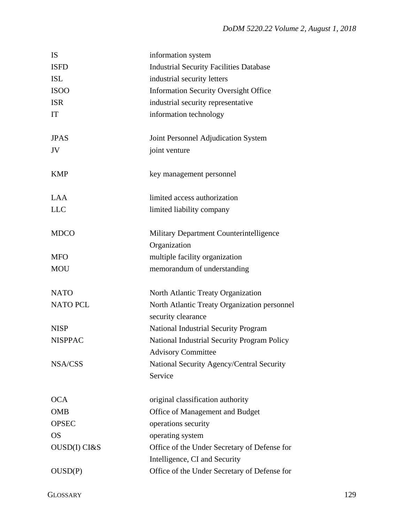| <b>IS</b>       | information system                                                 |
|-----------------|--------------------------------------------------------------------|
| <b>ISFD</b>     | <b>Industrial Security Facilities Database</b>                     |
| <b>ISL</b>      | industrial security letters                                        |
| <b>ISOO</b>     | <b>Information Security Oversight Office</b>                       |
| <b>ISR</b>      | industrial security representative                                 |
| IT              | information technology                                             |
| <b>JPAS</b>     | Joint Personnel Adjudication System                                |
| JV              | joint venture                                                      |
| <b>KMP</b>      | key management personnel                                           |
| <b>LAA</b>      | limited access authorization                                       |
| <b>LLC</b>      | limited liability company                                          |
| <b>MDCO</b>     | Military Department Counterintelligence                            |
|                 | Organization                                                       |
| <b>MFO</b>      | multiple facility organization                                     |
| <b>MOU</b>      | memorandum of understanding                                        |
| <b>NATO</b>     | North Atlantic Treaty Organization                                 |
| <b>NATO PCL</b> | North Atlantic Treaty Organization personnel<br>security clearance |
| <b>NISP</b>     | <b>National Industrial Security Program</b>                        |
| <b>NISPPAC</b>  | National Industrial Security Program Policy                        |
|                 | <b>Advisory Committee</b>                                          |
| NSA/CSS         | National Security Agency/Central Security                          |
|                 | Service                                                            |
| <b>OCA</b>      | original classification authority                                  |
| <b>OMB</b>      | Office of Management and Budget                                    |
| <b>OPSEC</b>    | operations security                                                |
| <b>OS</b>       | operating system                                                   |
| OUSD(I) CI&S    | Office of the Under Secretary of Defense for                       |
|                 |                                                                    |
|                 | Intelligence, CI and Security                                      |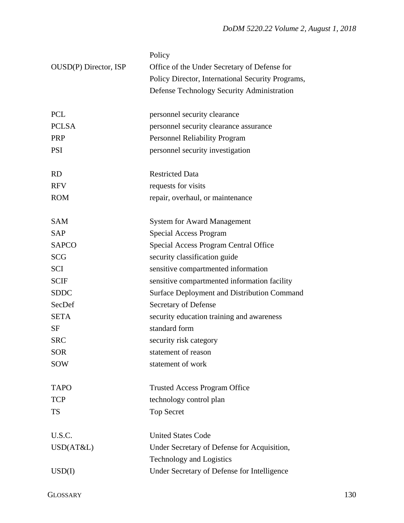|                       | Policy                                             |
|-----------------------|----------------------------------------------------|
| OUSD(P) Director, ISP | Office of the Under Secretary of Defense for       |
|                       | Policy Director, International Security Programs,  |
|                       | Defense Technology Security Administration         |
|                       |                                                    |
| <b>PCL</b>            | personnel security clearance                       |
| <b>PCLSA</b>          | personnel security clearance assurance             |
| <b>PRP</b>            | <b>Personnel Reliability Program</b>               |
| <b>PSI</b>            | personnel security investigation                   |
| <b>RD</b>             | <b>Restricted Data</b>                             |
| <b>RFV</b>            | requests for visits                                |
| <b>ROM</b>            | repair, overhaul, or maintenance                   |
|                       |                                                    |
| <b>SAM</b>            | <b>System for Award Management</b>                 |
| <b>SAP</b>            | Special Access Program                             |
| <b>SAPCO</b>          | <b>Special Access Program Central Office</b>       |
| <b>SCG</b>            | security classification guide                      |
| <b>SCI</b>            | sensitive compartmented information                |
| <b>SCIF</b>           | sensitive compartmented information facility       |
| <b>SDDC</b>           | <b>Surface Deployment and Distribution Command</b> |
| SecDef                | Secretary of Defense                               |
| <b>SETA</b>           | security education training and awareness          |
| <b>SF</b>             | standard form                                      |
| <b>SRC</b>            | security risk category                             |
| <b>SOR</b>            | statement of reason                                |
| <b>SOW</b>            | statement of work                                  |
|                       |                                                    |
| <b>TAPO</b>           | <b>Trusted Access Program Office</b>               |
| <b>TCP</b>            | technology control plan                            |
| <b>TS</b>             | <b>Top Secret</b>                                  |
| U.S.C.                | <b>United States Code</b>                          |
| USD(AT&L)             | Under Secretary of Defense for Acquisition,        |
|                       | <b>Technology and Logistics</b>                    |
| USD(I)                | Under Secretary of Defense for Intelligence        |
|                       |                                                    |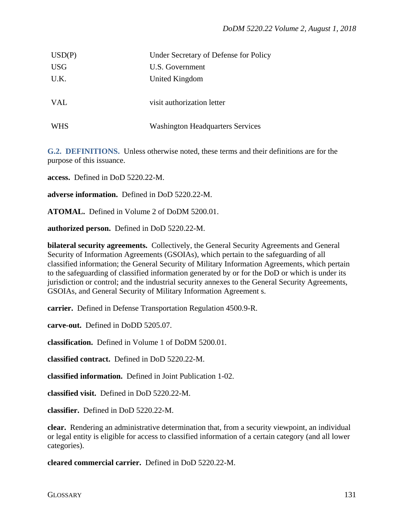| USD(P)     | Under Secretary of Defense for Policy   |
|------------|-----------------------------------------|
| <b>USG</b> | U.S. Government                         |
| U.K.       | United Kingdom                          |
|            |                                         |
| VAL        | visit authorization letter              |
|            |                                         |
| WHS        | <b>Washington Headquarters Services</b> |

**G.2. DEFINITIONS.** Unless otherwise noted, these terms and their definitions are for the purpose of this issuance.

**access.** Defined in DoD 5220.22-M.

**adverse information.** Defined in DoD 5220.22-M.

**ATOMAL.** Defined in Volume 2 of DoDM 5200.01.

**authorized person.** Defined in DoD 5220.22-M.

**bilateral security agreements.** Collectively, the General Security Agreements and General Security of Information Agreements (GSOIAs), which pertain to the safeguarding of all classified information; the General Security of Military Information Agreements, which pertain to the safeguarding of classified information generated by or for the DoD or which is under its jurisdiction or control; and the industrial security annexes to the General Security Agreements, GSOIAs, and General Security of Military Information Agreement s.

**carrier.** Defined in Defense Transportation Regulation 4500.9-R.

**carve-out.** Defined in DoDD 5205.07.

**classification.** Defined in Volume 1 of DoDM 5200.01.

**classified contract.** Defined in DoD 5220.22-M.

**classified information.** Defined in Joint Publication 1-02.

**classified visit.** Defined in DoD 5220.22-M.

**classifier.** Defined in DoD 5220.22-M.

**clear.** Rendering an administrative determination that, from a security viewpoint, an individual or legal entity is eligible for access to classified information of a certain category (and all lower categories).

**cleared commercial carrier.** Defined in DoD 5220.22-M.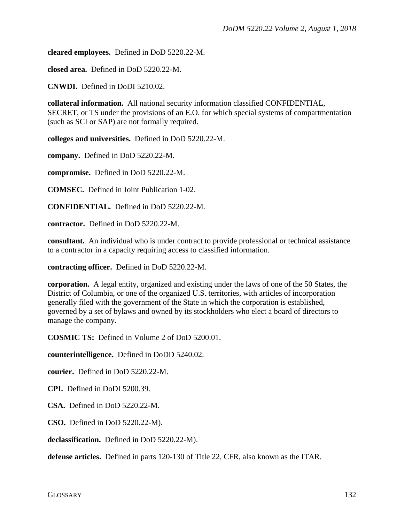**cleared employees.** Defined in DoD 5220.22-M.

**closed area.** Defined in DoD 5220.22-M.

**CNWDI.** Defined in DoDI 5210.02.

**collateral information.** All national security information classified CONFIDENTIAL, SECRET, or TS under the provisions of an E.O. for which special systems of compartmentation (such as SCI or SAP) are not formally required.

**colleges and universities.** Defined in DoD 5220.22-M.

**company.** Defined in DoD 5220.22-M.

**compromise.** Defined in DoD 5220.22-M.

**COMSEC.** Defined in Joint Publication 1-02.

**CONFIDENTIAL.** Defined in DoD 5220.22-M.

**contractor.** Defined in DoD 5220.22-M.

**consultant.** An individual who is under contract to provide professional or technical assistance to a contractor in a capacity requiring access to classified information.

**contracting officer.** Defined in DoD 5220.22-M.

**corporation.** A legal entity, organized and existing under the laws of one of the 50 States, the District of Columbia, or one of the organized U.S. territories, with articles of incorporation generally filed with the government of the State in which the corporation is established, governed by a set of bylaws and owned by its stockholders who elect a board of directors to manage the company.

**COSMIC TS:** Defined in Volume 2 of DoD 5200.01.

**counterintelligence.** Defined in DoDD 5240.02.

**courier.** Defined in DoD 5220.22-M.

**CPI.** Defined in DoDI 5200.39.

**CSA.** Defined in DoD 5220.22-M.

**CSO.** Defined in DoD 5220.22-M).

**declassification.** Defined in DoD 5220.22-M).

**defense articles.** Defined in parts 120-130 of Title 22, CFR, also known as the ITAR.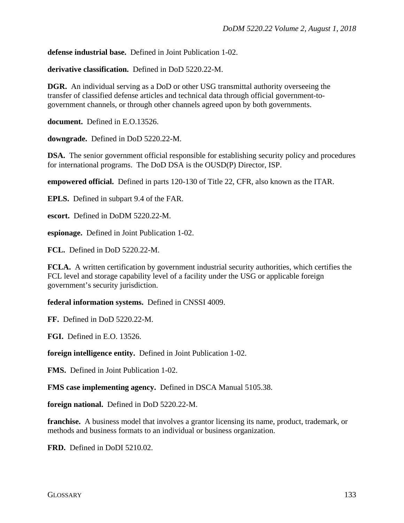**defense industrial base.** Defined in Joint Publication 1-02.

**derivative classification.** Defined in DoD 5220.22-M.

**DGR.** An individual serving as a DoD or other USG transmittal authority overseeing the transfer of classified defense articles and technical data through official government-togovernment channels, or through other channels agreed upon by both governments.

**document.** Defined in E.O.13526.

**downgrade.** Defined in DoD 5220.22-M.

**DSA.** The senior government official responsible for establishing security policy and procedures for international programs. The DoD DSA is the OUSD(P) Director, ISP.

**empowered official.** Defined in parts 120-130 of Title 22, CFR, also known as the ITAR.

**EPLS.** Defined in subpart 9.4 of the FAR.

**escort.** Defined in DoDM 5220.22-M.

**espionage.** Defined in Joint Publication 1-02.

**FCL.** Defined in DoD 5220.22-M.

**FCLA.** A written certification by government industrial security authorities, which certifies the FCL level and storage capability level of a facility under the USG or applicable foreign government's security jurisdiction.

**federal information systems.** Defined in CNSSI 4009.

**FF.** Defined in DoD 5220.22-M.

**FGI.** Defined in E.O. 13526.

**foreign intelligence entity.** Defined in Joint Publication 1-02.

**FMS.** Defined in Joint Publication 1-02.

**FMS case implementing agency.** Defined in DSCA Manual 5105.38.

**foreign national.** Defined in DoD 5220.22-M.

**franchise.** A business model that involves a grantor licensing its name, product, trademark, or methods and business formats to an individual or business organization.

**FRD.** Defined in DoDI 5210.02.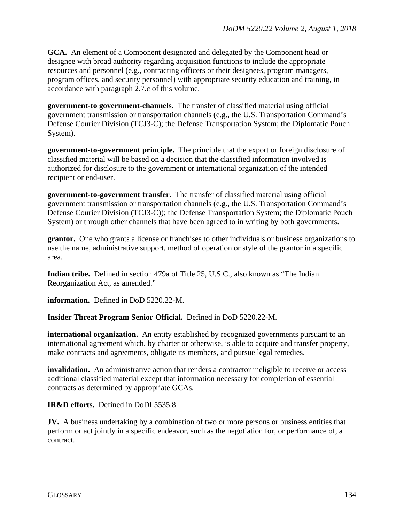**GCA.** An element of a Component designated and delegated by the Component head or designee with broad authority regarding acquisition functions to include the appropriate resources and personnel (e.g., contracting officers or their designees, program managers, program offices, and security personnel) with appropriate security education and training, in accordance with paragraph 2.7.c of this volume.

**government-to government-channels.** The transfer of classified material using official government transmission or transportation channels (e.g., the U.S. Transportation Command's Defense Courier Division (TCJ3-C); the Defense Transportation System; the Diplomatic Pouch System).

**government-to-government principle.** The principle that the export or foreign disclosure of classified material will be based on a decision that the classified information involved is authorized for disclosure to the government or international organization of the intended recipient or end-user.

**government-to-government transfer.** The transfer of classified material using official government transmission or transportation channels (e.g., the U.S. Transportation Command's Defense Courier Division (TCJ3-C)); the Defense Transportation System; the Diplomatic Pouch System) or through other channels that have been agreed to in writing by both governments.

**grantor.** One who grants a license or franchises to other individuals or business organizations to use the name, administrative support, method of operation or style of the grantor in a specific area.

**Indian tribe.** Defined in section 479a of Title 25, U.S.C., also known as "The Indian Reorganization Act, as amended."

**information.** Defined in DoD 5220.22-M.

**Insider Threat Program Senior Official.** Defined in DoD 5220.22-M.

**international organization.** An entity established by recognized governments pursuant to an international agreement which, by charter or otherwise, is able to acquire and transfer property, make contracts and agreements, obligate its members, and pursue legal remedies.

**invalidation.** An administrative action that renders a contractor ineligible to receive or access additional classified material except that information necessary for completion of essential contracts as determined by appropriate GCAs.

**IR&D efforts.** Defined in DoDI 5535.8.

**JV.** A business undertaking by a combination of two or more persons or business entities that perform or act jointly in a specific endeavor, such as the negotiation for, or performance of, a contract.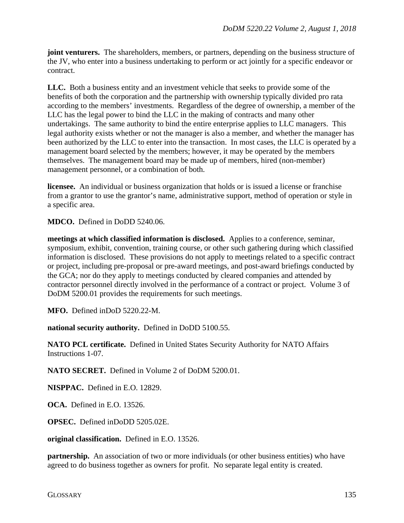**joint venturers.** The shareholders, members, or partners, depending on the business structure of the JV, who enter into a business undertaking to perform or act jointly for a specific endeavor or contract.

**LLC.** Both a business entity and an investment vehicle that seeks to provide some of the benefits of both the corporation and the partnership with ownership typically divided pro rata according to the members' investments. Regardless of the degree of ownership, a member of the LLC has the legal power to bind the LLC in the making of contracts and many other undertakings. The same authority to bind the entire enterprise applies to LLC managers. This legal authority exists whether or not the manager is also a member, and whether the manager has been authorized by the LLC to enter into the transaction. In most cases, the LLC is operated by a management board selected by the members; however, it may be operated by the members themselves. The management board may be made up of members, hired (non-member) management personnel, or a combination of both.

**licensee.** An individual or business organization that holds or is issued a license or franchise from a grantor to use the grantor's name, administrative support, method of operation or style in a specific area.

**MDCO.** Defined in DoDD 5240.06.

**meetings at which classified information is disclosed.** Applies to a conference, seminar, symposium, exhibit, convention, training course, or other such gathering during which classified information is disclosed. These provisions do not apply to meetings related to a specific contract or project, including pre-proposal or pre-award meetings, and post-award briefings conducted by the GCA; nor do they apply to meetings conducted by cleared companies and attended by contractor personnel directly involved in the performance of a contract or project. Volume 3 of DoDM 5200.01 provides the requirements for such meetings.

**MFO.** Defined inDoD 5220.22-M.

**national security authority.** Defined in DoDD 5100.55.

**NATO PCL certificate.** Defined in United States Security Authority for NATO Affairs Instructions 1-07.

**NATO SECRET.** Defined in Volume 2 of DoDM 5200.01.

**NISPPAC.** Defined in E.O. 12829.

**OCA.** Defined in E.O. 13526.

**OPSEC.** Defined inDoDD 5205.02E.

**original classification.** Defined in E.O. 13526.

**partnership.** An association of two or more individuals (or other business entities) who have agreed to do business together as owners for profit. No separate legal entity is created.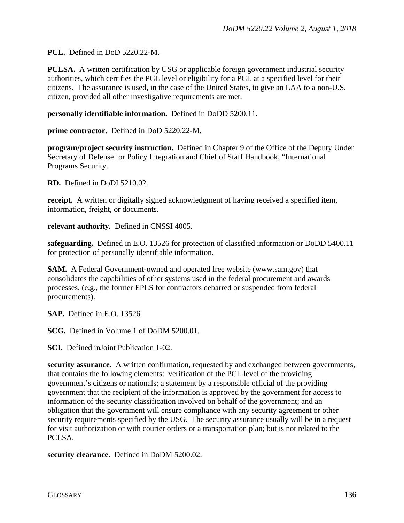**PCL.** Defined in DoD 5220.22-M.

**PCLSA.** A written certification by USG or applicable foreign government industrial security authorities, which certifies the PCL level or eligibility for a PCL at a specified level for their citizens. The assurance is used, in the case of the United States, to give an LAA to a non-U.S. citizen, provided all other investigative requirements are met.

**personally identifiable information.** Defined in DoDD 5200.11.

**prime contractor.** Defined in DoD 5220.22-M.

**program/project security instruction.** Defined in Chapter 9 of the Office of the Deputy Under Secretary of Defense for Policy Integration and Chief of Staff Handbook, "International Programs Security.

**RD.** Defined in DoDI 5210.02.

**receipt.** A written or digitally signed acknowledgment of having [received](http://dictionary.reference.com/browse/received) a specified item, information, freight, or documents.

**relevant authority.** Defined in CNSSI 4005.

**safeguarding.** Defined in E.O. 13526 for protection of classified information or DoDD 5400.11 for protection of personally identifiable information.

**SAM.** A Federal Government-owned and operated free website [\(www.sam.gov\)](http://www.sam.gov/) that consolidates the capabilities of other systems used in the federal procurement and awards processes, (e.g., the former EPLS for contractors debarred or suspended from federal procurements).

**SAP.** Defined in E.O. 13526.

**SCG.** Defined in Volume 1 of DoDM 5200.01.

**SCI.** Defined inJoint Publication 1-02.

**security assurance.** A written confirmation, requested by and exchanged between governments, that contains the following elements: verification of the PCL level of the providing government's citizens or nationals; a statement by a responsible official of the providing government that the recipient of the information is approved by the government for access to information of the security classification involved on behalf of the government; and an obligation that the government will ensure compliance with any security agreement or other security requirements specified by the USG. The security assurance usually will be in a request for visit authorization or with courier orders or a transportation plan; but is not related to the PCLSA.

**security clearance.** Defined in DoDM 5200.02.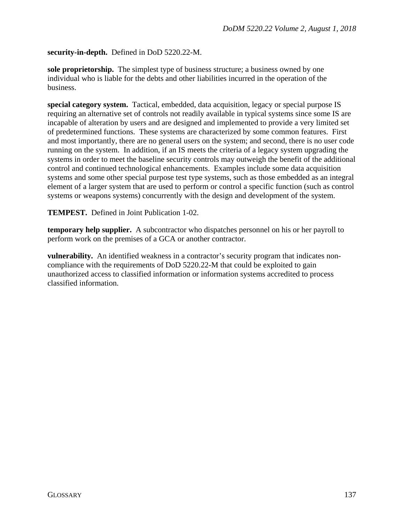#### **security-in-depth.** Defined in DoD 5220.22-M.

**sole proprietorship.** The simplest type of business structure; a business owned by one individual who is liable for the debts and other liabilities incurred in the operation of the business.

**special category system.** Tactical, embedded, data acquisition, legacy or special purpose IS requiring an alternative set of controls not readily available in typical systems since some IS are incapable of alteration by users and are designed and implemented to provide a very limited set of predetermined functions. These systems are characterized by some common features. First and most importantly, there are no general users on the system; and second, there is no user code running on the system. In addition, if an IS meets the criteria of a legacy system upgrading the systems in order to meet the baseline security controls may outweigh the benefit of the additional control and continued technological enhancements. Examples include some data acquisition systems and some other special purpose test type systems, such as those embedded as an integral element of a larger system that are used to perform or control a specific function (such as control systems or weapons systems) concurrently with the design and development of the system.

**TEMPEST.** Defined in Joint Publication 1-02.

**temporary help supplier.** A subcontractor who dispatches personnel on his or her payroll to perform work on the premises of a GCA or another contractor.

**vulnerability.** An identified weakness in a contractor's security program that indicates noncompliance with the requirements of DoD 5220.22-M that could be exploited to gain unauthorized access to classified information or information systems accredited to process classified information.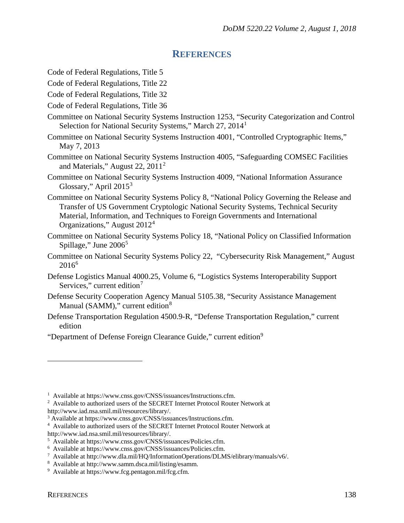## **REFERENCES**

Code of Federal Regulations, Title 5

- Code of Federal Regulations, Title 22
- Code of Federal Regulations, Title 32
- Code of Federal Regulations, Title 36
- Committee on National Security Systems Instruction 1253, "Security Categorization and Control Selection for National Security Systems," March 27, 20[1](#page-137-0)4<sup>1</sup>
- Committee on National Security Systems Instruction 4001, "Controlled Cryptographic Items," May 7, 2013
- Committee on National Security Systems Instruction 4005, "Safeguarding COMSEC Facilities and Materials," August 22, 2011[2](#page-137-1)
- Committee on National Security Systems Instruction 4009, "National Information Assurance Glossary," April  $2015^3$  $2015^3$
- Committee on National Security Systems Policy 8, "National Policy Governing the Release and Transfer of US Government Cryptologic National Security Systems, Technical Security Material, Information, and Techniques to Foreign Governments and International Organizations," August 2012[4](#page-137-3)
- Committee on National Security Systems Policy 18, "National Policy on Classified Information Spillage," June  $2006<sup>5</sup>$  $2006<sup>5</sup>$  $2006<sup>5</sup>$
- Committee on National Security Systems Policy 22, "Cybersecurity Risk Management," August  $2016^6$  $2016^6$  $2016^6$
- Defense Logistics Manual 4000.25, Volume 6, "Logistics Systems Interoperability Support Services," current edition<sup>[7](#page-137-6)</sup>
- Defense Security Cooperation Agency Manual 5105.38, "Security Assistance Management Manual (SAMM)," current edition<sup>[8](#page-137-7)</sup>
- Defense Transportation Regulation 4500.9-R, "Defense Transportation Regulation," current edition
- "Department of Defense Foreign Clearance Guide," current edition<sup>[9](#page-137-8)</sup>

<span id="page-137-0"></span><sup>&</sup>lt;sup>1</sup> Available at https://www.cnss.gov/CNSS/issuances/Instructions.cfm.

<span id="page-137-1"></span><sup>&</sup>lt;sup>2</sup> Available to authorized users of the SECRET Internet Protocol Router Network at http://www.iad.nsa.smil.mil/resources/library/.

<span id="page-137-2"></span><sup>3</sup> Available at https://www.cnss.gov/CNSS/issuances/Instructions.cfm.

<span id="page-137-3"></span><sup>&</sup>lt;sup>4</sup> Available to authorized users of the SECRET Internet Protocol Router Network at

<span id="page-137-4"></span>http://www.iad.nsa.smil.mil/resources/library/.

<sup>5</sup> Available at https://www.cnss.gov/CNSS/issuances/Policies.cfm.

<span id="page-137-5"></span><sup>6</sup> Available at https://www.cnss.gov/CNSS/issuances/Policies.cfm.

<span id="page-137-6"></span><sup>&</sup>lt;sup>7</sup> Available at http://www.dla.mil/HQ/InformationOperations/DLMS/elibrary/manuals/v6/.

<span id="page-137-8"></span><span id="page-137-7"></span><sup>8</sup> Available at http://www.samm.dsca.mil/listing/esamm.

<sup>&</sup>lt;sup>9</sup> Available at https://www.fcg.pentagon.mil/fcg.cfm.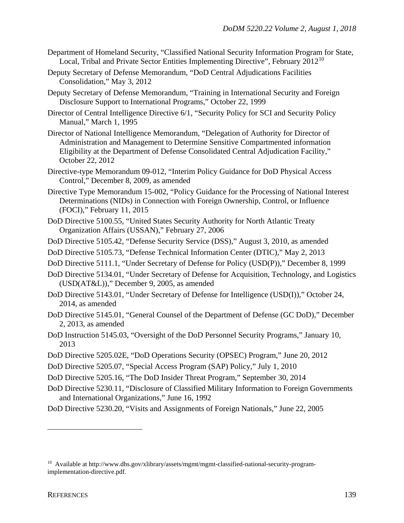- Department of Homeland Security, "Classified National Security Information Program for State, Local, Tribal and Private Sector Entities Implementing Directive", February  $2012^{10}$  $2012^{10}$  $2012^{10}$
- Deputy Secretary of Defense Memorandum, "DoD Central Adjudications Facilities Consolidation," May 3, 2012
- Deputy Secretary of Defense Memorandum, "Training in International Security and Foreign Disclosure Support to International Programs," October 22, 1999
- Director of Central Intelligence Directive 6/1, "Security Policy for SCI and Security Policy Manual," March 1, 1995
- Director of National Intelligence Memorandum, "Delegation of Authority for Director of Administration and Management to Determine Sensitive Compartmented information Eligibility at the Department of Defense Consolidated Central Adjudication Facility," October 22, 2012
- Directive-type Memorandum 09-012, "Interim Policy Guidance for DoD Physical Access Control," December 8, 2009, as amended
- Directive Type Memorandum 15-002, "Policy Guidance for the Processing of National Interest Determinations (NIDs) in Connection with Foreign Ownership, Control, or Influence (FOCI)," February 11, 2015
- DoD Directive 5100.55, "United States Security Authority for North Atlantic Treaty Organization Affairs (USSAN)," February 27, 2006
- DoD Directive 5105.42, "Defense Security Service (DSS)," August 3, 2010, as amended
- DoD Directive 5105.73, "Defense Technical Information Center (DTIC)," May 2, 2013
- DoD Directive 5111.1, "Under Secretary of Defense for Policy (USD(P))," December 8, 1999
- DoD Directive 5134.01, "Under Secretary of Defense for Acquisition, Technology, and Logistics (USD(AT&L))," December 9, 2005, as amended
- DoD Directive 5143.01, "Under Secretary of Defense for Intelligence (USD(I))," October 24, 2014, as amended
- DoD Directive 5145.01, "General Counsel of the Department of Defense (GC DoD)," December 2, 2013, as amended
- DoD Instruction 5145.03, "Oversight of the DoD Personnel Security Programs," January 10, 2013
- DoD Directive 5205.02E, "DoD Operations Security (OPSEC) Program," June 20, 2012
- DoD Directive 5205.07, "Special Access Program (SAP) Policy," July 1, 2010
- DoD Directive 5205.16, "The DoD Insider Threat Program," September 30, 2014
- DoD Directive 5230.11, "Disclosure of Classified Military Information to Foreign Governments and International Organizations," June 16, 1992
- DoD Directive 5230.20, "Visits and Assignments of Foreign Nationals," June 22, 2005

<span id="page-138-0"></span><sup>10</sup> Available at http://www.dhs.gov/xlibrary/assets/mgmt/mgmt-classified-national-security-programimplementation-directive.pdf.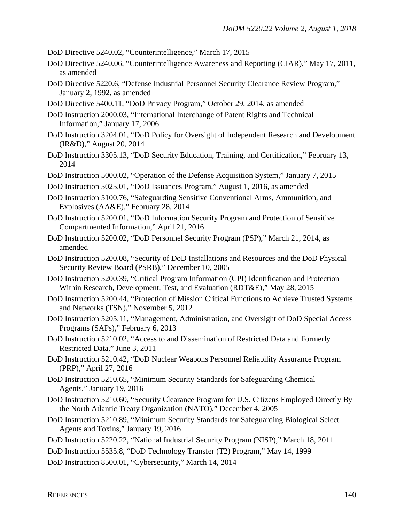DoD Directive 5240.02, "Counterintelligence," March 17, 2015

- DoD Directive 5240.06, "Counterintelligence Awareness and Reporting (CIAR)," May 17, 2011, as amended
- DoD Directive 5220.6, "Defense Industrial Personnel Security Clearance Review Program," January 2, 1992, as amended
- DoD Directive 5400.11, "DoD Privacy Program," October 29, 2014, as amended
- DoD Instruction 2000.03, "International Interchange of Patent Rights and Technical Information," January 17, 2006
- DoD Instruction 3204.01, "DoD Policy for Oversight of Independent Research and Development (IR&D)," August 20, 2014
- DoD Instruction 3305.13, "DoD Security Education, Training, and Certification," February 13, 2014
- DoD Instruction 5000.02, "Operation of the Defense Acquisition System," January 7, 2015
- DoD Instruction 5025.01, "DoD Issuances Program," August 1, 2016, as amended
- DoD Instruction 5100.76, "Safeguarding Sensitive Conventional Arms, Ammunition, and Explosives (AA&E)," February 28, 2014
- DoD Instruction 5200.01, "DoD Information Security Program and Protection of Sensitive Compartmented Information," April 21, 2016
- DoD Instruction 5200.02, "DoD Personnel Security Program (PSP)," March 21, 2014, as amended
- DoD Instruction 5200.08, "Security of DoD Installations and Resources and the DoD Physical Security Review Board (PSRB)," December 10, 2005
- DoD Instruction 5200.39, "Critical Program Information (CPI) Identification and Protection Within Research, Development, Test, and Evaluation (RDT&E)," May 28, 2015
- DoD Instruction 5200.44, "Protection of Mission Critical Functions to Achieve Trusted Systems and Networks (TSN)," November 5, 2012
- DoD Instruction 5205.11, "Management, Administration, and Oversight of DoD Special Access Programs (SAPs)," February 6, 2013
- DoD Instruction 5210.02, "Access to and Dissemination of Restricted Data and Formerly Restricted Data," June 3, 2011
- DoD Instruction 5210.42, "DoD Nuclear Weapons Personnel Reliability Assurance Program (PRP)," April 27, 2016
- DoD Instruction 5210.65, "Minimum Security Standards for Safeguarding Chemical Agents," January 19, 2016
- DoD Instruction 5210.60, "Security Clearance Program for U.S. Citizens Employed Directly By the North Atlantic Treaty Organization (NATO)," December 4, 2005
- DoD Instruction 5210.89, "Minimum Security Standards for Safeguarding Biological Select Agents and Toxins," January 19, 2016
- DoD Instruction 5220.22, "National Industrial Security Program (NISP)," March 18, 2011
- DoD Instruction 5535.8, "DoD Technology Transfer (T2) Program," May 14, 1999
- DoD Instruction 8500.01, "Cybersecurity," March 14, 2014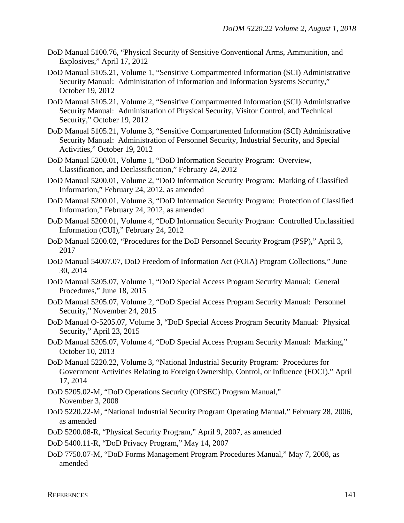- DoD Manual 5100.76, "Physical Security of Sensitive Conventional Arms, Ammunition, and Explosives," April 17, 2012
- DoD Manual 5105.21, Volume 1, "Sensitive Compartmented Information (SCI) Administrative Security Manual: Administration of Information and Information Systems Security," October 19, 2012
- DoD Manual 5105.21, Volume 2, "Sensitive Compartmented Information (SCI) Administrative Security Manual: Administration of Physical Security, Visitor Control, and Technical Security," October 19, 2012
- DoD Manual 5105.21, Volume 3, "Sensitive Compartmented Information (SCI) Administrative Security Manual: Administration of Personnel Security, Industrial Security, and Special Activities," October 19, 2012
- DoD Manual 5200.01, Volume 1, "DoD Information Security Program: Overview, Classification, and Declassification," February 24, 2012
- DoD Manual 5200.01, Volume 2, "DoD Information Security Program: Marking of Classified Information," February 24, 2012, as amended
- DoD Manual 5200.01, Volume 3, "DoD Information Security Program: Protection of Classified Information," February 24, 2012, as amended
- DoD Manual 5200.01, Volume 4, "DoD Information Security Program: Controlled Unclassified Information (CUI)," February 24, 2012
- DoD Manual 5200.02, "Procedures for the DoD Personnel Security Program (PSP)," April 3, 2017
- DoD Manual 54007.07, DoD Freedom of Information Act (FOIA) Program Collections," June 30, 2014
- DoD Manual 5205.07, Volume 1, "DoD Special Access Program Security Manual: General Procedures," June 18, 2015
- DoD Manual 5205.07, Volume 2, "DoD Special Access Program Security Manual: Personnel Security," November 24, 2015
- DoD Manual O-5205.07, Volume 3, "DoD Special Access Program Security Manual: Physical Security," April 23, 2015
- DoD Manual 5205.07, Volume 4, "DoD Special Access Program Security Manual: Marking," October 10, 2013
- DoD Manual 5220.22, Volume 3, "National Industrial Security Program: Procedures for Government Activities Relating to Foreign Ownership, Control, or Influence (FOCI)," April 17, 2014
- DoD 5205.02-M, "DoD Operations Security (OPSEC) Program Manual," November 3, 2008
- DoD 5220.22-M, "National Industrial Security Program Operating Manual," February 28, 2006, as amended
- DoD 5200.08-R, "Physical Security Program," April 9, 2007, as amended
- DoD 5400.11-R, "DoD Privacy Program," May 14, 2007
- DoD 7750.07-M, "DoD Forms Management Program Procedures Manual," May 7, 2008, as amended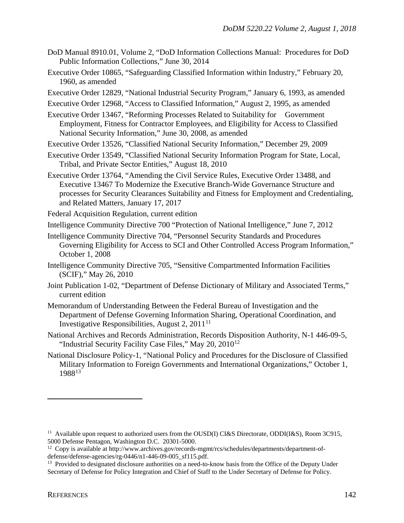- DoD Manual 8910.01, Volume 2, "DoD Information Collections Manual: Procedures for DoD Public Information Collections," June 30, 2014
- Executive Order 10865, "Safeguarding Classified Information within Industry," February 20, 1960, as amended
- Executive Order 12829, "National Industrial Security Program," January 6, 1993, as amended
- Executive Order 12968, "Access to Classified Information," August 2, 1995, as amended
- Executive Order 13467, "Reforming Processes Related to Suitability for Government Employment, Fitness for Contractor Employees, and Eligibility for Access to Classified National Security Information," June 30, 2008, as amended
- Executive Order 13526, "Classified National Security Information," December 29, 2009
- Executive Order 13549, "Classified National Security Information Program for State, Local, Tribal, and Private Sector Entities," August 18, 2010
- Executive Order 13764, "Amending the Civil Service Rules, Executive Order 13488, and Executive 13467 To Modernize the Executive Branch-Wide Governance Structure and processes for Security Clearances Suitability and Fitness for Employment and Credentialing, and Related Matters, January 17, 2017
- Federal Acquisition Regulation, current edition
- Intelligence Community Directive 700 "Protection of National Intelligence," June 7, 2012
- Intelligence Community Directive 704, "Personnel Security Standards and Procedures Governing Eligibility for Access to SCI and Other Controlled Access Program Information," October 1, 2008
- Intelligence Community Directive 705, "Sensitive Compartmented Information Facilities (SCIF)," May 26, 2010
- Joint Publication 1-02, "Department of Defense Dictionary of Military and Associated Terms," current edition
- Memorandum of Understanding Between the Federal Bureau of Investigation and the Department of Defense Governing Information Sharing, Operational Coordination, and Investigative Responsibilities, August 2,  $2011^{11}$  $2011^{11}$  $2011^{11}$
- National Archives and Records Administration, Records Disposition Authority, N-1 446-09-5, "Industrial Security Facility Case Files," May 20, 2010<sup>[12](#page-141-1)</sup>
- National Disclosure Policy-1, "National Policy and Procedures for the Disclosure of Classified Military Information to Foreign Governments and International Organizations," October 1, 1988<sup>[13](#page-141-2)</sup>

<span id="page-141-0"></span><sup>&</sup>lt;sup>11</sup> Available upon request to authorized users from the OUSD(I) CI&S Directorate, ODDI(I&S), Room 3C915, 5000 Defense Pentagon, Washington D.C. 20301-5000.

<span id="page-141-1"></span><sup>&</sup>lt;sup>12</sup> Copy is available at http://www.archives.gov/records-mgmt/rcs/schedules/departments/department-of-<br>defense/defense-agencies/rg-0446/n1-446-09-005 sf115.pdf.

<span id="page-141-2"></span><sup>&</sup>lt;sup>13</sup> Provided to designated disclosure authorities on a need-to-know basis from the Office of the Deputy Under Secretary of Defense for Policy Integration and Chief of Staff to the Under Secretary of Defense for Policy.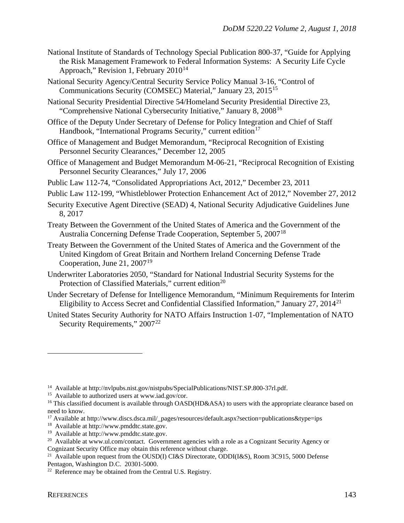- National Institute of Standards of Technology Special Publication 800-37, "Guide for Applying the Risk Management Framework to Federal Information Systems: A Security Life Cycle Approach," Revision 1, February  $2010^{14}$  $2010^{14}$  $2010^{14}$
- National Security Agency/Central Security Service Policy Manual 3-16, "Control of Communications Security (COMSEC) Material," January 23, 2015[15](#page-142-1)

National Security Presidential Directive 54/Homeland Security Presidential Directive 23, "Comprehensive National Cybersecurity Initiative," January 8, 2008[16](#page-142-2)

- Office of the Deputy Under Secretary of Defense for Policy Integration and Chief of Staff Handbook, "International Programs Security," current edition<sup>[17](#page-142-3)</sup>
- Office of Management and Budget Memorandum, "Reciprocal Recognition of Existing Personnel Security Clearances," December 12, 2005
- Office of Management and Budget Memorandum M-06-21, "Reciprocal Recognition of Existing Personnel Security Clearances," July 17, 2006
- Public Law 112-74, "Consolidated Appropriations Act, 2012," December 23, 2011
- Public Law 112-199, "Whistleblower Protection Enhancement Act of 2012," November 27, 2012
- Security Executive Agent Directive (SEAD) 4, National Security Adjudicative Guidelines June 8, 2017
- Treaty Between the Government of the United States of America and the Government of the Australia Concerning Defense Trade Cooperation, September 5, 2007[18](#page-142-4)
- Treaty Between the Government of the United States of America and the Government of the United Kingdom of Great Britain and Northern Ireland Concerning Defense Trade Cooperation, June 21,  $2007<sup>19</sup>$  $2007<sup>19</sup>$  $2007<sup>19</sup>$
- Underwriter Laboratories 2050, "Standard for National Industrial Security Systems for the Protection of Classified Materials," current edition<sup>[20](#page-142-6)</sup>
- Under Secretary of Defense for Intelligence Memorandum, "Minimum Requirements for Interim Eligibility to Access Secret and Confidential Classified Information," January 27, 2014<sup>[21](#page-142-7)</sup>
- United States Security Authority for NATO Affairs Instruction 1-07, "Implementation of NATO Security Requirements," 2007<sup>[22](#page-142-8)</sup>

<span id="page-142-1"></span><span id="page-142-0"></span><sup>&</sup>lt;sup>14</sup> Available at http://nvlpubs.nist.gov/nistpubs/SpecialPublications/NIST.SP.800-37rl.pdf.<br><sup>15</sup> Available to authorized users at www.iad.gov/cor.

<span id="page-142-2"></span><sup>&</sup>lt;sup>16</sup> This classified document is available through OASD(HD&ASA) to users with the appropriate clearance based on need to know.

<span id="page-142-3"></span><sup>17</sup> Available at http://www.discs.dsca.mil/\_pages/resources/default.aspx?section=publications&type=ips

<span id="page-142-4"></span><sup>18</sup> Available at http://www.pmddtc.state.gov.

<span id="page-142-5"></span><sup>19</sup> Available at http://www.pmddtc.state.gov.

<span id="page-142-6"></span><sup>&</sup>lt;sup>20</sup> Available at www.ul.com/contact. Government agencies with a role as a Cognizant Security Agency or Cognizant Security Office may obtain this reference without charge.

<span id="page-142-7"></span><sup>&</sup>lt;sup>21</sup> Available upon request from the OUSD(I) CI&S Directorate, ODDI(I&S), Room 3C915, 5000 Defense Pentagon, Washington D.C. 20301-5000.

<span id="page-142-8"></span><sup>&</sup>lt;sup>22</sup> Reference may be obtained from the Central U.S. Registry.